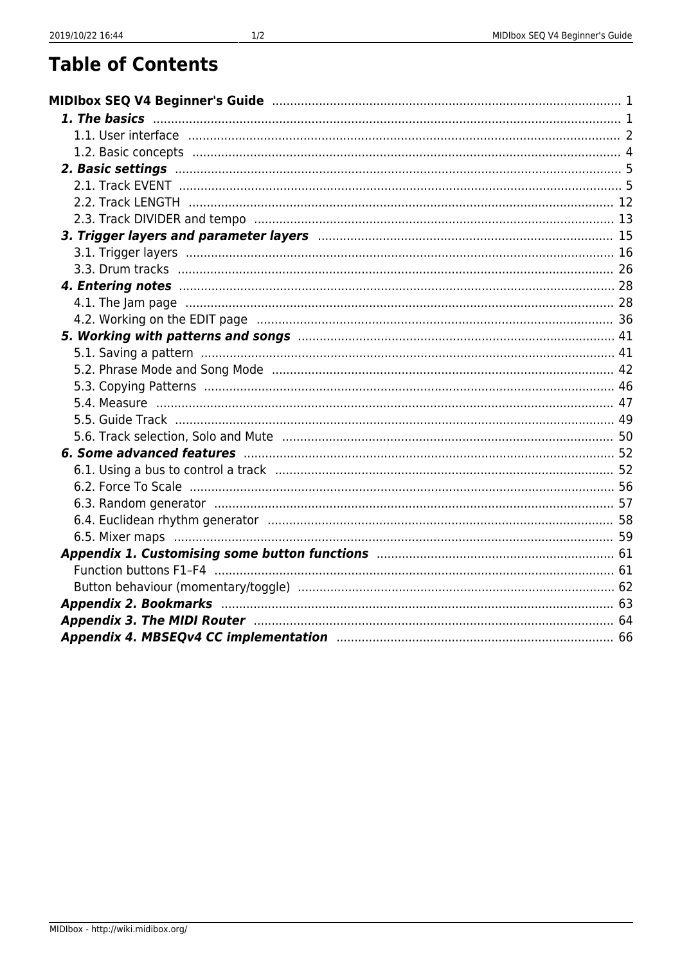# **Table of Contents**

| 3. Trigger layers and parameter layers manufactured and the control of 15 |  |
|---------------------------------------------------------------------------|--|
|                                                                           |  |
|                                                                           |  |
|                                                                           |  |
|                                                                           |  |
|                                                                           |  |
|                                                                           |  |
|                                                                           |  |
|                                                                           |  |
|                                                                           |  |
|                                                                           |  |
|                                                                           |  |
|                                                                           |  |
|                                                                           |  |
|                                                                           |  |
|                                                                           |  |
|                                                                           |  |
|                                                                           |  |
|                                                                           |  |
|                                                                           |  |
|                                                                           |  |
|                                                                           |  |
|                                                                           |  |
|                                                                           |  |
| Appendix 4. MBSEQv4 CC implementation manufactured and the state of 66    |  |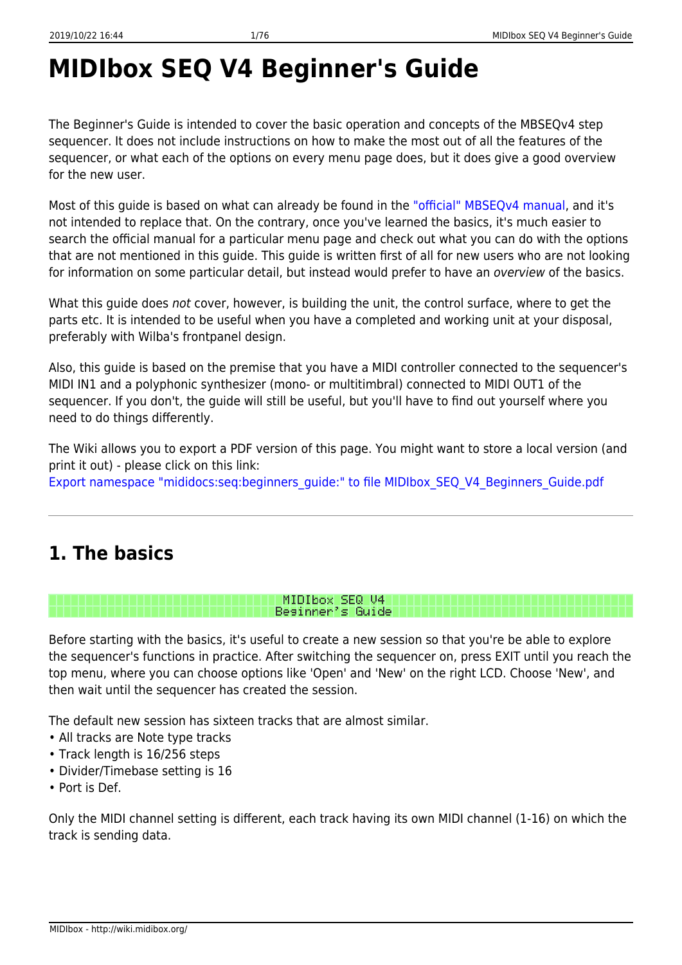# <span id="page-2-2"></span><span id="page-2-0"></span>**MIDIbox SEQ V4 Beginner's Guide**

The Beginner's Guide is intended to cover the basic operation and concepts of the MBSEQv4 step sequencer. It does not include instructions on how to make the most out of all the features of the sequencer, or what each of the options on every menu page does, but it does give a good overview for the new user.

Most of this guide is based on what can already be found in the ["official" MBSEQv4 manual,](http://ucapps.de/midibox_seq_manual.html) and it's not intended to replace that. On the contrary, once you've learned the basics, it's much easier to search the official manual for a particular menu page and check out what you can do with the options that are not mentioned in this guide. This guide is written first of all for new users who are not looking for information on some particular detail, but instead would prefer to have an *overview* of the basics.

What this guide does not cover, however, is building the unit, the control surface, where to get the parts etc. It is intended to be useful when you have a completed and working unit at your disposal, preferably with Wilba's frontpanel design.

Also, this guide is based on the premise that you have a MIDI controller connected to the sequencer's MIDI IN1 and a polyphonic synthesizer (mono- or multitimbral) connected to MIDI OUT1 of the sequencer. If you don't, the guide will still be useful, but you'll have to find out yourself where you need to do things differently.

The Wiki allows you to export a PDF version of this page. You might want to store a local version (and print it out) - please click on this link:

[Export namespace "mididocs:seq:beginners\\_guide:" to file MIDIbox\\_SEQ\\_V4\\_Beginners\\_Guide.pdf](#page-2-2)

# <span id="page-2-1"></span>**1. The basics**

MIDIbox SEQ U4 Besinner's Guide

Before starting with the basics, it's useful to create a new session so that you're be able to explore the sequencer's functions in practice. After switching the sequencer on, press EXIT until you reach the top menu, where you can choose options like 'Open' and 'New' on the right LCD. Choose 'New', and then wait until the sequencer has created the session.

The default new session has sixteen tracks that are almost similar.

- All tracks are Note type tracks
- Track length is 16/256 steps
- Divider/Timebase setting is 16
- Port is Def.

Only the MIDI channel setting is different, each track having its own MIDI channel (1-16) on which the track is sending data.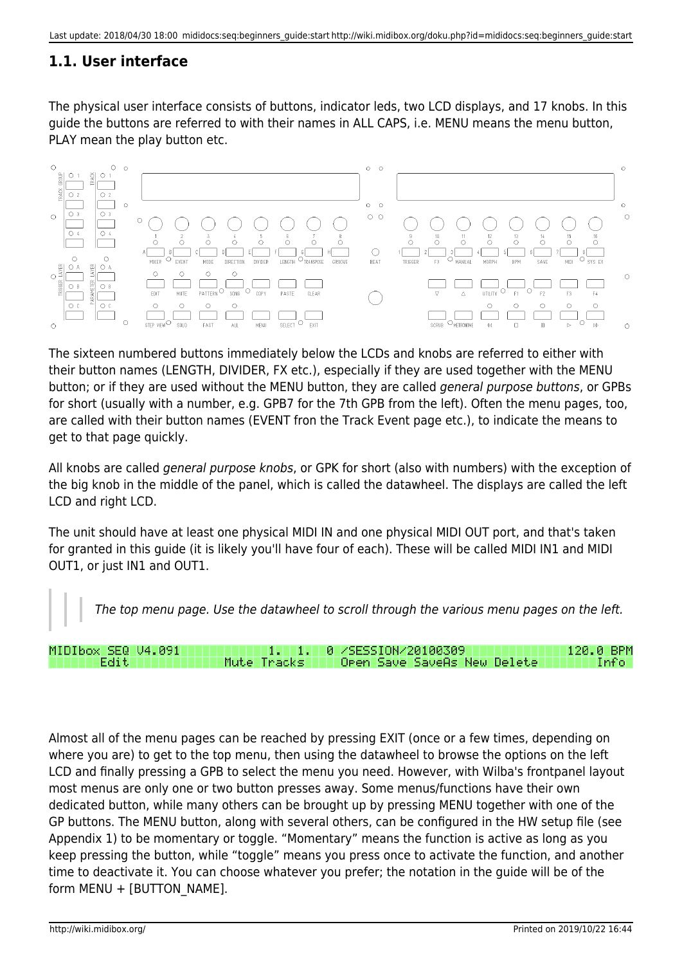# <span id="page-3-0"></span>**1.1. User interface**

The physical user interface consists of buttons, indicator leds, two LCD displays, and 17 knobs. In this guide the buttons are referred to with their names in ALL CAPS, i.e. MENU means the menu button, PLAY mean the play button etc.



The sixteen numbered buttons immediately below the LCDs and knobs are referred to either with their button names (LENGTH, DIVIDER, FX etc.), especially if they are used together with the MENU button; or if they are used without the MENU button, they are called general purpose buttons, or GPBs for short (usually with a number, e.g. GPB7 for the 7th GPB from the left). Often the menu pages, too, are called with their button names (EVENT fron the Track Event page etc.), to indicate the means to get to that page quickly.

All knobs are called general purpose knobs, or GPK for short (also with numbers) with the exception of the big knob in the middle of the panel, which is called the datawheel. The displays are called the left LCD and right LCD.

The unit should have at least one physical MIDI IN and one physical MIDI OUT port, and that's taken for granted in this guide (it is likely you'll have four of each). These will be called MIDI IN1 and MIDI OUT1, or just IN1 and OUT1.

The top menu page. Use the datawheel to scroll through the various menu pages on the left.

| MIDIbox SEQ V4.091 | \1. 1. 1. 0 /SESSION/20100309 \              | 120.0 BPM |
|--------------------|----------------------------------------------|-----------|
| Edit I             | Mute Tracks     Open Save SaveAs New Delete' | Infol     |

Almost all of the menu pages can be reached by pressing EXIT (once or a few times, depending on where you are) to get to the top menu, then using the datawheel to browse the options on the left LCD and finally pressing a GPB to select the menu you need. However, with Wilba's frontpanel layout most menus are only one or two button presses away. Some menus/functions have their own dedicated button, while many others can be brought up by pressing MENU together with one of the GP buttons. The MENU button, along with several others, can be configured in the HW setup file (see Appendix 1) to be momentary or toggle. "Momentary" means the function is active as long as you keep pressing the button, while "toggle" means you press once to activate the function, and another time to deactivate it. You can choose whatever you prefer; the notation in the guide will be of the form MENU + [BUTTON\_NAME].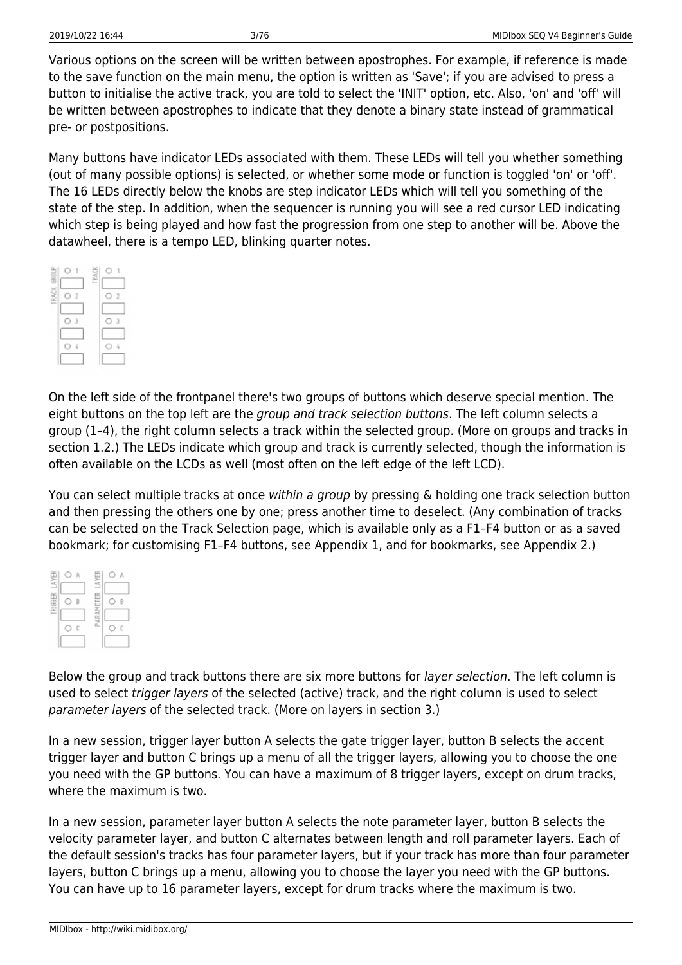Various options on the screen will be written between apostrophes. For example, if reference is made to the save function on the main menu, the option is written as 'Save'; if you are advised to press a button to initialise the active track, you are told to select the 'INIT' option, etc. Also, 'on' and 'off' will be written between apostrophes to indicate that they denote a binary state instead of grammatical pre- or postpositions.

Many buttons have indicator LEDs associated with them. These LEDs will tell you whether something (out of many possible options) is selected, or whether some mode or function is toggled 'on' or 'off'. The 16 LEDs directly below the knobs are step indicator LEDs which will tell you something of the state of the step. In addition, when the sequencer is running you will see a red cursor LED indicating which step is being played and how fast the progression from one step to another will be. Above the datawheel, there is a tempo LED, blinking quarter notes.



On the left side of the frontpanel there's two groups of buttons which deserve special mention. The eight buttons on the top left are the *group and track selection buttons*. The left column selects a group (1–4), the right column selects a track within the selected group. (More on groups and tracks in section 1.2.) The LEDs indicate which group and track is currently selected, though the information is often available on the LCDs as well (most often on the left edge of the left LCD).

You can select multiple tracks at once within a group by pressing & holding one track selection button and then pressing the others one by one; press another time to deselect. (Any combination of tracks can be selected on the Track Selection page, which is available only as a F1–F4 button or as a saved bookmark; for customising F1–F4 buttons, see Appendix 1, and for bookmarks, see Appendix 2.)

| LAYER          |   | s           |   |
|----------------|---|-------------|---|
| <b>TRIGGER</b> | R | œ<br>E<br>ā | B |
|                | Ċ | PARI        | C |
|                |   |             |   |

Below the group and track buttons there are six more buttons for *layer selection*. The left column is used to select trigger layers of the selected (active) track, and the right column is used to select parameter layers of the selected track. (More on layers in section 3.)

In a new session, trigger layer button A selects the gate trigger layer, button B selects the accent trigger layer and button C brings up a menu of all the trigger layers, allowing you to choose the one you need with the GP buttons. You can have a maximum of 8 trigger layers, except on drum tracks, where the maximum is two.

In a new session, parameter layer button A selects the note parameter layer, button B selects the velocity parameter layer, and button C alternates between length and roll parameter layers. Each of the default session's tracks has four parameter layers, but if your track has more than four parameter layers, button C brings up a menu, allowing you to choose the layer you need with the GP buttons. You can have up to 16 parameter layers, except for drum tracks where the maximum is two.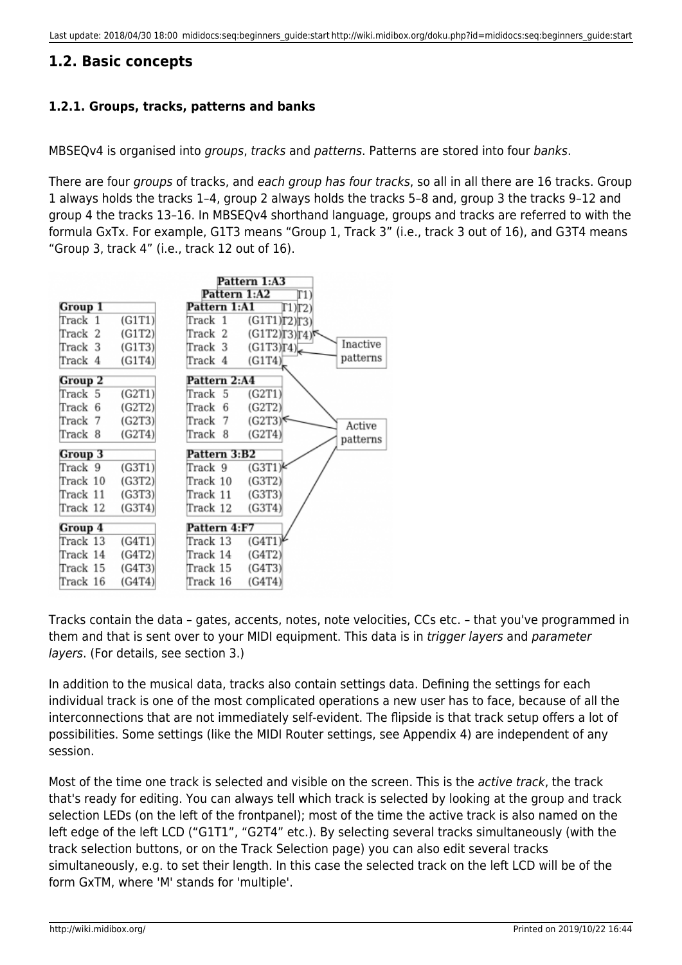# <span id="page-5-0"></span>**1.2. Basic concepts**

# **1.2.1. Groups, tracks, patterns and banks**

MBSEQv4 is organised into groups, tracks and patterns. Patterns are stored into four banks.

There are four groups of tracks, and each group has four tracks, so all in all there are 16 tracks. Group 1 always holds the tracks 1–4, group 2 always holds the tracks 5–8 and, group 3 the tracks 9–12 and group 4 the tracks 13–16. In MBSEQv4 shorthand language, groups and tracks are referred to with the formula GxTx. For example, G1T3 means "Group 1, Track 3" (i.e., track 3 out of 16), and G3T4 means "Group 3, track 4" (i.e., track 12 out of 16).



Tracks contain the data – gates, accents, notes, note velocities, CCs etc. – that you've programmed in them and that is sent over to your MIDI equipment. This data is in trigger layers and parameter layers. (For details, see section 3.)

In addition to the musical data, tracks also contain settings data. Defining the settings for each individual track is one of the most complicated operations a new user has to face, because of all the interconnections that are not immediately self-evident. The flipside is that track setup offers a lot of possibilities. Some settings (like the MIDI Router settings, see Appendix 4) are independent of any session.

Most of the time one track is selected and visible on the screen. This is the *active track*, the track that's ready for editing. You can always tell which track is selected by looking at the group and track selection LEDs (on the left of the frontpanel); most of the time the active track is also named on the left edge of the left LCD ("G1T1", "G2T4" etc.). By selecting several tracks simultaneously (with the track selection buttons, or on the Track Selection page) you can also edit several tracks simultaneously, e.g. to set their length. In this case the selected track on the left LCD will be of the form GxTM, where 'M' stands for 'multiple'.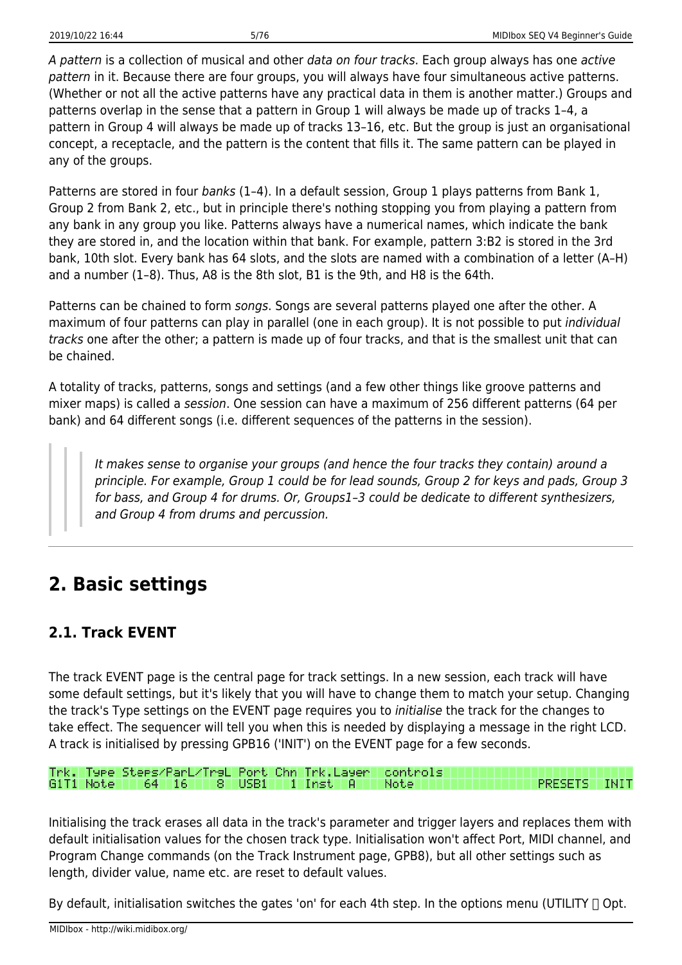A pattern is a collection of musical and other data on four tracks. Each group always has one active pattern in it. Because there are four groups, you will always have four simultaneous active patterns. (Whether or not all the active patterns have any practical data in them is another matter.) Groups and patterns overlap in the sense that a pattern in Group 1 will always be made up of tracks 1–4, a pattern in Group 4 will always be made up of tracks 13–16, etc. But the group is just an organisational concept, a receptacle, and the pattern is the content that fills it. The same pattern can be played in any of the groups.

Patterns are stored in four banks (1-4). In a default session, Group 1 plays patterns from Bank 1, Group 2 from Bank 2, etc., but in principle there's nothing stopping you from playing a pattern from any bank in any group you like. Patterns always have a numerical names, which indicate the bank they are stored in, and the location within that bank. For example, pattern 3:B2 is stored in the 3rd bank, 10th slot. Every bank has 64 slots, and the slots are named with a combination of a letter (A–H) and a number (1–8). Thus, A8 is the 8th slot, B1 is the 9th, and H8 is the 64th.

Patterns can be chained to form songs. Songs are several patterns played one after the other. A maximum of four patterns can play in parallel (one in each group). It is not possible to put *individual* tracks one after the other; a pattern is made up of four tracks, and that is the smallest unit that can be chained.

A totality of tracks, patterns, songs and settings (and a few other things like groove patterns and mixer maps) is called a session. One session can have a maximum of 256 different patterns (64 per bank) and 64 different songs (i.e. different sequences of the patterns in the session).

It makes sense to organise your groups (and hence the four tracks they contain) around a principle. For example, Group 1 could be for lead sounds, Group 2 for keys and pads, Group 3 for bass, and Group 4 for drums. Or, Groups1–3 could be dedicate to different synthesizers, and Group 4 from drums and percussion.

# <span id="page-6-0"></span>**2. Basic settings**

# <span id="page-6-1"></span>**2.1. Track EVENT**

The track EVENT page is the central page for track settings. In a new session, each track will have some default settings, but it's likely that you will have to change them to match your setup. Changing the track's Type settings on the EVENT page requires you to initialise the track for the changes to take effect. The sequencer will tell you when this is needed by displaying a message in the right LCD. A track is initialised by pressing GPB16 ('INIT') on the EVENT page for a few seconds.

Trk. Type Steps/ParL/TrsL Port Chn Trk.Layer controls USB1 **PRESETS INIT**  $64 - 16$ 8 T 1 Inst Note:

Initialising the track erases all data in the track's parameter and trigger layers and replaces them with default initialisation values for the chosen track type. Initialisation won't affect Port, MIDI channel, and Program Change commands (on the Track Instrument page, GPB8), but all other settings such as length, divider value, name etc. are reset to default values.

By default, initialisation switches the gates 'on' for each 4th step. In the options menu (UTILITY  $\Box$  Opt.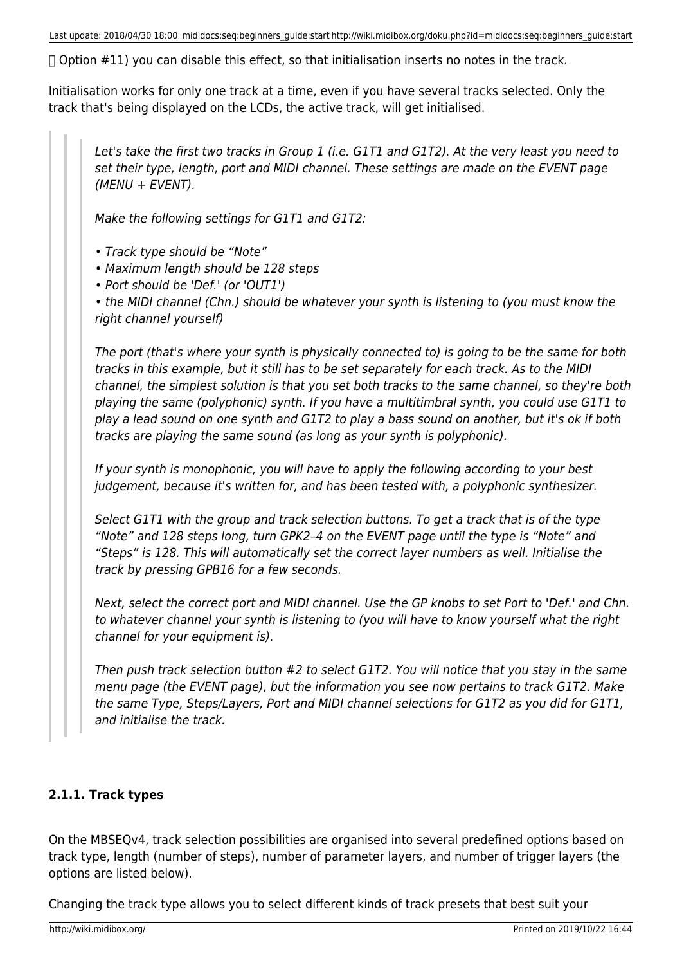Last update: 2018/04/30 18:00 mididocs:seq:beginners\_guide:start http://wiki.midibox.org/doku.php?id=mididocs:seq:beginners\_guide:start

 $\Box$  Option #11) you can disable this effect, so that initialisation inserts no notes in the track.

Initialisation works for only one track at a time, even if you have several tracks selected. Only the track that's being displayed on the LCDs, the active track, will get initialised.

Let's take the first two tracks in Group 1 (i.e. G1T1 and G1T2). At the very least you need to set their type, length, port and MIDI channel. These settings are made on the EVENT page (MENU + EVENT).

Make the following settings for G1T1 and G1T2:

• Track type should be "Note"

• Maximum length should be 128 steps

• Port should be 'Def.' (or 'OUT1')

• the MIDI channel (Chn.) should be whatever your synth is listening to (you must know the right channel yourself)

The port (that's where your synth is physically connected to) is going to be the same for both tracks in this example, but it still has to be set separately for each track. As to the MIDI channel, the simplest solution is that you set both tracks to the same channel, so they're both playing the same (polyphonic) synth. If you have a multitimbral synth, you could use G1T1 to play a lead sound on one synth and G1T2 to play a bass sound on another, but it's ok if both tracks are playing the same sound (as long as your synth is polyphonic).

If your synth is monophonic, you will have to apply the following according to your best judgement, because it's written for, and has been tested with, a polyphonic synthesizer.

Select G1T1 with the group and track selection buttons. To get a track that is of the type "Note" and 128 steps long, turn GPK2–4 on the EVENT page until the type is "Note" and "Steps" is 128. This will automatically set the correct layer numbers as well. Initialise the track by pressing GPB16 for a few seconds.

Next, select the correct port and MIDI channel. Use the GP knobs to set Port to 'Def.' and Chn. to whatever channel your synth is listening to (you will have to know yourself what the right channel for your equipment is).

Then push track selection button #2 to select G1T2. You will notice that you stay in the same menu page (the EVENT page), but the information you see now pertains to track G1T2. Make the same Type, Steps/Layers, Port and MIDI channel selections for G1T2 as you did for G1T1, and initialise the track.

# **2.1.1. Track types**

On the MBSEQv4, track selection possibilities are organised into several predefined options based on track type, length (number of steps), number of parameter layers, and number of trigger layers (the options are listed below).

Changing the track type allows you to select different kinds of track presets that best suit your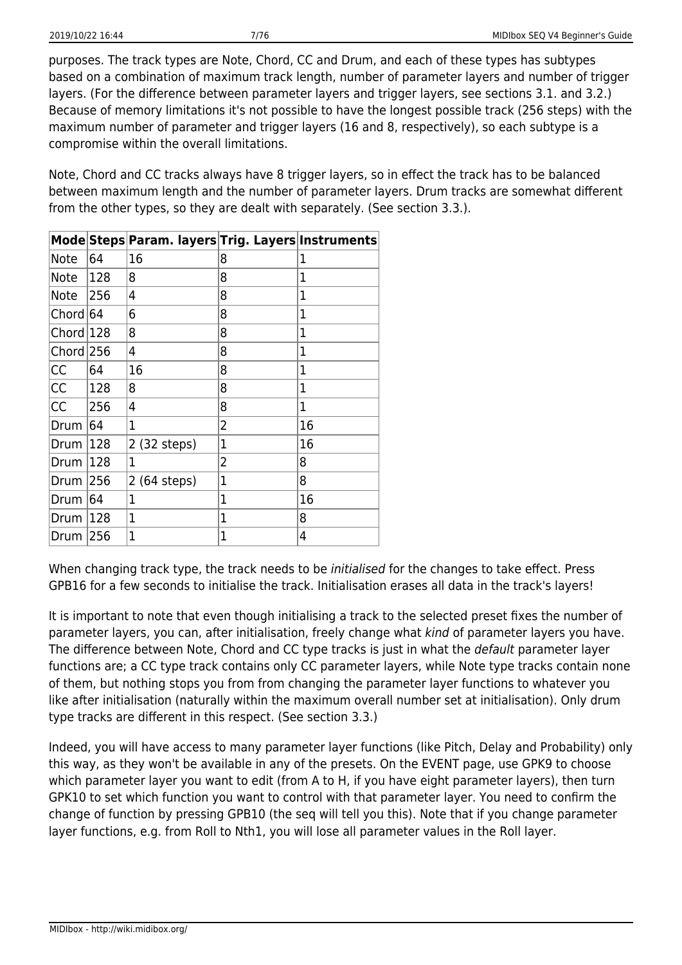purposes. The track types are Note, Chord, CC and Drum, and each of these types has subtypes based on a combination of maximum track length, number of parameter layers and number of trigger layers. (For the difference between parameter layers and trigger layers, see sections 3.1. and 3.2.) Because of memory limitations it's not possible to have the longest possible track (256 steps) with the maximum number of parameter and trigger layers (16 and 8, respectively), so each subtype is a compromise within the overall limitations.

Note, Chord and CC tracks always have 8 trigger layers, so in effect the track has to be balanced between maximum length and the number of parameter layers. Drum tracks are somewhat different from the other types, so they are dealt with separately. (See section 3.3.).

|           |     | Mode Steps Param. layers Trig. Layers Instruments |   |              |
|-----------|-----|---------------------------------------------------|---|--------------|
| Note      | 64  | 16                                                | 8 | 1            |
| Note      | 128 | 8                                                 | 8 | 1            |
| Note      | 256 | 4                                                 | 8 | 1            |
| Chord 64  |     | 6                                                 | 8 | 1            |
| Chord 128 |     | 8                                                 | 8 | $\mathbf{1}$ |
| Chord 256 |     | 4                                                 | 8 | 1            |
| CC        | 64  | 16                                                | 8 | 1            |
| <b>CC</b> | 128 | 8                                                 | 8 | 1            |
| CC        | 256 | 4                                                 | 8 | 1            |
| Drum      | 64  | 1                                                 | 2 | 16           |
| Drum      | 128 | 2 (32 steps)                                      | 1 | 16           |
| Drum      | 128 | 1                                                 | 2 | 8            |
| Drum      | 256 | 2 (64 steps)                                      | 1 | 8            |
| Drum      | 64  | 1                                                 | 1 | 16           |
| Drum      | 128 | 1                                                 | 1 | 8            |
| Drum      | 256 | 1                                                 | 1 | 4            |

When changing track type, the track needs to be *initialised* for the changes to take effect. Press GPB16 for a few seconds to initialise the track. Initialisation erases all data in the track's layers!

It is important to note that even though initialising a track to the selected preset fixes the number of parameter layers, you can, after initialisation, freely change what kind of parameter layers you have. The difference between Note, Chord and CC type tracks is just in what the default parameter layer functions are; a CC type track contains only CC parameter layers, while Note type tracks contain none of them, but nothing stops you from from changing the parameter layer functions to whatever you like after initialisation (naturally within the maximum overall number set at initialisation). Only drum type tracks are different in this respect. (See section 3.3.)

Indeed, you will have access to many parameter layer functions (like Pitch, Delay and Probability) only this way, as they won't be available in any of the presets. On the EVENT page, use GPK9 to choose which parameter layer you want to edit (from A to H, if you have eight parameter layers), then turn GPK10 to set which function you want to control with that parameter layer. You need to confirm the change of function by pressing GPB10 (the seq will tell you this). Note that if you change parameter layer functions, e.g. from Roll to Nth1, you will lose all parameter values in the Roll layer.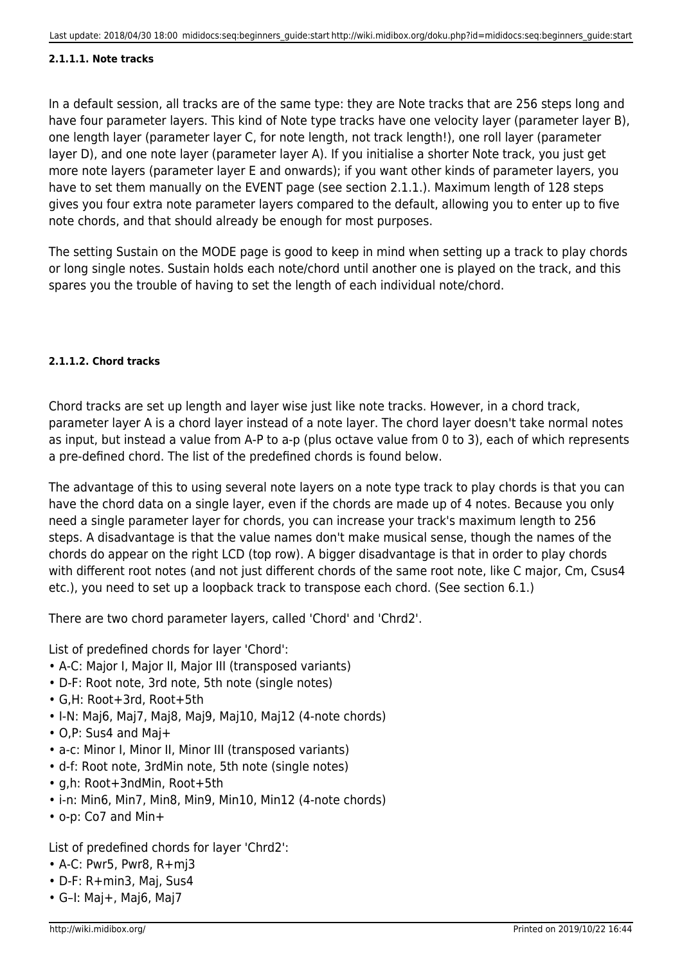#### **2.1.1.1. Note tracks**

In a default session, all tracks are of the same type: they are Note tracks that are 256 steps long and have four parameter layers. This kind of Note type tracks have one velocity layer (parameter layer B), one length layer (parameter layer C, for note length, not track length!), one roll layer (parameter layer D), and one note layer (parameter layer A). If you initialise a shorter Note track, you just get more note layers (parameter layer E and onwards); if you want other kinds of parameter layers, you have to set them manually on the EVENT page (see section 2.1.1.). Maximum length of 128 steps gives you four extra note parameter layers compared to the default, allowing you to enter up to five note chords, and that should already be enough for most purposes.

The setting Sustain on the MODE page is good to keep in mind when setting up a track to play chords or long single notes. Sustain holds each note/chord until another one is played on the track, and this spares you the trouble of having to set the length of each individual note/chord.

#### **2.1.1.2. Chord tracks**

Chord tracks are set up length and layer wise just like note tracks. However, in a chord track, parameter layer A is a chord layer instead of a note layer. The chord layer doesn't take normal notes as input, but instead a value from A-P to a-p (plus octave value from 0 to 3), each of which represents a pre-defined chord. The list of the predefined chords is found below.

The advantage of this to using several note layers on a note type track to play chords is that you can have the chord data on a single layer, even if the chords are made up of 4 notes. Because you only need a single parameter layer for chords, you can increase your track's maximum length to 256 steps. A disadvantage is that the value names don't make musical sense, though the names of the chords do appear on the right LCD (top row). A bigger disadvantage is that in order to play chords with different root notes (and not just different chords of the same root note, like C major, Cm, Csus4 etc.), you need to set up a loopback track to transpose each chord. (See section 6.1.)

There are two chord parameter layers, called 'Chord' and 'Chrd2'.

List of predefined chords for layer 'Chord':

- A-C: Major I, Major II, Major III (transposed variants)
- D-F: Root note, 3rd note, 5th note (single notes)
- G,H: Root+3rd, Root+5th
- I-N: Maj6, Maj7, Maj8, Maj9, Maj10, Maj12 (4-note chords)
- O,P: Sus4 and Maj+
- a-c: Minor I, Minor II, Minor III (transposed variants)
- d-f: Root note, 3rdMin note, 5th note (single notes)
- g,h: Root+3ndMin, Root+5th
- i-n: Min6, Min7, Min8, Min9, Min10, Min12 (4-note chords)
- o-p: Co7 and Min+

List of predefined chords for layer 'Chrd2':

- A-C: Pwr5, Pwr8, R+mj3
- D-F: R+min3, Maj, Sus4
- G–I: Maj+, Maj6, Maj7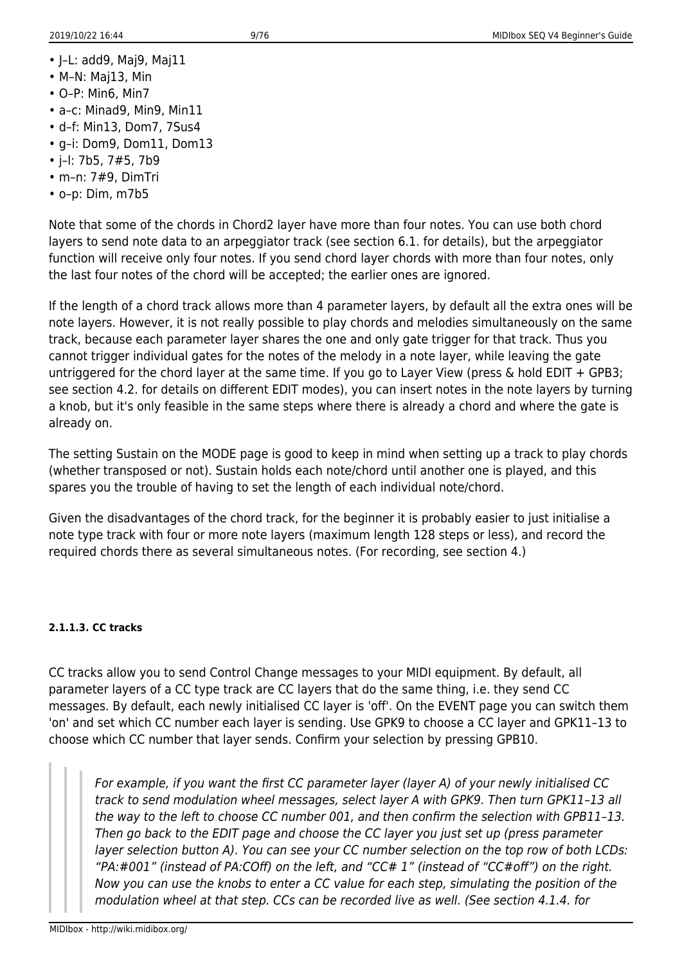- J–L: add9, Maj9, Maj11
- M–N: Maj13, Min
- O–P: Min6, Min7
- a–c: Minad9, Min9, Min11
- d–f: Min13, Dom7, 7Sus4
- g–i: Dom9, Dom11, Dom13
- j–l: 7b5, 7#5, 7b9
- m–n: 7#9, DimTri
- o–p: Dim, m7b5

Note that some of the chords in Chord2 layer have more than four notes. You can use both chord layers to send note data to an arpeggiator track (see section 6.1. for details), but the arpeggiator function will receive only four notes. If you send chord layer chords with more than four notes, only the last four notes of the chord will be accepted; the earlier ones are ignored.

If the length of a chord track allows more than 4 parameter layers, by default all the extra ones will be note layers. However, it is not really possible to play chords and melodies simultaneously on the same track, because each parameter layer shares the one and only gate trigger for that track. Thus you cannot trigger individual gates for the notes of the melody in a note layer, while leaving the gate untriggered for the chord layer at the same time. If you go to Layer View (press & hold EDIT + GPB3; see section 4.2. for details on different EDIT modes), you can insert notes in the note layers by turning a knob, but it's only feasible in the same steps where there is already a chord and where the gate is already on.

The setting Sustain on the MODE page is good to keep in mind when setting up a track to play chords (whether transposed or not). Sustain holds each note/chord until another one is played, and this spares you the trouble of having to set the length of each individual note/chord.

Given the disadvantages of the chord track, for the beginner it is probably easier to just initialise a note type track with four or more note layers (maximum length 128 steps or less), and record the required chords there as several simultaneous notes. (For recording, see section 4.)

# **2.1.1.3. CC tracks**

CC tracks allow you to send Control Change messages to your MIDI equipment. By default, all parameter layers of a CC type track are CC layers that do the same thing, i.e. they send CC messages. By default, each newly initialised CC layer is 'off'. On the EVENT page you can switch them 'on' and set which CC number each layer is sending. Use GPK9 to choose a CC layer and GPK11–13 to choose which CC number that layer sends. Confirm your selection by pressing GPB10.

For example, if you want the first CC parameter layer (layer A) of your newly initialised CC track to send modulation wheel messages, select layer A with GPK9. Then turn GPK11–13 all the way to the left to choose CC number 001, and then confirm the selection with GPB11–13. Then go back to the EDIT page and choose the CC layer you just set up (press parameter layer selection button A). You can see your CC number selection on the top row of both LCDs: "PA:#001" (instead of PA:COff) on the left, and "CC# 1" (instead of "CC#off") on the right. Now you can use the knobs to enter a CC value for each step, simulating the position of the modulation wheel at that step. CCs can be recorded live as well. (See section 4.1.4. for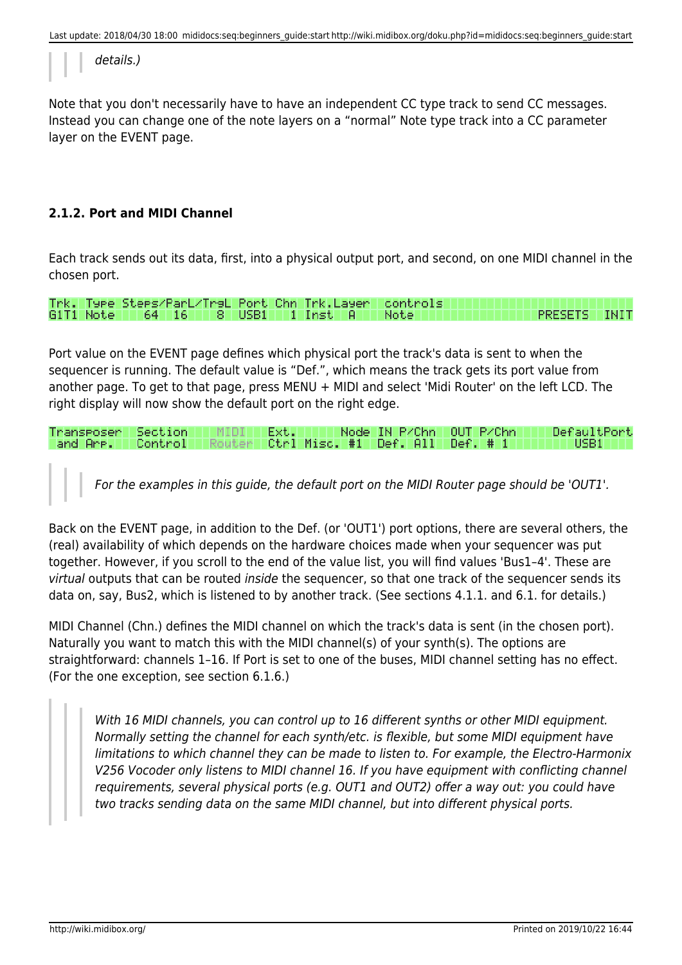details.)

Note that you don't necessarily have to have an independent CC type track to send CC messages. Instead you can change one of the note layers on a "normal" Note type track into a CC parameter layer on the EVENT page.

# **2.1.2. Port and MIDI Channel**

Each track sends out its data, first, into a physical output port, and second, on one MIDI channel in the chosen port.

Trk. Type Steps/ParL/TrsL Port Chn Trk.Layer<br>G1T1 Note 64 16 8 USB1 1 Inst A controls **PRESETS** Note **INIT** 

Port value on the EVENT page defines which physical port the track's data is sent to when the sequencer is running. The default value is "Def.", which means the track gets its port value from another page. To get to that page, press MENU + MIDI and select 'Midi Router' on the left LCD. The right display will now show the default port on the right edge.

| Transposer Section T  |  | Ext.L |  | Node IN P/Chn LOUT P/Chn I            | DefaultPort |
|-----------------------|--|-------|--|---------------------------------------|-------------|
| 'and Are.'' Control'' |  |       |  | /Ctrl Misc. #1   Def. All   Def. # 1/ | USB1 -      |

For the examples in this guide, the default port on the MIDI Router page should be 'OUT1'.

Back on the EVENT page, in addition to the Def. (or 'OUT1') port options, there are several others, the (real) availability of which depends on the hardware choices made when your sequencer was put together. However, if you scroll to the end of the value list, you will find values 'Bus1–4'. These are virtual outputs that can be routed inside the sequencer, so that one track of the sequencer sends its data on, say, Bus2, which is listened to by another track. (See sections 4.1.1. and 6.1. for details.)

MIDI Channel (Chn.) defines the MIDI channel on which the track's data is sent (in the chosen port). Naturally you want to match this with the MIDI channel(s) of your synth(s). The options are straightforward: channels 1–16. If Port is set to one of the buses, MIDI channel setting has no effect. (For the one exception, see section 6.1.6.)

With 16 MIDI channels, you can control up to 16 different synths or other MIDI equipment. Normally setting the channel for each synth/etc. is flexible, but some MIDI equipment have limitations to which channel they can be made to listen to. For example, the Electro-Harmonix V256 Vocoder only listens to MIDI channel 16. If you have equipment with conflicting channel requirements, several physical ports (e.g. OUT1 and OUT2) offer a way out: you could have two tracks sending data on the same MIDI channel, but into different physical ports.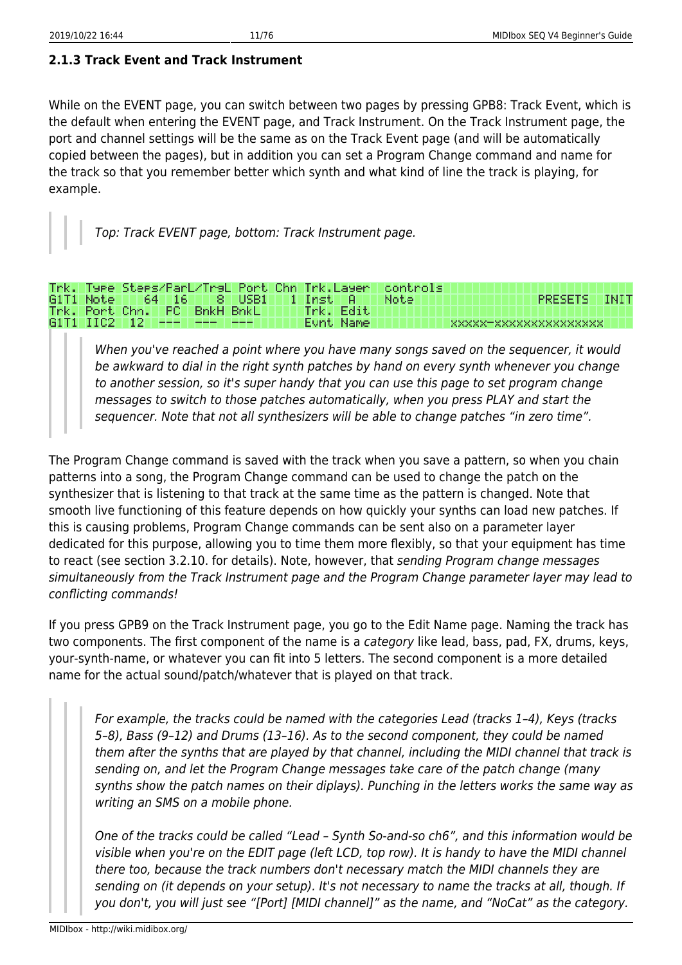While on the EVENT page, you can switch between two pages by pressing GPB8: Track Event, which is the default when entering the EVENT page, and Track Instrument. On the Track Instrument page, the port and channel settings will be the same as on the Track Event page (and will be automatically copied between the pages), but in addition you can set a Program Change command and name for the track so that you remember better which synth and what kind of line the track is playing, for example.

Top: Track EVENT page, bottom: Track Instrument page.

|  |  |                                  |                                               |  |           | Trk. Type Steps/ParL/TrsL Port Chn Trk.Layer controls. |                        |  |
|--|--|----------------------------------|-----------------------------------------------|--|-----------|--------------------------------------------------------|------------------------|--|
|  |  |                                  | G1T1 Note   64   16   8   USB1   1   Inst   A |  |           | Not.ell                                                | PRESETS INIT           |  |
|  |  | Trk. Port Chn. PC BnkH BnkL      |                                               |  | Trk. Edit |                                                        |                        |  |
|  |  | 61T1 IIC2   12   ---   ---   --- |                                               |  | Eunt Name |                                                        | XXXXX-XXXXXXXXXXXXXXXX |  |

When you've reached a point where you have many songs saved on the sequencer, it would be awkward to dial in the right synth patches by hand on every synth whenever you change to another session, so it's super handy that you can use this page to set program change messages to switch to those patches automatically, when you press PLAY and start the sequencer. Note that not all synthesizers will be able to change patches "in zero time".

The Program Change command is saved with the track when you save a pattern, so when you chain patterns into a song, the Program Change command can be used to change the patch on the synthesizer that is listening to that track at the same time as the pattern is changed. Note that smooth live functioning of this feature depends on how quickly your synths can load new patches. If this is causing problems, Program Change commands can be sent also on a parameter layer dedicated for this purpose, allowing you to time them more flexibly, so that your equipment has time to react (see section 3.2.10. for details). Note, however, that sending Program change messages simultaneously from the Track Instrument page and the Program Change parameter layer may lead to conflicting commands!

If you press GPB9 on the Track Instrument page, you go to the Edit Name page. Naming the track has two components. The first component of the name is a category like lead, bass, pad, FX, drums, keys, your-synth-name, or whatever you can fit into 5 letters. The second component is a more detailed name for the actual sound/patch/whatever that is played on that track.

For example, the tracks could be named with the categories Lead (tracks 1–4), Keys (tracks 5–8), Bass (9–12) and Drums (13–16). As to the second component, they could be named them after the synths that are played by that channel, including the MIDI channel that track is sending on, and let the Program Change messages take care of the patch change (many synths show the patch names on their diplays). Punching in the letters works the same way as writing an SMS on a mobile phone.

One of the tracks could be called "Lead – Synth So-and-so ch6", and this information would be visible when you're on the EDIT page (left LCD, top row). It is handy to have the MIDI channel there too, because the track numbers don't necessary match the MIDI channels they are sending on (it depends on your setup). It's not necessary to name the tracks at all, though. If you don't, you will just see "[Port] [MIDI channel]" as the name, and "NoCat" as the category.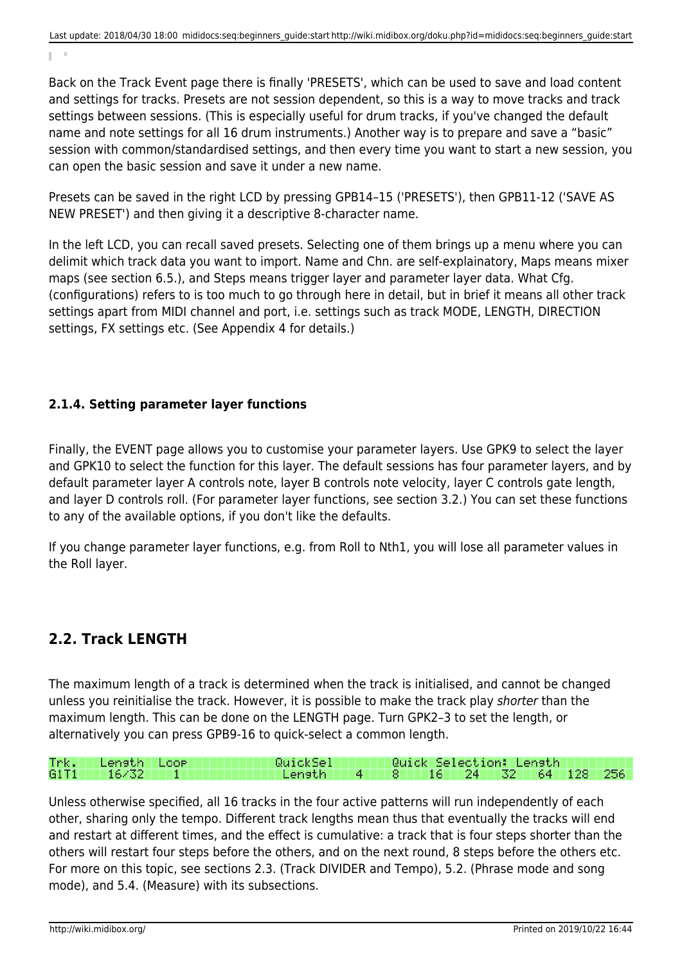Back on the Track Event page there is finally 'PRESETS', which can be used to save and load content and settings for tracks. Presets are not session dependent, so this is a way to move tracks and track settings between sessions. (This is especially useful for drum tracks, if you've changed the default name and note settings for all 16 drum instruments.) Another way is to prepare and save a "basic" session with common/standardised settings, and then every time you want to start a new session, you can open the basic session and save it under a new name.

Presets can be saved in the right LCD by pressing GPB14–15 ('PRESETS'), then GPB11-12 ('SAVE AS NEW PRESET') and then giving it a descriptive 8-character name.

In the left LCD, you can recall saved presets. Selecting one of them brings up a menu where you can delimit which track data you want to import. Name and Chn. are self-explainatory, Maps means mixer maps (see section 6.5.), and Steps means trigger layer and parameter layer data. What Cfg. (configurations) refers to is too much to go through here in detail, but in brief it means all other track settings apart from MIDI channel and port, i.e. settings such as track MODE, LENGTH, DIRECTION settings, FX settings etc. (See Appendix 4 for details.)

# **2.1.4. Setting parameter layer functions**

Finally, the EVENT page allows you to customise your parameter layers. Use GPK9 to select the layer and GPK10 to select the function for this layer. The default sessions has four parameter layers, and by default parameter layer A controls note, layer B controls note velocity, layer C controls gate length, and layer D controls roll. (For parameter layer functions, see section 3.2.) You can set these functions to any of the available options, if you don't like the defaults.

If you change parameter layer functions, e.g. from Roll to Nth1, you will lose all parameter values in the Roll layer.

# <span id="page-13-0"></span>**2.2. Track LENGTH**

The maximum length of a track is determined when the track is initialised, and cannot be changed unless you reinitialise the track. However, it is possible to make the track play shorter than the maximum length. This can be done on the LENGTH page. Turn GPK2–3 to set the length, or alternatively you can press GPB9-16 to quick-select a common length.

#### Loop QuickSel Quick Selection: Length Trk. Lensth 256 G1T1 81 64 128 1 16/32 1 Lensth 16. 24 32

Unless otherwise specified, all 16 tracks in the four active patterns will run independently of each other, sharing only the tempo. Different track lengths mean thus that eventually the tracks will end and restart at different times, and the effect is cumulative: a track that is four steps shorter than the others will restart four steps before the others, and on the next round, 8 steps before the others etc. For more on this topic, see sections 2.3. (Track DIVIDER and Tempo), 5.2. (Phrase mode and song mode), and 5.4. (Measure) with its subsections.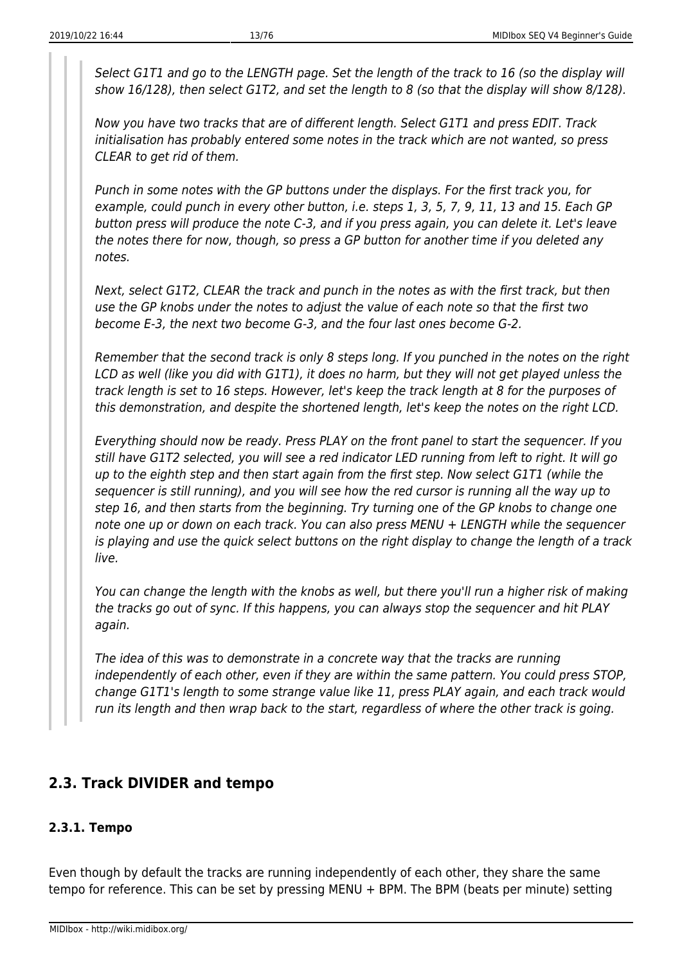Select G1T1 and go to the LENGTH page. Set the length of the track to 16 (so the display will show 16/128), then select G1T2, and set the length to 8 (so that the display will show 8/128).

Now you have two tracks that are of different length. Select G1T1 and press EDIT. Track initialisation has probably entered some notes in the track which are not wanted, so press CLEAR to get rid of them.

Punch in some notes with the GP buttons under the displays. For the first track you, for example, could punch in every other button, i.e. steps 1, 3, 5, 7, 9, 11, 13 and 15. Each GP button press will produce the note C-3, and if you press again, you can delete it. Let's leave the notes there for now, though, so press a GP button for another time if you deleted any notes.

Next, select G1T2, CLEAR the track and punch in the notes as with the first track, but then use the GP knobs under the notes to adjust the value of each note so that the first two become E-3, the next two become G-3, and the four last ones become G-2.

Remember that the second track is only 8 steps long. If you punched in the notes on the right LCD as well (like you did with G1T1), it does no harm, but they will not get played unless the track length is set to 16 steps. However, let's keep the track length at 8 for the purposes of this demonstration, and despite the shortened length, let's keep the notes on the right LCD.

Everything should now be ready. Press PLAY on the front panel to start the sequencer. If you still have G1T2 selected, you will see a red indicator LED running from left to right. It will go up to the eighth step and then start again from the first step. Now select G1T1 (while the sequencer is still running), and you will see how the red cursor is running all the way up to step 16, and then starts from the beginning. Try turning one of the GP knobs to change one note one up or down on each track. You can also press MENU + LENGTH while the sequencer is playing and use the quick select buttons on the right display to change the length of a track live.

You can change the length with the knobs as well, but there you'll run a higher risk of making the tracks go out of sync. If this happens, you can always stop the sequencer and hit PLAY again.

The idea of this was to demonstrate in a concrete way that the tracks are running independently of each other, even if they are within the same pattern. You could press STOP, change G1T1's length to some strange value like 11, press PLAY again, and each track would run its length and then wrap back to the start, regardless of where the other track is going.

# <span id="page-14-0"></span>**2.3. Track DIVIDER and tempo**

# **2.3.1. Tempo**

Even though by default the tracks are running independently of each other, they share the same tempo for reference. This can be set by pressing MENU + BPM. The BPM (beats per minute) setting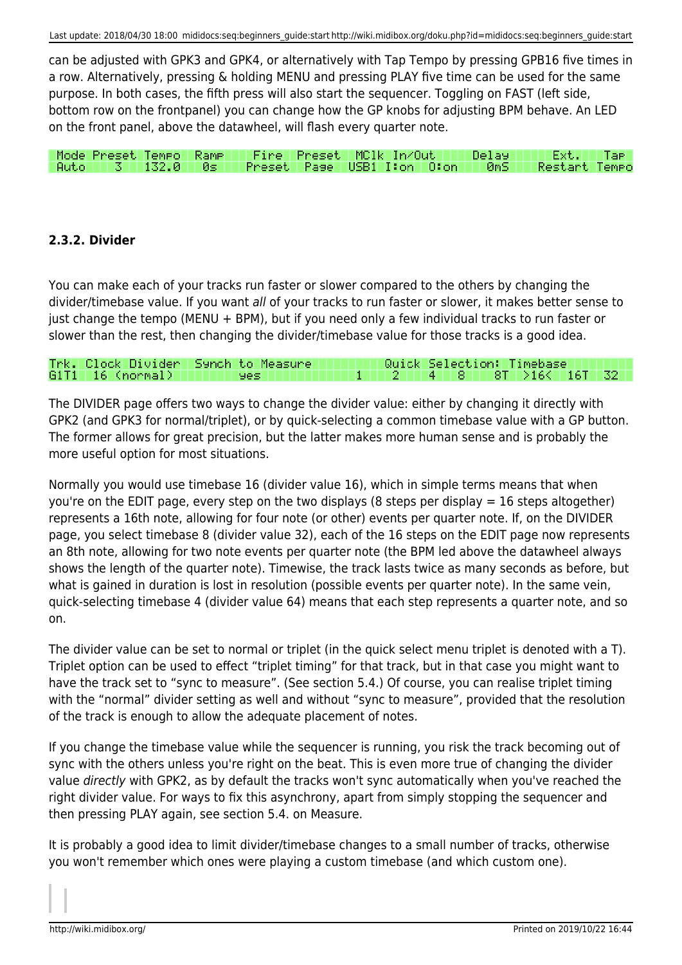can be adjusted with GPK3 and GPK4, or alternatively with Tap Tempo by pressing GPB16 five times in a row. Alternatively, pressing & holding MENU and pressing PLAY five time can be used for the same purpose. In both cases, the fifth press will also start the sequencer. Toggling on FAST (left side, bottom row on the frontpanel) you can change how the GP knobs for adjusting BPM behave. An LED on the front panel, above the datawheel, will flash every quarter note.

Mode Preset Tempo Rame. Fire Preset MC1k In/Out III Delay Ext. I Tae: **Auto** III  $3$  1132.0 Øs. Preset Page USB1 I:on 0:on 0mS Restart Tempo

# **2.3.2. Divider**

You can make each of your tracks run faster or slower compared to the others by changing the divider/timebase value. If you want all of your tracks to run faster or slower, it makes better sense to just change the tempo (MENU + BPM), but if you need only a few individual tracks to run faster or slower than the rest, then changing the divider/timebase value for those tracks is a good idea.

#### Trk. Clock Divider Synch to Measure Quick Selection: Timebase 4. G1T1 16 (normal)  $8T$  >16< 16T 321 **yes** 2 8. 1

The DIVIDER page offers two ways to change the divider value: either by changing it directly with GPK2 (and GPK3 for normal/triplet), or by quick-selecting a common timebase value with a GP button. The former allows for great precision, but the latter makes more human sense and is probably the more useful option for most situations.

Normally you would use timebase 16 (divider value 16), which in simple terms means that when you're on the EDIT page, every step on the two displays (8 steps per display = 16 steps altogether) represents a 16th note, allowing for four note (or other) events per quarter note. If, on the DIVIDER page, you select timebase 8 (divider value 32), each of the 16 steps on the EDIT page now represents an 8th note, allowing for two note events per quarter note (the BPM led above the datawheel always shows the length of the quarter note). Timewise, the track lasts twice as many seconds as before, but what is gained in duration is lost in resolution (possible events per quarter note). In the same vein, quick-selecting timebase 4 (divider value 64) means that each step represents a quarter note, and so on.

The divider value can be set to normal or triplet (in the quick select menu triplet is denoted with a T). Triplet option can be used to effect "triplet timing" for that track, but in that case you might want to have the track set to "sync to measure". (See section 5.4.) Of course, you can realise triplet timing with the "normal" divider setting as well and without "sync to measure", provided that the resolution of the track is enough to allow the adequate placement of notes.

If you change the timebase value while the sequencer is running, you risk the track becoming out of sync with the others unless you're right on the beat. This is even more true of changing the divider value *directly* with GPK2, as by default the tracks won't sync automatically when you've reached the right divider value. For ways to fix this asynchrony, apart from simply stopping the sequencer and then pressing PLAY again, see section 5.4. on Measure.

It is probably a good idea to limit divider/timebase changes to a small number of tracks, otherwise you won't remember which ones were playing a custom timebase (and which custom one).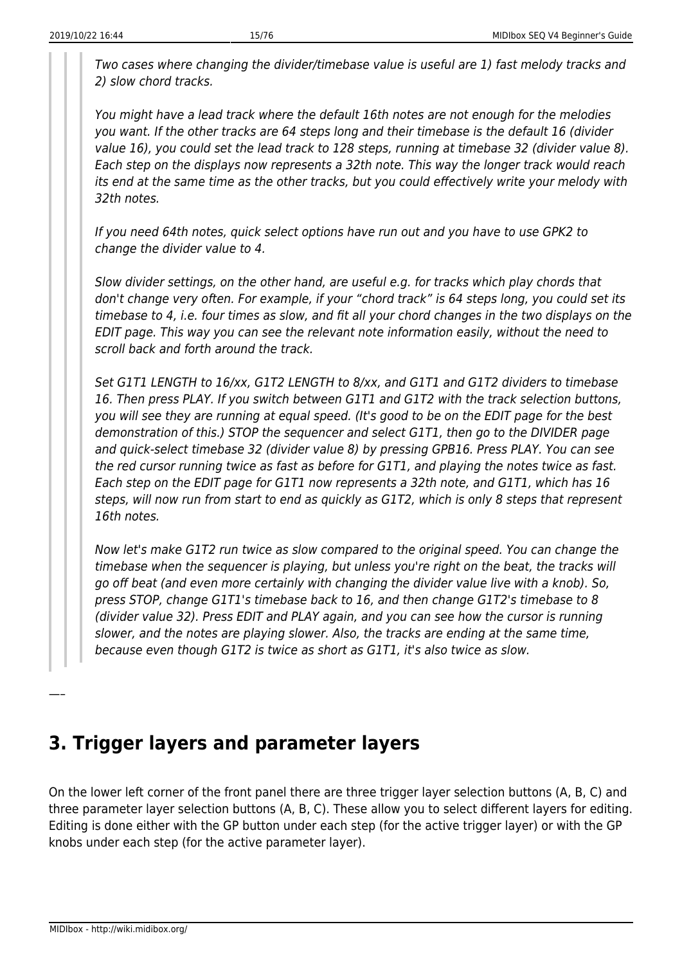Two cases where changing the divider/timebase value is useful are 1) fast melody tracks and 2) slow chord tracks.

You might have a lead track where the default 16th notes are not enough for the melodies you want. If the other tracks are 64 steps long and their timebase is the default 16 (divider value 16), you could set the lead track to 128 steps, running at timebase 32 (divider value 8). Each step on the displays now represents a 32th note. This way the longer track would reach its end at the same time as the other tracks, but you could effectively write your melody with 32th notes.

If you need 64th notes, quick select options have run out and you have to use GPK2 to change the divider value to 4.

Slow divider settings, on the other hand, are useful e.g. for tracks which play chords that don't change very often. For example, if your "chord track" is 64 steps long, you could set its timebase to 4, i.e. four times as slow, and fit all your chord changes in the two displays on the EDIT page. This way you can see the relevant note information easily, without the need to scroll back and forth around the track.

Set G1T1 LENGTH to 16/xx, G1T2 LENGTH to 8/xx, and G1T1 and G1T2 dividers to timebase 16. Then press PLAY. If you switch between G1T1 and G1T2 with the track selection buttons, you will see they are running at equal speed. (It's good to be on the EDIT page for the best demonstration of this.) STOP the sequencer and select G1T1, then go to the DIVIDER page and quick-select timebase 32 (divider value 8) by pressing GPB16. Press PLAY. You can see the red cursor running twice as fast as before for G1T1, and playing the notes twice as fast. Each step on the EDIT page for G1T1 now represents a 32th note, and G1T1, which has 16 steps, will now run from start to end as quickly as G1T2, which is only 8 steps that represent 16th notes.

Now let's make G1T2 run twice as slow compared to the original speed. You can change the timebase when the sequencer is playing, but unless you're right on the beat, the tracks will go off beat (and even more certainly with changing the divider value live with a knob). So, press STOP, change G1T1's timebase back to 16, and then change G1T2's timebase to 8 (divider value 32). Press EDIT and PLAY again, and you can see how the cursor is running slower, and the notes are playing slower. Also, the tracks are ending at the same time, because even though G1T2 is twice as short as G1T1, it's also twice as slow.

# <span id="page-16-0"></span>**3. Trigger layers and parameter layers**

On the lower left corner of the front panel there are three trigger layer selection buttons (A, B, C) and three parameter layer selection buttons (A, B, C). These allow you to select different layers for editing. Editing is done either with the GP button under each step (for the active trigger layer) or with the GP knobs under each step (for the active parameter layer).

—–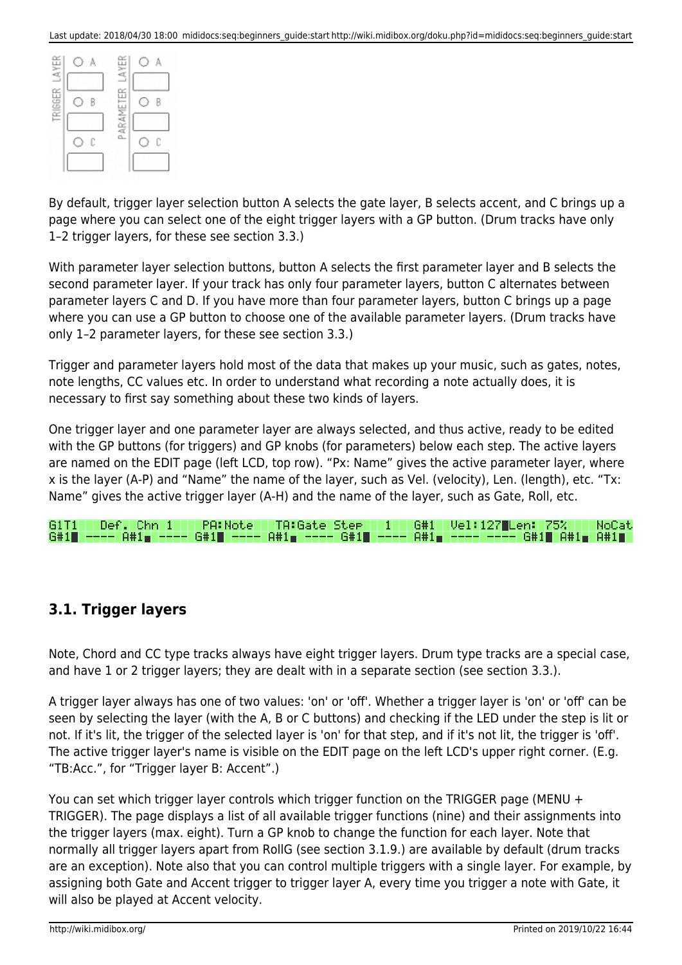|               |   | LAYER   |   |
|---------------|---|---------|---|
| TRIGGER LAYER | B | EK      | R |
|               | C | PARAMET | C |
|               |   |         |   |

By default, trigger layer selection button A selects the gate layer, B selects accent, and C brings up a page where you can select one of the eight trigger layers with a GP button. (Drum tracks have only 1–2 trigger layers, for these see section 3.3.)

With parameter layer selection buttons, button A selects the first parameter layer and B selects the second parameter layer. If your track has only four parameter layers, button C alternates between parameter layers C and D. If you have more than four parameter layers, button C brings up a page where you can use a GP button to choose one of the available parameter layers. (Drum tracks have only 1–2 parameter layers, for these see section 3.3.)

Trigger and parameter layers hold most of the data that makes up your music, such as gates, notes, note lengths, CC values etc. In order to understand what recording a note actually does, it is necessary to first say something about these two kinds of layers.

One trigger layer and one parameter layer are always selected, and thus active, ready to be edited with the GP buttons (for triggers) and GP knobs (for parameters) below each step. The active layers are named on the EDIT page (left LCD, top row). "Px: Name" gives the active parameter layer, where x is the layer (A-P) and "Name" the name of the layer, such as Vel. (velocity), Len. (length), etc. "Tx: Name" gives the active trigger layer (A-H) and the name of the layer, such as Gate, Roll, etc.

| G1T1 Def. Chn 1 I |  |  |  | PA:Note TA:Gate Stee 1 |  | G#1   Vel:127  Len:  75%     NoCat                                                |  |  |
|-------------------|--|--|--|------------------------|--|-----------------------------------------------------------------------------------|--|--|
|                   |  |  |  |                        |  | G#1■ ---- A#1■ ---- G#1■ ---- A#1■ ---- G#1■ ---- A#1■ ---- ---- G#1■ A#1■ A#1■ / |  |  |

# <span id="page-17-0"></span>**3.1. Trigger layers**

Note, Chord and CC type tracks always have eight trigger layers. Drum type tracks are a special case, and have 1 or 2 trigger layers; they are dealt with in a separate section (see section 3.3.).

A trigger layer always has one of two values: 'on' or 'off'. Whether a trigger layer is 'on' or 'off' can be seen by selecting the layer (with the A, B or C buttons) and checking if the LED under the step is lit or not. If it's lit, the trigger of the selected layer is 'on' for that step, and if it's not lit, the trigger is 'off'. The active trigger layer's name is visible on the EDIT page on the left LCD's upper right corner. (E.g. "TB:Acc.", for "Trigger layer B: Accent".)

You can set which trigger layer controls which trigger function on the TRIGGER page (MENU + TRIGGER). The page displays a list of all available trigger functions (nine) and their assignments into the trigger layers (max. eight). Turn a GP knob to change the function for each layer. Note that normally all trigger layers apart from RollG (see section 3.1.9.) are available by default (drum tracks are an exception). Note also that you can control multiple triggers with a single layer. For example, by assigning both Gate and Accent trigger to trigger layer A, every time you trigger a note with Gate, it will also be played at Accent velocity.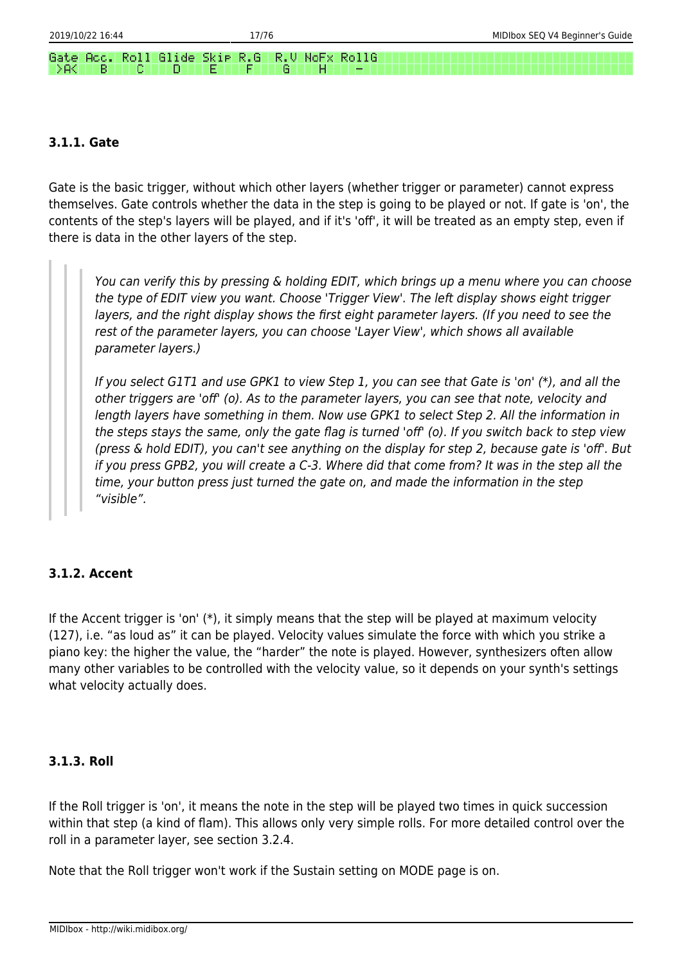#### Skie. R.G R.U NoFx RollG Gate Acc. Roll Glide DBK⊟ B. n F G

### **3.1.1. Gate**

Gate is the basic trigger, without which other layers (whether trigger or parameter) cannot express themselves. Gate controls whether the data in the step is going to be played or not. If gate is 'on', the contents of the step's layers will be played, and if it's 'off', it will be treated as an empty step, even if there is data in the other layers of the step.

You can verify this by pressing & holding EDIT, which brings up a menu where you can choose the type of EDIT view you want. Choose 'Trigger View'. The left display shows eight trigger layers, and the right display shows the first eight parameter layers. (If you need to see the rest of the parameter layers, you can choose 'Layer View', which shows all available parameter layers.)

If you select G1T1 and use GPK1 to view Step 1, you can see that Gate is 'on' (\*), and all the other triggers are 'off' (o). As to the parameter layers, you can see that note, velocity and length layers have something in them. Now use GPK1 to select Step 2. All the information in the steps stays the same, only the gate flag is turned 'off' (o). If you switch back to step view (press & hold EDIT), you can't see anything on the display for step 2, because gate is 'off'. But if you press GPB2, you will create a C-3. Where did that come from? It was in the step all the time, your button press just turned the gate on, and made the information in the step "visible".

# **3.1.2. Accent**

If the Accent trigger is 'on' (\*), it simply means that the step will be played at maximum velocity (127), i.e. "as loud as" it can be played. Velocity values simulate the force with which you strike a piano key: the higher the value, the "harder" the note is played. However, synthesizers often allow many other variables to be controlled with the velocity value, so it depends on your synth's settings what velocity actually does.

### **3.1.3. Roll**

If the Roll trigger is 'on', it means the note in the step will be played two times in quick succession within that step (a kind of flam). This allows only very simple rolls. For more detailed control over the roll in a parameter layer, see section 3.2.4.

Note that the Roll trigger won't work if the Sustain setting on MODE page is on.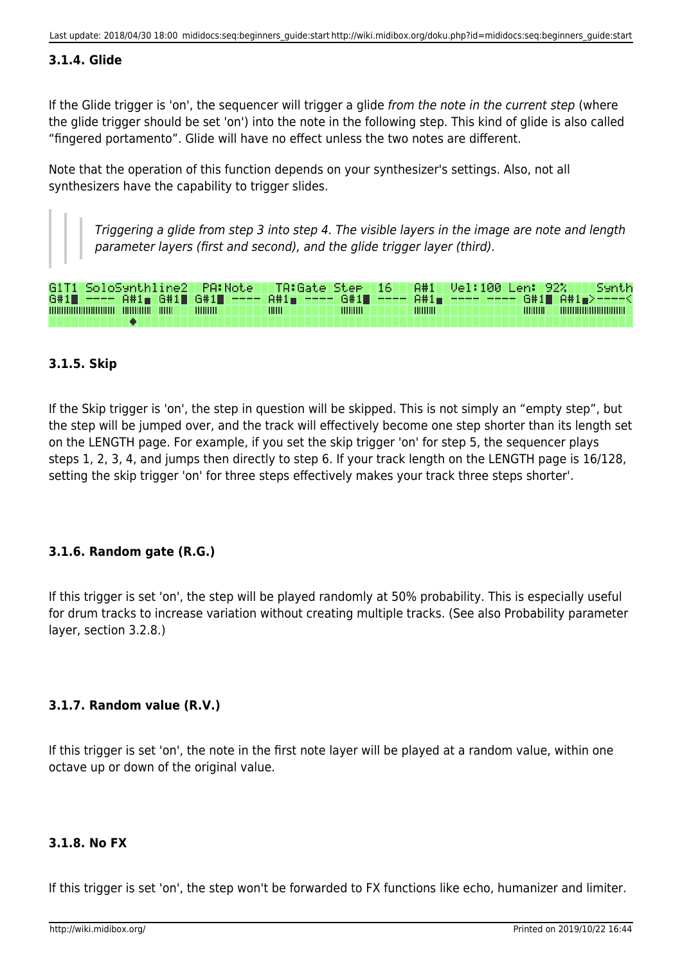# **3.1.4. Glide**

If the Glide trigger is 'on', the sequencer will trigger a glide from the note in the current step (where the glide trigger should be set 'on') into the note in the following step. This kind of glide is also called "fingered portamento". Glide will have no effect unless the two notes are different.

Note that the operation of this function depends on your synthesizer's settings. Also, not all synthesizers have the capability to trigger slides.

Triggering a glide from step 3 into step 4. The visible layers in the image are note and length parameter layers (first and second), and the glide trigger layer (third).

| G1T1 SoloSynthline2   PA:Note   TA:Gate Step   16   A#1   Vel:100 Len: 92%     Synth |  |                  |              |                 |           |           |                            |  |
|--------------------------------------------------------------------------------------|--|------------------|--------------|-----------------|-----------|-----------|----------------------------|--|
| G#1■ ---- A#1■ G#1■ G#1■ ---- A#1■ ---- G#1■ ---- A#1■ ---- ---- G#1■ A#1■>----<     |  |                  |              |                 |           |           |                            |  |
|                                                                                      |  | <b>THILLILLE</b> | <b>THILL</b> | <b>THITHITI</b> | 111111111 | 111111111 | ,,,,,,,,,,,,,,,,,,,,,,,,,, |  |
|                                                                                      |  |                  |              |                 |           |           |                            |  |

# **3.1.5. Skip**

If the Skip trigger is 'on', the step in question will be skipped. This is not simply an "empty step", but the step will be jumped over, and the track will effectively become one step shorter than its length set on the LENGTH page. For example, if you set the skip trigger 'on' for step 5, the sequencer plays steps 1, 2, 3, 4, and jumps then directly to step 6. If your track length on the LENGTH page is 16/128, setting the skip trigger 'on' for three steps effectively makes your track three steps shorter'.

# **3.1.6. Random gate (R.G.)**

If this trigger is set 'on', the step will be played randomly at 50% probability. This is especially useful for drum tracks to increase variation without creating multiple tracks. (See also Probability parameter layer, section 3.2.8.)

# **3.1.7. Random value (R.V.)**

If this trigger is set 'on', the note in the first note layer will be played at a random value, within one octave up or down of the original value.

#### **3.1.8. No FX**

If this trigger is set 'on', the step won't be forwarded to FX functions like echo, humanizer and limiter.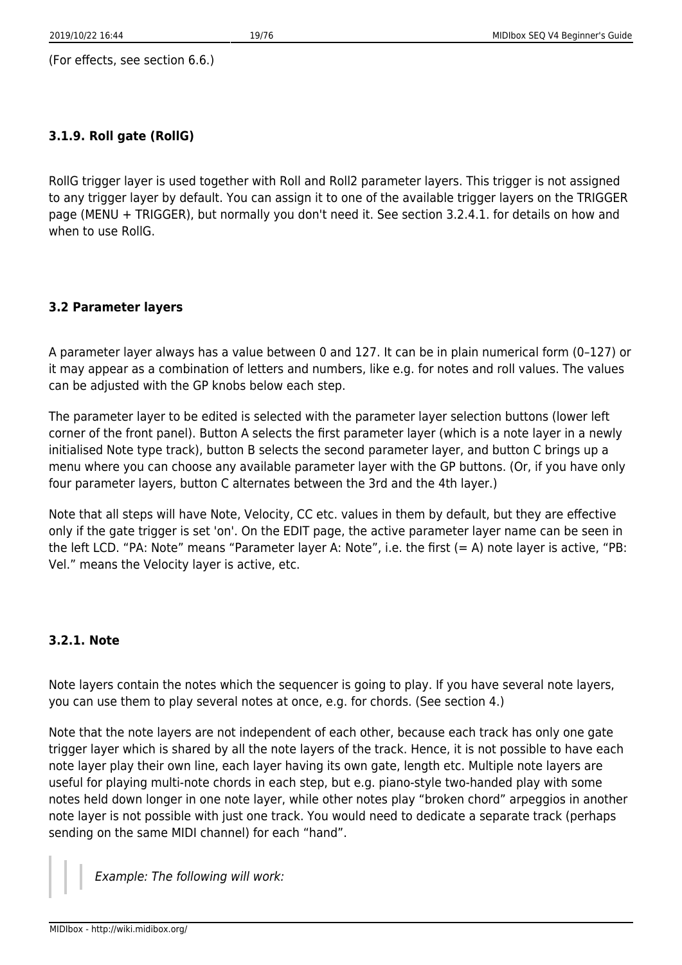(For effects, see section 6.6.)

### **3.1.9. Roll gate (RollG)**

RollG trigger layer is used together with Roll and Roll2 parameter layers. This trigger is not assigned to any trigger layer by default. You can assign it to one of the available trigger layers on the TRIGGER page (MENU + TRIGGER), but normally you don't need it. See section 3.2.4.1. for details on how and when to use RollG.

### **3.2 Parameter layers**

A parameter layer always has a value between 0 and 127. It can be in plain numerical form (0–127) or it may appear as a combination of letters and numbers, like e.g. for notes and roll values. The values can be adjusted with the GP knobs below each step.

The parameter layer to be edited is selected with the parameter layer selection buttons (lower left corner of the front panel). Button A selects the first parameter layer (which is a note layer in a newly initialised Note type track), button B selects the second parameter layer, and button C brings up a menu where you can choose any available parameter layer with the GP buttons. (Or, if you have only four parameter layers, button C alternates between the 3rd and the 4th layer.)

Note that all steps will have Note, Velocity, CC etc. values in them by default, but they are effective only if the gate trigger is set 'on'. On the EDIT page, the active parameter layer name can be seen in the left LCD. "PA: Note" means "Parameter layer A: Note", i.e. the first (= A) note layer is active, "PB: Vel." means the Velocity layer is active, etc.

#### **3.2.1. Note**

Note layers contain the notes which the sequencer is going to play. If you have several note layers, you can use them to play several notes at once, e.g. for chords. (See section 4.)

Note that the note layers are not independent of each other, because each track has only one gate trigger layer which is shared by all the note layers of the track. Hence, it is not possible to have each note layer play their own line, each layer having its own gate, length etc. Multiple note layers are useful for playing multi-note chords in each step, but e.g. piano-style two-handed play with some notes held down longer in one note layer, while other notes play "broken chord" arpeggios in another note layer is not possible with just one track. You would need to dedicate a separate track (perhaps sending on the same MIDI channel) for each "hand".

Example: The following will work: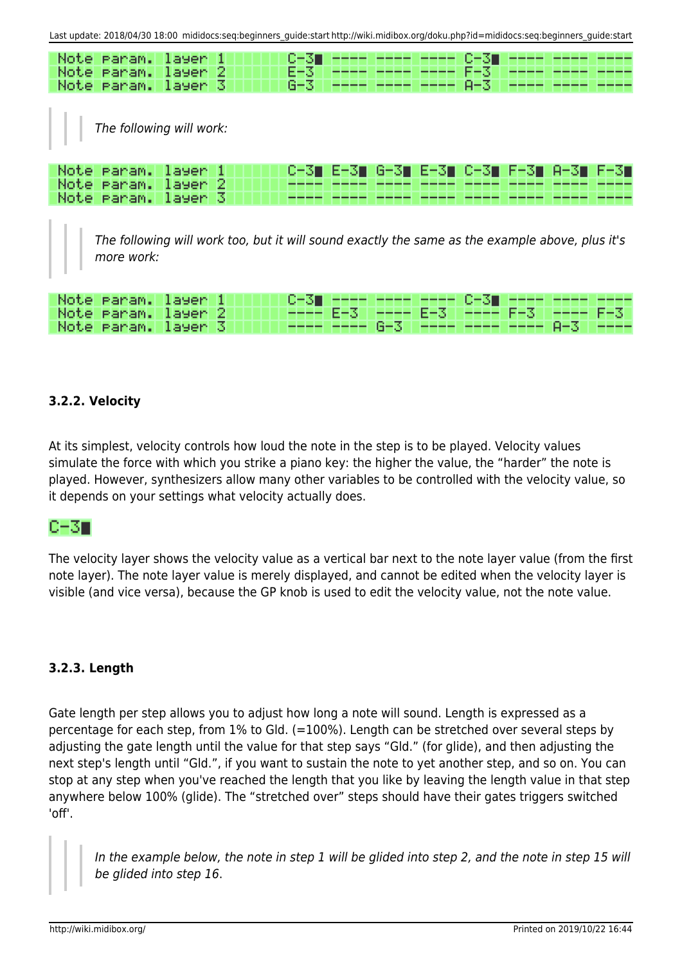| Last update: 2018/04/30 18:00 mididocs:seq:beginners guide:start http://wiki.midibox.org/doku.php?id=mididocs:seq:beginners guide:start                     |
|-------------------------------------------------------------------------------------------------------------------------------------------------------------|
| Note<br>0-31<br>C-31<br>ranam.<br>layen<br>F-3<br>Note<br>E-31<br>2<br>layer<br>Param.<br>$G - 3$<br>Note<br>A-3<br>13<br>layer<br>ranam.                   |
| The following will work:                                                                                                                                    |
| Note<br>E-31 C-31 I<br>ranam.<br>6-31<br>H-3T<br>EEST<br>G-31.<br>U-SII.<br>layen<br>EES 1<br>Note<br>layer<br>2<br>ranam.<br>Note<br>13<br>layer<br>ranam. |
| The following will work too, but it will sound exactly the same as the example above, plus it's<br>more work:                                               |

| Note Param. layer 1 |  | 'C-3∎ ---- ---- ---- C-3∎ ---- ---- ----  |  |  |  |
|---------------------|--|-------------------------------------------|--|--|--|
| Note Param. layer 2 |  | ---- E-3   ---- E-3   ---- F-3   ---- F-3 |  |  |  |
| Note Param. layer 3 |  | (www.www.G-3   www.www.www.A-3   www      |  |  |  |

# **3.2.2. Velocity**

At its simplest, velocity controls how loud the note in the step is to be played. Velocity values simulate the force with which you strike a piano key: the higher the value, the "harder" the note is played. However, synthesizers allow many other variables to be controlled with the velocity value, so it depends on your settings what velocity actually does.

# C-31

The velocity layer shows the velocity value as a vertical bar next to the note layer value (from the first note layer). The note layer value is merely displayed, and cannot be edited when the velocity layer is visible (and vice versa), because the GP knob is used to edit the velocity value, not the note value.

# **3.2.3. Length**

Gate length per step allows you to adjust how long a note will sound. Length is expressed as a percentage for each step, from 1% to Gld. (=100%). Length can be stretched over several steps by adjusting the gate length until the value for that step says "Gld." (for glide), and then adjusting the next step's length until "Gld.", if you want to sustain the note to yet another step, and so on. You can stop at any step when you've reached the length that you like by leaving the length value in that step anywhere below 100% (glide). The "stretched over" steps should have their gates triggers switched 'off'.

In the example below, the note in step 1 will be glided into step 2, and the note in step 15 will be glided into step 16.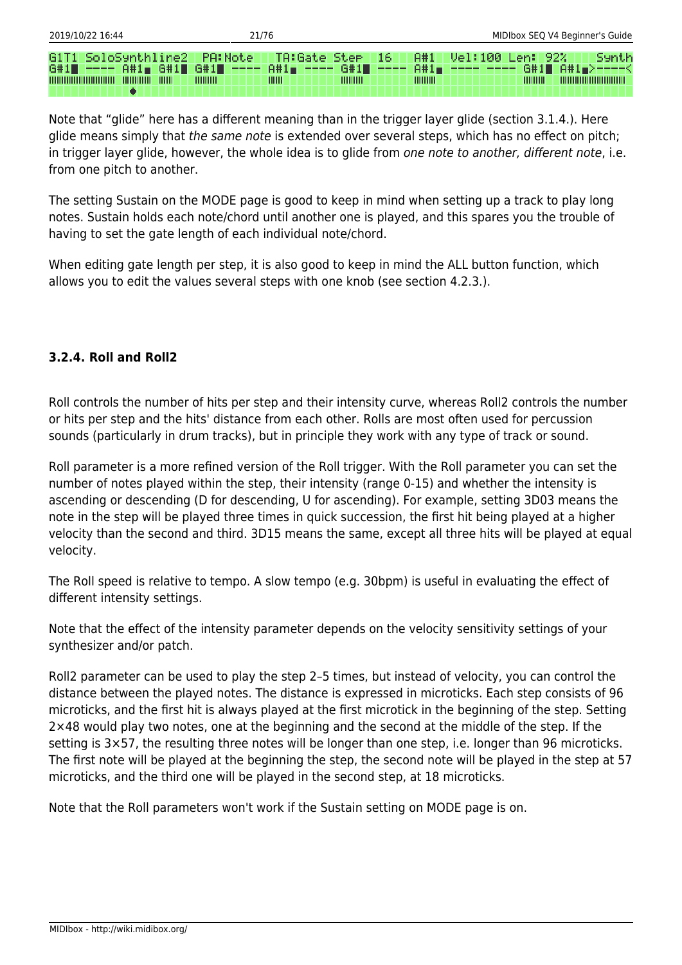| G1T1 SoloSynthline2    PA:Note    TA:Gate Step    16          1A#1          Uel:100    Len: 92% |                  |               |            | 'Synth                                                                           |
|-------------------------------------------------------------------------------------------------|------------------|---------------|------------|----------------------------------------------------------------------------------|
|                                                                                                 |                  |               |            | G#1■ ---- A#1■ G#1■ G#1■ ---- A#1■ ---- G#1■ ---- A#1■ ---- ---- G#1■ A#1■>----< |
| <b>THURBOUT THEFT</b><br>,,,,,,,,,,,,,,,,,,,,,,,,,,,,                                           | <b>THILLILLE</b> | IIIIII<br>ШШШ | IIIIIIIIII | $\frac{1}{2}$<br>,,,,,,,,,,,,,,,,,,,,,,,,,,                                      |

Note that "glide" here has a different meaning than in the trigger layer glide (section 3.1.4.). Here glide means simply that the same note is extended over several steps, which has no effect on pitch; in trigger layer glide, however, the whole idea is to glide from one note to another, different note, i.e. from one pitch to another.

The setting Sustain on the MODE page is good to keep in mind when setting up a track to play long notes. Sustain holds each note/chord until another one is played, and this spares you the trouble of having to set the gate length of each individual note/chord.

When editing gate length per step, it is also good to keep in mind the ALL button function, which allows you to edit the values several steps with one knob (see section 4.2.3.).

# **3.2.4. Roll and Roll2**

Roll controls the number of hits per step and their intensity curve, whereas Roll2 controls the number or hits per step and the hits' distance from each other. Rolls are most often used for percussion sounds (particularly in drum tracks), but in principle they work with any type of track or sound.

Roll parameter is a more refined version of the Roll trigger. With the Roll parameter you can set the number of notes played within the step, their intensity (range 0-15) and whether the intensity is ascending or descending (D for descending, U for ascending). For example, setting 3D03 means the note in the step will be played three times in quick succession, the first hit being played at a higher velocity than the second and third. 3D15 means the same, except all three hits will be played at equal velocity.

The Roll speed is relative to tempo. A slow tempo (e.g. 30bpm) is useful in evaluating the effect of different intensity settings.

Note that the effect of the intensity parameter depends on the velocity sensitivity settings of your synthesizer and/or patch.

Roll2 parameter can be used to play the step 2–5 times, but instead of velocity, you can control the distance between the played notes. The distance is expressed in microticks. Each step consists of 96 microticks, and the first hit is always played at the first microtick in the beginning of the step. Setting 2×48 would play two notes, one at the beginning and the second at the middle of the step. If the setting is 3×57, the resulting three notes will be longer than one step, i.e. longer than 96 microticks. The first note will be played at the beginning the step, the second note will be played in the step at 57 microticks, and the third one will be played in the second step, at 18 microticks.

Note that the Roll parameters won't work if the Sustain setting on MODE page is on.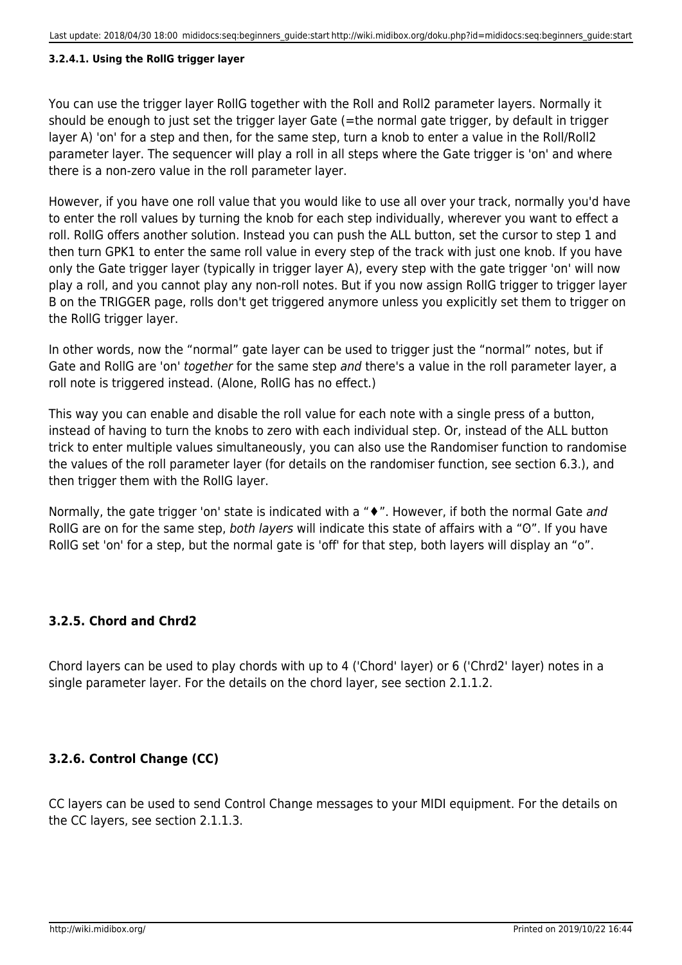#### **3.2.4.1. Using the RollG trigger layer**

You can use the trigger layer RollG together with the Roll and Roll2 parameter layers. Normally it should be enough to just set the trigger layer Gate (=the normal gate trigger, by default in trigger layer A) 'on' for a step and then, for the same step, turn a knob to enter a value in the Roll/Roll2 parameter layer. The sequencer will play a roll in all steps where the Gate trigger is 'on' and where there is a non-zero value in the roll parameter layer.

However, if you have one roll value that you would like to use all over your track, normally you'd have to enter the roll values by turning the knob for each step individually, wherever you want to effect a roll. RollG offers another solution. Instead you can push the ALL button, set the cursor to step 1 and then turn GPK1 to enter the same roll value in every step of the track with just one knob. If you have only the Gate trigger layer (typically in trigger layer A), every step with the gate trigger 'on' will now play a roll, and you cannot play any non-roll notes. But if you now assign RollG trigger to trigger layer B on the TRIGGER page, rolls don't get triggered anymore unless you explicitly set them to trigger on the RollG trigger layer.

In other words, now the "normal" gate layer can be used to trigger just the "normal" notes, but if Gate and RollG are 'on' together for the same step and there's a value in the roll parameter layer, a roll note is triggered instead. (Alone, RollG has no effect.)

This way you can enable and disable the roll value for each note with a single press of a button, instead of having to turn the knobs to zero with each individual step. Or, instead of the ALL button trick to enter multiple values simultaneously, you can also use the Randomiser function to randomise the values of the roll parameter layer (for details on the randomiser function, see section 6.3.), and then trigger them with the RollG layer.

Normally, the gate trigger 'on' state is indicated with a "♦". However, if both the normal Gate and RollG are on for the same step, both layers will indicate this state of affairs with a "O". If you have RollG set 'on' for a step, but the normal gate is 'off' for that step, both layers will display an "o".

# **3.2.5. Chord and Chrd2**

Chord layers can be used to play chords with up to 4 ('Chord' layer) or 6 ('Chrd2' layer) notes in a single parameter layer. For the details on the chord layer, see section 2.1.1.2.

# **3.2.6. Control Change (CC)**

CC layers can be used to send Control Change messages to your MIDI equipment. For the details on the CC layers, see section 2.1.1.3.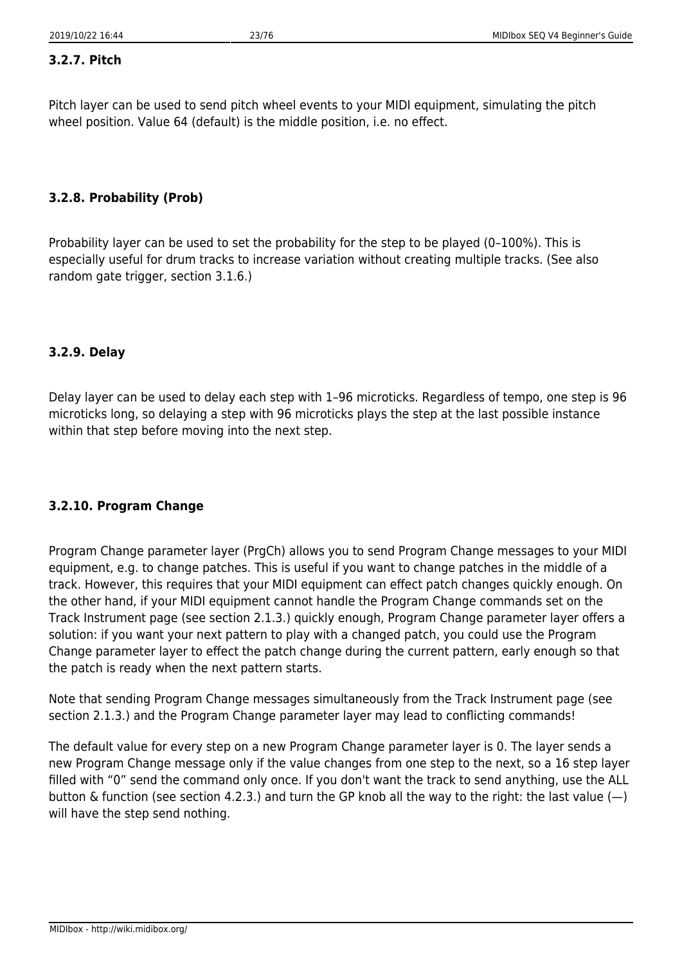# **3.2.7. Pitch**

Pitch layer can be used to send pitch wheel events to your MIDI equipment, simulating the pitch wheel position. Value 64 (default) is the middle position, i.e. no effect.

# **3.2.8. Probability (Prob)**

Probability layer can be used to set the probability for the step to be played (0–100%). This is especially useful for drum tracks to increase variation without creating multiple tracks. (See also random gate trigger, section 3.1.6.)

# **3.2.9. Delay**

Delay layer can be used to delay each step with 1–96 microticks. Regardless of tempo, one step is 96 microticks long, so delaying a step with 96 microticks plays the step at the last possible instance within that step before moving into the next step.

# **3.2.10. Program Change**

Program Change parameter layer (PrgCh) allows you to send Program Change messages to your MIDI equipment, e.g. to change patches. This is useful if you want to change patches in the middle of a track. However, this requires that your MIDI equipment can effect patch changes quickly enough. On the other hand, if your MIDI equipment cannot handle the Program Change commands set on the Track Instrument page (see section 2.1.3.) quickly enough, Program Change parameter layer offers a solution: if you want your next pattern to play with a changed patch, you could use the Program Change parameter layer to effect the patch change during the current pattern, early enough so that the patch is ready when the next pattern starts.

Note that sending Program Change messages simultaneously from the Track Instrument page (see section 2.1.3.) and the Program Change parameter layer may lead to conflicting commands!

The default value for every step on a new Program Change parameter layer is 0. The layer sends a new Program Change message only if the value changes from one step to the next, so a 16 step layer filled with "0" send the command only once. If you don't want the track to send anything, use the ALL button & function (see section 4.2.3.) and turn the GP knob all the way to the right: the last value  $(-)$ will have the step send nothing.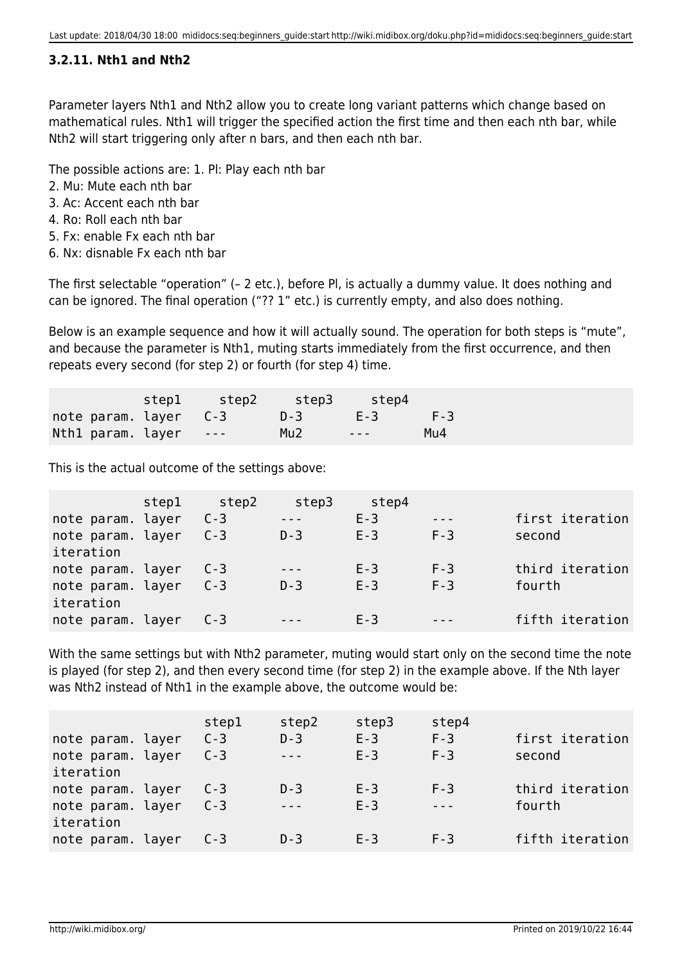# **3.2.11. Nth1 and Nth2**

Parameter layers Nth1 and Nth2 allow you to create long variant patterns which change based on mathematical rules. Nth1 will trigger the specified action the first time and then each nth bar, while Nth2 will start triggering only after n bars, and then each nth bar.

The possible actions are: 1. Pl: Play each nth bar

- 2. Mu: Mute each nth bar
- 3. Ac: Accent each nth bar
- 4. Ro: Roll each nth bar
- 5. Fx: enable Fx each nth bar
- 6. Nx: disnable Fx each nth bar

The first selectable "operation" (– 2 etc.), before Pl, is actually a dummy value. It does nothing and can be ignored. The final operation ("?? 1" etc.) is currently empty, and also does nothing.

Below is an example sequence and how it will actually sound. The operation for both steps is "mute", and because the parameter is Nth1, muting starts immediately from the first occurrence, and then repeats every second (for step 2) or fourth (for step 4) time.

|                                   | stepl step2 step3 step4 |  |  |
|-----------------------------------|-------------------------|--|--|
| note param. layer C-3 D-3 E-3 F-3 |                         |  |  |
| Nth1 param. layer --- Mu2         |                         |  |  |

This is the actual outcome of the settings above:

|                   | step1 | step2   | step3 | step4   |         |                 |
|-------------------|-------|---------|-------|---------|---------|-----------------|
| note param. layer |       | $C - 3$ |       | $E-3$   | $- - -$ | first iteration |
| note param. layer |       | $C - 3$ | $D-3$ | $E - 3$ | $F-3$   | second          |
| iteration         |       |         |       |         |         |                 |
| note param. layer |       | $C - 3$ |       | $E - 3$ | $F-3$   | third iteration |
| note param. layer |       | $C-3$   | $D-3$ | $E - 3$ | $F-3$   | fourth          |
| iteration         |       |         |       |         |         |                 |
| note param. layer |       | $C - 3$ |       | $F-3$   |         | fifth iteration |

With the same settings but with Nth2 parameter, muting would start only on the second time the note is played (for step 2), and then every second time (for step 2) in the example above. If the Nth layer was Nth2 instead of Nth1 in the example above, the outcome would be:

| note param. layer<br>note param. layer<br>iteration | step1<br>$C - 3$<br>$C - 3$ | step2<br>$D-3$ | step3<br>$E - 3$<br>$E - 3$ | step4<br>$F - 3$<br>$F-3$ | first iteration<br>second |
|-----------------------------------------------------|-----------------------------|----------------|-----------------------------|---------------------------|---------------------------|
| note param. layer<br>note param. layer<br>iteration | $C - 3$<br>$C - 3$          | $D-3$          | $E - 3$<br>$E - 3$          | $F-3$<br>$- - -$          | third iteration<br>fourth |
| note param. layer                                   | $C - 3$                     | $D - 3$        | $E-3$                       | $F-3$                     | fifth iteration           |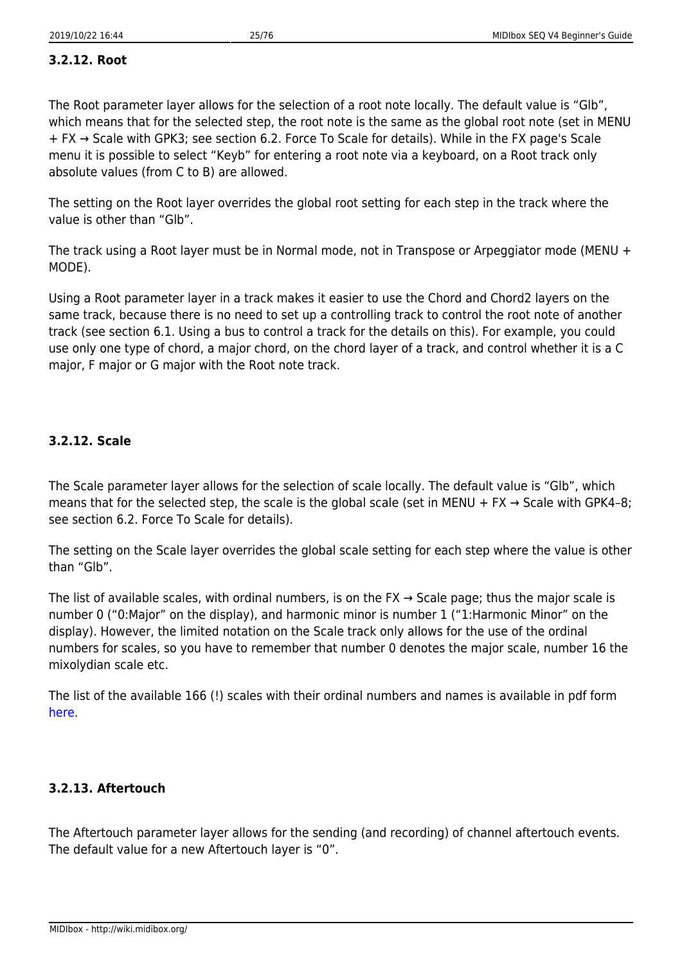# **3.2.12. Root**

The Root parameter layer allows for the selection of a root note locally. The default value is "Glb", which means that for the selected step, the root note is the same as the global root note (set in MENU + FX → Scale with GPK3; see section 6.2. Force To Scale for details). While in the FX page's Scale menu it is possible to select "Keyb" for entering a root note via a keyboard, on a Root track only absolute values (from C to B) are allowed.

The setting on the Root layer overrides the global root setting for each step in the track where the value is other than "Glb".

The track using a Root layer must be in Normal mode, not in Transpose or Arpeggiator mode (MENU + MODE).

Using a Root parameter layer in a track makes it easier to use the Chord and Chord2 layers on the same track, because there is no need to set up a controlling track to control the root note of another track (see section 6.1. Using a bus to control a track for the details on this). For example, you could use only one type of chord, a major chord, on the chord layer of a track, and control whether it is a C major, F major or G major with the Root note track.

# **3.2.12. Scale**

The Scale parameter layer allows for the selection of scale locally. The default value is "Glb", which means that for the selected step, the scale is the global scale (set in MENU + FX  $\rightarrow$  Scale with GPK4-8; see section 6.2. Force To Scale for details).

The setting on the Scale layer overrides the global scale setting for each step where the value is other than "Glb".

The list of available scales, with ordinal numbers, is on the FX  $\rightarrow$  Scale page; thus the major scale is number 0 ("0:Major" on the display), and harmonic minor is number 1 ("1:Harmonic Minor" on the display). However, the limited notation on the Scale track only allows for the use of the ordinal numbers for scales, so you have to remember that number 0 denotes the major scale, number 16 the mixolydian scale etc.

The list of the available 166 (!) scales with their ordinal numbers and names is available in pdf form [here](http://ucapps.de/midibox_seq/scalesMidiboxSeqv4.pdf).

# **3.2.13. Aftertouch**

The Aftertouch parameter layer allows for the sending (and recording) of channel aftertouch events. The default value for a new Aftertouch layer is "0".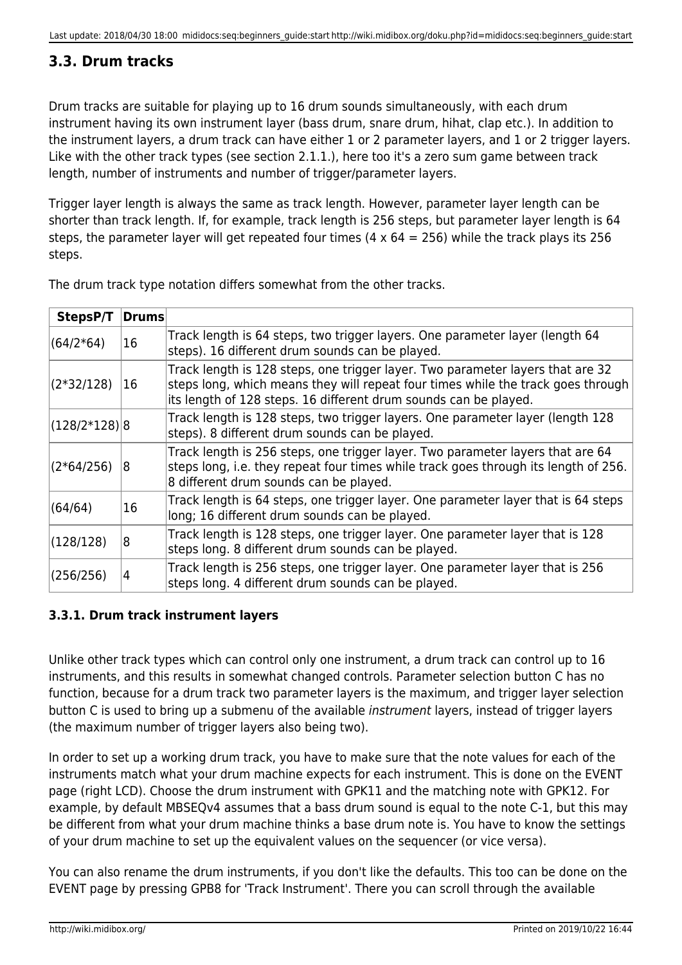# <span id="page-27-0"></span>**3.3. Drum tracks**

Drum tracks are suitable for playing up to 16 drum sounds simultaneously, with each drum instrument having its own instrument layer (bass drum, snare drum, hihat, clap etc.). In addition to the instrument layers, a drum track can have either 1 or 2 parameter layers, and 1 or 2 trigger layers. Like with the other track types (see section 2.1.1.), here too it's a zero sum game between track length, number of instruments and number of trigger/parameter layers.

Trigger layer length is always the same as track length. However, parameter layer length can be shorter than track length. If, for example, track length is 256 steps, but parameter layer length is 64 steps, the parameter layer will get repeated four times (4  $\times$  64 = 256) while the track plays its 256 steps.

| StepsP/T         | <b>Drums</b> |                                                                                                                                                                                                                                        |
|------------------|--------------|----------------------------------------------------------------------------------------------------------------------------------------------------------------------------------------------------------------------------------------|
| $(64/2*64)$      | 16           | Track length is 64 steps, two trigger layers. One parameter layer (length 64<br>steps). 16 different drum sounds can be played.                                                                                                        |
| $(2*32/128)$     | 16           | Track length is 128 steps, one trigger layer. Two parameter layers that are 32<br>steps long, which means they will repeat four times while the track goes through<br>its length of 128 steps. 16 different drum sounds can be played. |
| $ (128/2*128) 8$ |              | Track length is 128 steps, two trigger layers. One parameter layer (length 128<br>steps). 8 different drum sounds can be played.                                                                                                       |
| $(2*64/256)$     | 18           | Track length is 256 steps, one trigger layer. Two parameter layers that are 64<br>steps long, i.e. they repeat four times while track goes through its length of 256.<br>8 different drum sounds can be played.                        |
| (64/64)          | 16           | Track length is 64 steps, one trigger layer. One parameter layer that is 64 steps<br>long; 16 different drum sounds can be played.                                                                                                     |
| (128/128)        | 8            | Track length is 128 steps, one trigger layer. One parameter layer that is 128<br>steps long. 8 different drum sounds can be played.                                                                                                    |
| (256/256)        | 14           | Track length is 256 steps, one trigger layer. One parameter layer that is 256<br>steps long. 4 different drum sounds can be played.                                                                                                    |

The drum track type notation differs somewhat from the other tracks.

# **3.3.1. Drum track instrument layers**

Unlike other track types which can control only one instrument, a drum track can control up to 16 instruments, and this results in somewhat changed controls. Parameter selection button C has no function, because for a drum track two parameter layers is the maximum, and trigger layer selection button C is used to bring up a submenu of the available *instrument* layers, instead of trigger layers (the maximum number of trigger layers also being two).

In order to set up a working drum track, you have to make sure that the note values for each of the instruments match what your drum machine expects for each instrument. This is done on the EVENT page (right LCD). Choose the drum instrument with GPK11 and the matching note with GPK12. For example, by default MBSEQv4 assumes that a bass drum sound is equal to the note C-1, but this may be different from what your drum machine thinks a base drum note is. You have to know the settings of your drum machine to set up the equivalent values on the sequencer (or vice versa).

You can also rename the drum instruments, if you don't like the defaults. This too can be done on the EVENT page by pressing GPB8 for 'Track Instrument'. There you can scroll through the available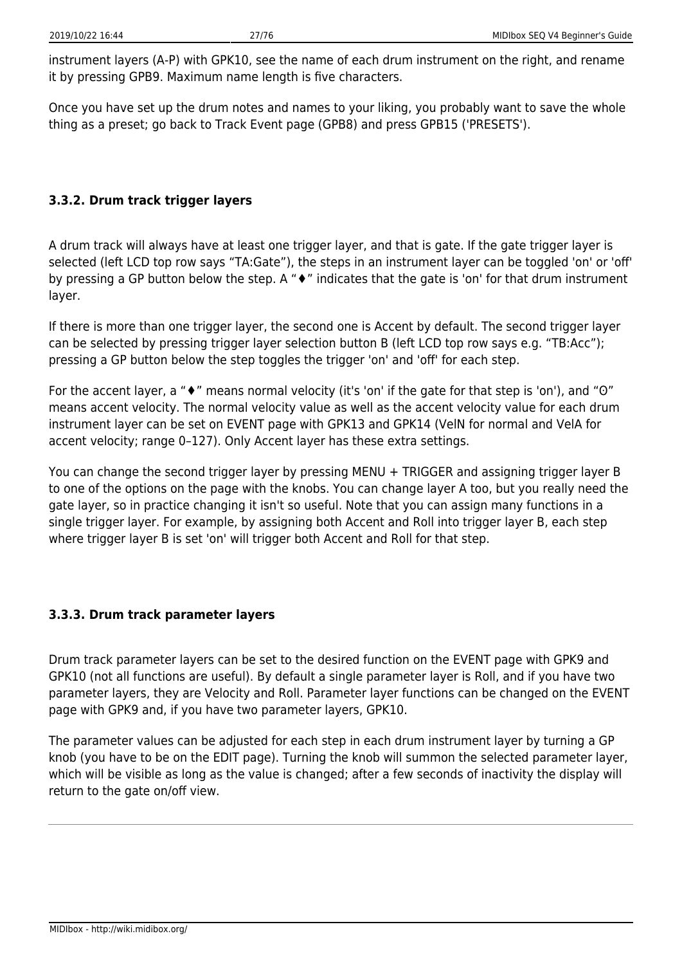instrument layers (A-P) with GPK10, see the name of each drum instrument on the right, and rename it by pressing GPB9. Maximum name length is five characters.

Once you have set up the drum notes and names to your liking, you probably want to save the whole thing as a preset; go back to Track Event page (GPB8) and press GPB15 ('PRESETS').

# **3.3.2. Drum track trigger layers**

A drum track will always have at least one trigger layer, and that is gate. If the gate trigger layer is selected (left LCD top row says "TA:Gate"), the steps in an instrument layer can be toggled 'on' or 'off' by pressing a GP button below the step. A "♦" indicates that the gate is 'on' for that drum instrument layer.

If there is more than one trigger layer, the second one is Accent by default. The second trigger layer can be selected by pressing trigger layer selection button B (left LCD top row says e.g. "TB:Acc"); pressing a GP button below the step toggles the trigger 'on' and 'off' for each step.

For the accent layer, a "♦" means normal velocity (it's 'on' if the gate for that step is 'on'), and "O" means accent velocity. The normal velocity value as well as the accent velocity value for each drum instrument layer can be set on EVENT page with GPK13 and GPK14 (VelN for normal and VelA for accent velocity; range 0–127). Only Accent layer has these extra settings.

You can change the second trigger layer by pressing MENU + TRIGGER and assigning trigger layer B to one of the options on the page with the knobs. You can change layer A too, but you really need the gate layer, so in practice changing it isn't so useful. Note that you can assign many functions in a single trigger layer. For example, by assigning both Accent and Roll into trigger layer B, each step where trigger layer B is set 'on' will trigger both Accent and Roll for that step.

# **3.3.3. Drum track parameter layers**

Drum track parameter layers can be set to the desired function on the EVENT page with GPK9 and GPK10 (not all functions are useful). By default a single parameter layer is Roll, and if you have two parameter layers, they are Velocity and Roll. Parameter layer functions can be changed on the EVENT page with GPK9 and, if you have two parameter layers, GPK10.

The parameter values can be adjusted for each step in each drum instrument layer by turning a GP knob (you have to be on the EDIT page). Turning the knob will summon the selected parameter layer, which will be visible as long as the value is changed; after a few seconds of inactivity the display will return to the gate on/off view.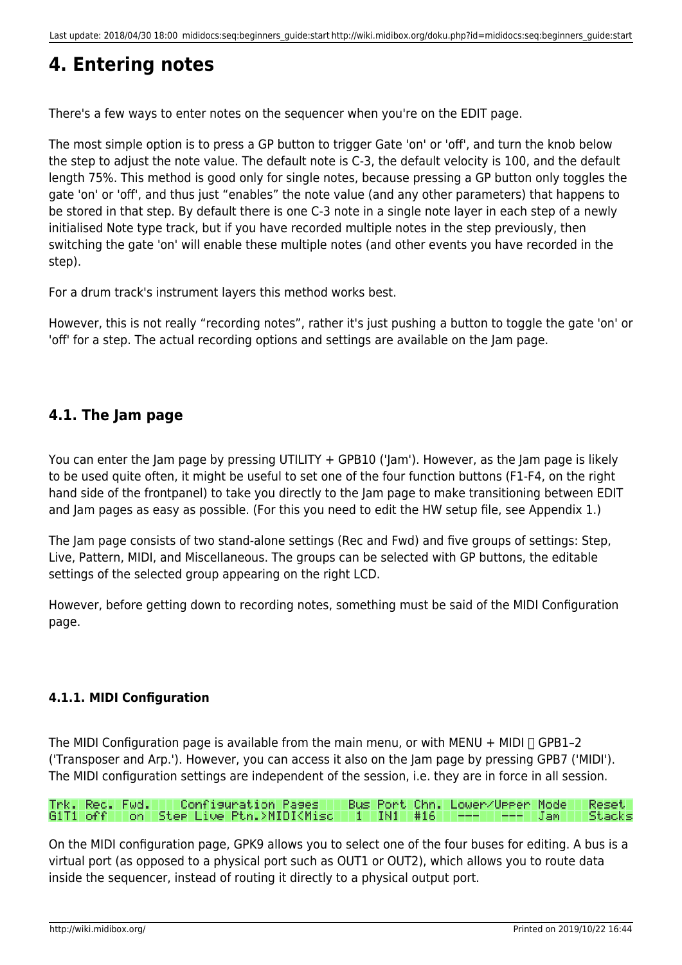# **4. Entering notes**

There's a few ways to enter notes on the sequencer when you're on the EDIT page.

The most simple option is to press a GP button to trigger Gate 'on' or 'off', and turn the knob below the step to adjust the note value. The default note is C-3, the default velocity is 100, and the default length 75%. This method is good only for single notes, because pressing a GP button only toggles the gate 'on' or 'off', and thus just "enables" the note value (and any other parameters) that happens to be stored in that step. By default there is one C-3 note in a single note layer in each step of a newly initialised Note type track, but if you have recorded multiple notes in the step previously, then switching the gate 'on' will enable these multiple notes (and other events you have recorded in the step).

For a drum track's instrument layers this method works best.

However, this is not really "recording notes", rather it's just pushing a button to toggle the gate 'on' or 'off' for a step. The actual recording options and settings are available on the Jam page.

# <span id="page-29-1"></span>**4.1. The Jam page**

You can enter the Jam page by pressing UTILITY + GPB10 ('Jam'). However, as the Jam page is likely to be used quite often, it might be useful to set one of the four function buttons (F1-F4, on the right hand side of the frontpanel) to take you directly to the Jam page to make transitioning between EDIT and Jam pages as easy as possible. (For this you need to edit the HW setup file, see Appendix 1.)

The Jam page consists of two stand-alone settings (Rec and Fwd) and five groups of settings: Step, Live, Pattern, MIDI, and Miscellaneous. The groups can be selected with GP buttons, the editable settings of the selected group appearing on the right LCD.

However, before getting down to recording notes, something must be said of the MIDI Configuration page.

# **4.1.1. MIDI Configuration**

The MIDI Configuration page is available from the main menu, or with MENU + MIDI  $\Box$  GPB1-2 ('Transposer and Arp.'). However, you can access it also on the Jam page by pressing GPB7 ('MIDI'). The MIDI configuration settings are independent of the session, i.e. they are in force in all session.

#### Trk. Rec. Fwd. Confisuration Pases Bus Port<br>G1T1 off on Ster Live Ptn.>MIDI<Misc 1 IN1 Bus Port Chn. Lower/Upper Mode Resetl #16 Stacks .Tam

<span id="page-29-0"></span>On the MIDI configuration page, GPK9 allows you to select one of the four buses for editing. A bus is a virtual port (as opposed to a physical port such as OUT1 or OUT2), which allows you to route data inside the sequencer, instead of routing it directly to a physical output port.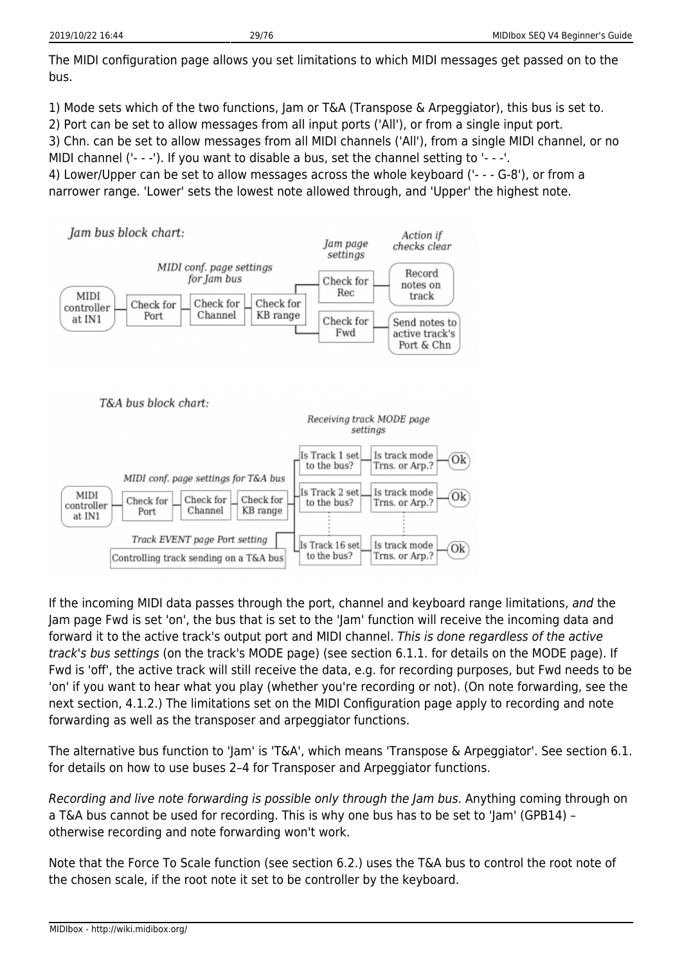The MIDI configuration page allows you set limitations to which MIDI messages get passed on to the bus.

1) Mode sets which of the two functions, Jam or T&A (Transpose & Arpeggiator), this bus is set to.

2) Port can be set to allow messages from all input ports ('All'), or from a single input port.

3) Chn. can be set to allow messages from all MIDI channels ('All'), from a single MIDI channel, or no MIDI channel ('- - -'). If you want to disable a bus, set the channel setting to '- - -'.

4) Lower/Upper can be set to allow messages across the whole keyboard ('- - - G-8'), or from a narrower range. 'Lower' sets the lowest note allowed through, and 'Upper' the highest note.



If the incoming MIDI data passes through the port, channel and keyboard range limitations, and the Jam page Fwd is set 'on', the bus that is set to the 'Jam' function will receive the incoming data and forward it to the active track's output port and MIDI channel. This is done regardless of the active track's bus settings (on the track's MODE page) (see section 6.1.1. for details on the MODE page). If Fwd is 'off', the active track will still receive the data, e.g. for recording purposes, but Fwd needs to be 'on' if you want to hear what you play (whether you're recording or not). (On note forwarding, see the next section, 4.1.2.) The limitations set on the MIDI Configuration page apply to recording and note forwarding as well as the transposer and arpeggiator functions.

The alternative bus function to 'Jam' is 'T&A', which means 'Transpose & Arpeggiator'. See section 6.1. for details on how to use buses 2–4 for Transposer and Arpeggiator functions.

Recording and live note forwarding is possible only through the Jam bus. Anything coming through on a T&A bus cannot be used for recording. This is why one bus has to be set to 'Jam' (GPB14) – otherwise recording and note forwarding won't work.

Note that the Force To Scale function (see section 6.2.) uses the T&A bus to control the root note of the chosen scale, if the root note it set to be controller by the keyboard.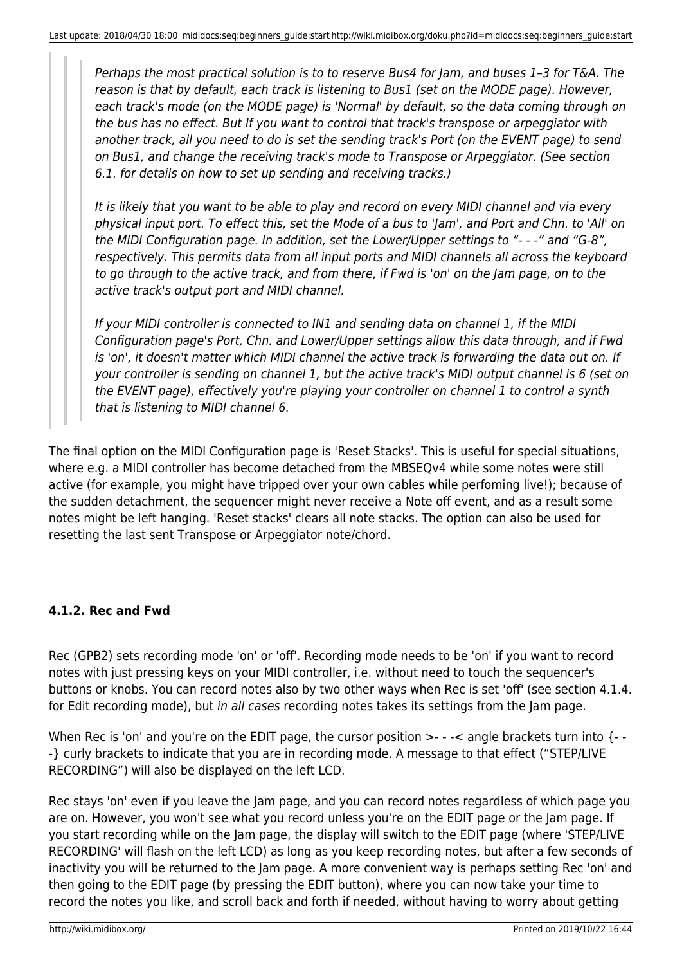Perhaps the most practical solution is to to reserve Bus4 for Jam, and buses 1–3 for T&A. The reason is that by default, each track is listening to Bus1 (set on the MODE page). However, each track's mode (on the MODE page) is 'Normal' by default, so the data coming through on the bus has no effect. But If you want to control that track's transpose or arpeggiator with another track, all you need to do is set the sending track's Port (on the EVENT page) to send on Bus1, and change the receiving track's mode to Transpose or Arpeggiator. (See section 6.1. for details on how to set up sending and receiving tracks.)

It is likely that you want to be able to play and record on every MIDI channel and via every physical input port. To effect this, set the Mode of a bus to 'Jam', and Port and Chn. to 'All' on the MIDI Configuration page. In addition, set the Lower/Upper settings to "- - -" and "G-8", respectively. This permits data from all input ports and MIDI channels all across the keyboard to go through to the active track, and from there, if Fwd is 'on' on the Jam page, on to the active track's output port and MIDI channel.

If your MIDI controller is connected to IN1 and sending data on channel 1, if the MIDI Configuration page's Port, Chn. and Lower/Upper settings allow this data through, and if Fwd is 'on', it doesn't matter which MIDI channel the active track is forwarding the data out on. If your controller is sending on channel 1, but the active track's MIDI output channel is 6 (set on the EVENT page), effectively you're playing your controller on channel 1 to control a synth that is listening to MIDI channel 6.

The final option on the MIDI Configuration page is 'Reset Stacks'. This is useful for special situations, where e.g. a MIDI controller has become detached from the MBSEQv4 while some notes were still active (for example, you might have tripped over your own cables while perfoming live!); because of the sudden detachment, the sequencer might never receive a Note off event, and as a result some notes might be left hanging. 'Reset stacks' clears all note stacks. The option can also be used for resetting the last sent Transpose or Arpeggiator note/chord.

# **4.1.2. Rec and Fwd**

Rec (GPB2) sets recording mode 'on' or 'off'. Recording mode needs to be 'on' if you want to record notes with just pressing keys on your MIDI controller, i.e. without need to touch the sequencer's buttons or knobs. You can record notes also by two other ways when Rec is set 'off' (see section 4.1.4. for Edit recording mode), but in all cases recording notes takes its settings from the Jam page.

When Rec is 'on' and you're on the EDIT page, the cursor position >- - -< angle brackets turn into {- --} curly brackets to indicate that you are in recording mode. A message to that effect ("STEP/LIVE RECORDING") will also be displayed on the left LCD.

Rec stays 'on' even if you leave the Jam page, and you can record notes regardless of which page you are on. However, you won't see what you record unless you're on the EDIT page or the Jam page. If you start recording while on the Jam page, the display will switch to the EDIT page (where 'STEP/LIVE RECORDING' will flash on the left LCD) as long as you keep recording notes, but after a few seconds of inactivity you will be returned to the Jam page. A more convenient way is perhaps setting Rec 'on' and then going to the EDIT page (by pressing the EDIT button), where you can now take your time to record the notes you like, and scroll back and forth if needed, without having to worry about getting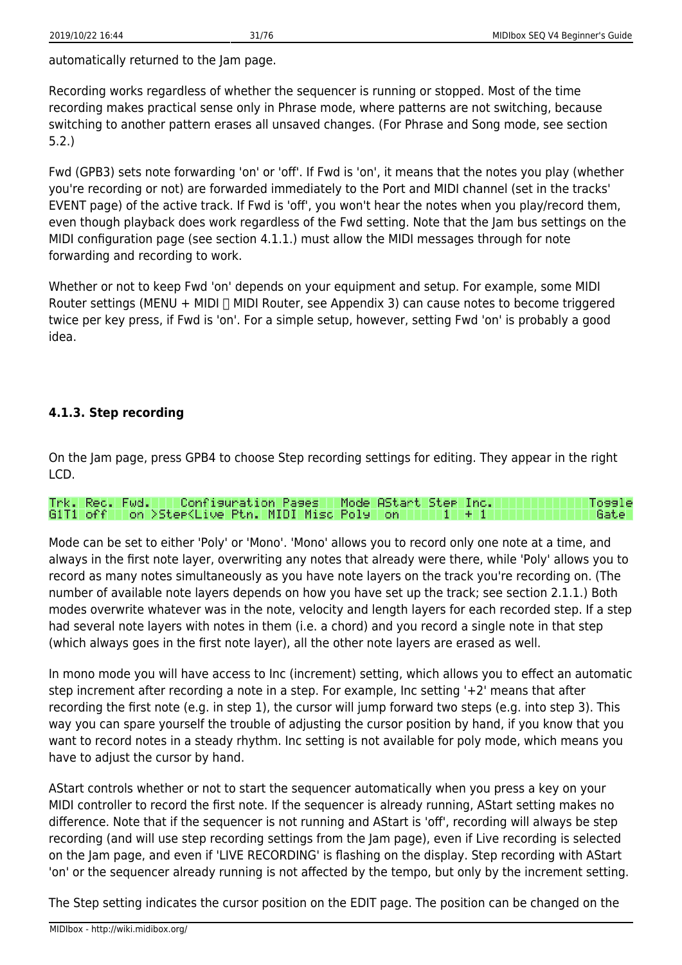automatically returned to the Jam page.

Recording works regardless of whether the sequencer is running or stopped. Most of the time recording makes practical sense only in Phrase mode, where patterns are not switching, because switching to another pattern erases all unsaved changes. (For Phrase and Song mode, see section 5.2.)

Fwd (GPB3) sets note forwarding 'on' or 'off'. If Fwd is 'on', it means that the notes you play (whether you're recording or not) are forwarded immediately to the Port and MIDI channel (set in the tracks' EVENT page) of the active track. If Fwd is 'off', you won't hear the notes when you play/record them, even though playback does work regardless of the Fwd setting. Note that the Jam bus settings on the MIDI configuration page (see section 4.1.1.) must allow the MIDI messages through for note forwarding and recording to work.

Whether or not to keep Fwd 'on' depends on your equipment and setup. For example, some MIDI Router settings (MENU + MIDI  $\Box$  MIDI Router, see Appendix 3) can cause notes to become triggered twice per key press, if Fwd is 'on'. For a simple setup, however, setting Fwd 'on' is probably a good idea.

# **4.1.3. Step recording**

On the Jam page, press GPB4 to choose Step recording settings for editing. They appear in the right LCD.

#### Configuration Pages Rec. Fwd. I Mode AStart Stee Inc. Tossle Trikl. I G1T1 off | on >Stee<Live Ptn. MIDI Misc Poly | lon.

Mode can be set to either 'Poly' or 'Mono'. 'Mono' allows you to record only one note at a time, and always in the first note layer, overwriting any notes that already were there, while 'Poly' allows you to record as many notes simultaneously as you have note layers on the track you're recording on. (The number of available note layers depends on how you have set up the track; see section 2.1.1.) Both modes overwrite whatever was in the note, velocity and length layers for each recorded step. If a step had several note layers with notes in them (i.e. a chord) and you record a single note in that step (which always goes in the first note layer), all the other note layers are erased as well.

In mono mode you will have access to Inc (increment) setting, which allows you to effect an automatic step increment after recording a note in a step. For example, Inc setting '+2' means that after recording the first note (e.g. in step 1), the cursor will jump forward two steps (e.g. into step 3). This way you can spare yourself the trouble of adjusting the cursor position by hand, if you know that you want to record notes in a steady rhythm. Inc setting is not available for poly mode, which means you have to adjust the cursor by hand.

AStart controls whether or not to start the sequencer automatically when you press a key on your MIDI controller to record the first note. If the sequencer is already running, AStart setting makes no difference. Note that if the sequencer is not running and AStart is 'off', recording will always be step recording (and will use step recording settings from the Jam page), even if Live recording is selected on the Jam page, and even if 'LIVE RECORDING' is flashing on the display. Step recording with AStart 'on' or the sequencer already running is not affected by the tempo, but only by the increment setting.

The Step setting indicates the cursor position on the EDIT page. The position can be changed on the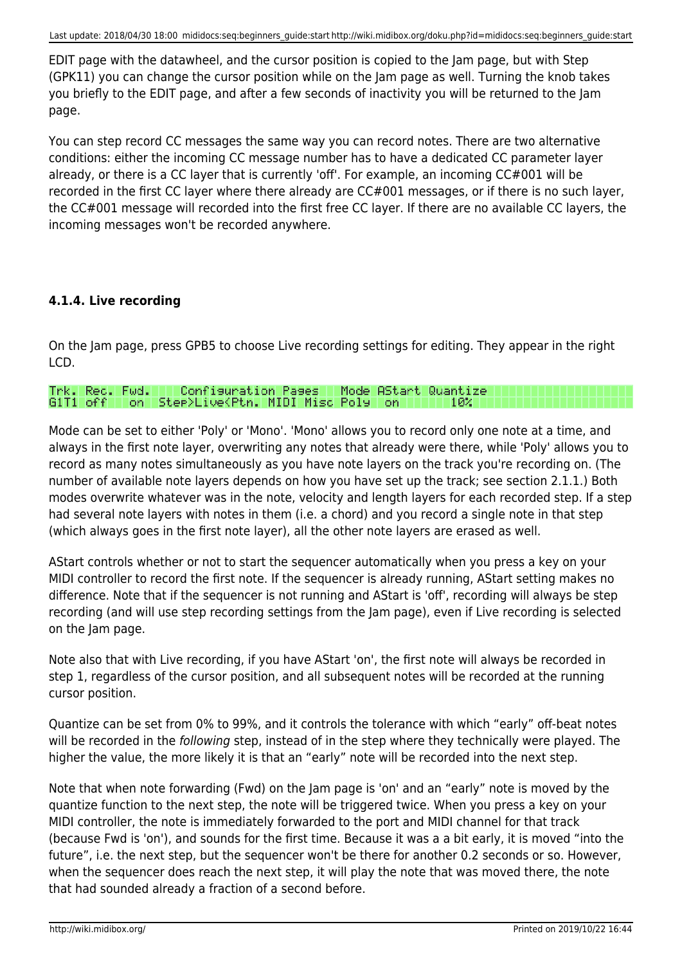EDIT page with the datawheel, and the cursor position is copied to the Jam page, but with Step (GPK11) you can change the cursor position while on the Jam page as well. Turning the knob takes you briefly to the EDIT page, and after a few seconds of inactivity you will be returned to the Jam page.

You can step record CC messages the same way you can record notes. There are two alternative conditions: either the incoming CC message number has to have a dedicated CC parameter layer already, or there is a CC layer that is currently 'off'. For example, an incoming CC#001 will be recorded in the first CC layer where there already are CC#001 messages, or if there is no such layer, the CC#001 message will recorded into the first free CC layer. If there are no available CC layers, the incoming messages won't be recorded anywhere.

# **4.1.4. Live recording**

On the Jam page, press GPB5 to choose Live recording settings for editing. They appear in the right LCD.

|  | Trk. Rec. Fwd.    Configuration Pages   Mode AStart Quantize. |  |  |
|--|---------------------------------------------------------------|--|--|
|  |                                                               |  |  |

Mode can be set to either 'Poly' or 'Mono'. 'Mono' allows you to record only one note at a time, and always in the first note layer, overwriting any notes that already were there, while 'Poly' allows you to record as many notes simultaneously as you have note layers on the track you're recording on. (The number of available note layers depends on how you have set up the track; see section 2.1.1.) Both modes overwrite whatever was in the note, velocity and length layers for each recorded step. If a step had several note layers with notes in them (i.e. a chord) and you record a single note in that step (which always goes in the first note layer), all the other note layers are erased as well.

AStart controls whether or not to start the sequencer automatically when you press a key on your MIDI controller to record the first note. If the sequencer is already running, AStart setting makes no difference. Note that if the sequencer is not running and AStart is 'off', recording will always be step recording (and will use step recording settings from the Jam page), even if Live recording is selected on the Jam page.

Note also that with Live recording, if you have AStart 'on', the first note will always be recorded in step 1, regardless of the cursor position, and all subsequent notes will be recorded at the running cursor position.

Quantize can be set from 0% to 99%, and it controls the tolerance with which "early" off-beat notes will be recorded in the following step, instead of in the step where they technically were played. The higher the value, the more likely it is that an "early" note will be recorded into the next step.

Note that when note forwarding (Fwd) on the Jam page is 'on' and an "early" note is moved by the quantize function to the next step, the note will be triggered twice. When you press a key on your MIDI controller, the note is immediately forwarded to the port and MIDI channel for that track (because Fwd is 'on'), and sounds for the first time. Because it was a a bit early, it is moved "into the future", i.e. the next step, but the sequencer won't be there for another 0.2 seconds or so. However, when the sequencer does reach the next step, it will play the note that was moved there, the note that had sounded already a fraction of a second before.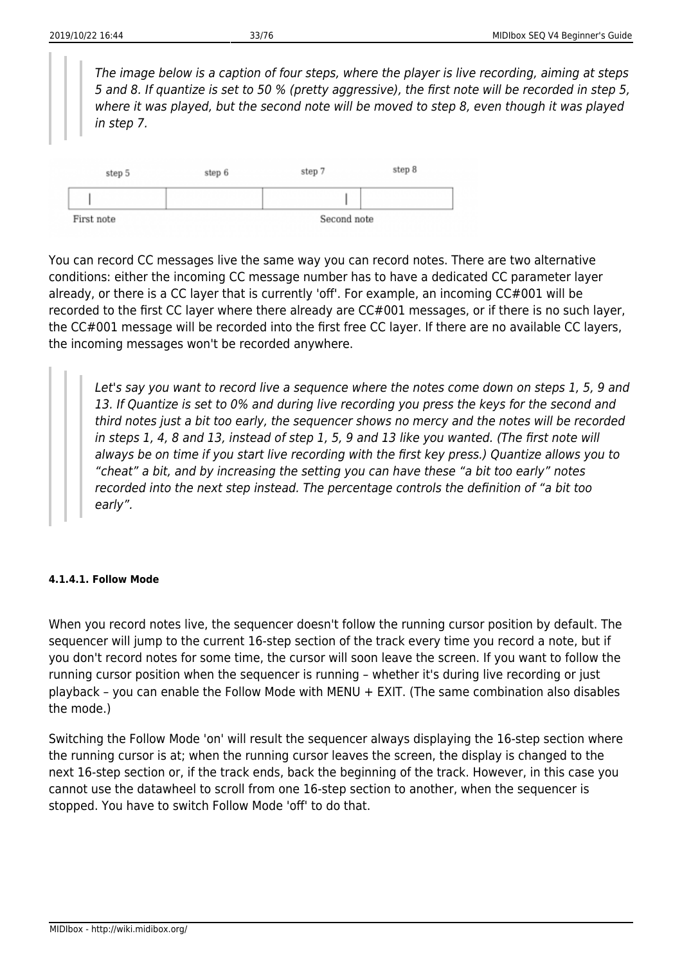The image below is a caption of four steps, where the player is live recording, aiming at steps 5 and 8. If quantize is set to 50 % (pretty aggressive), the first note will be recorded in step 5, where it was played, but the second note will be moved to step 8, even though it was played in step 7.



You can record CC messages live the same way you can record notes. There are two alternative conditions: either the incoming CC message number has to have a dedicated CC parameter layer already, or there is a CC layer that is currently 'off'. For example, an incoming CC#001 will be recorded to the first CC layer where there already are CC#001 messages, or if there is no such layer, the CC#001 message will be recorded into the first free CC layer. If there are no available CC layers, the incoming messages won't be recorded anywhere.

Let's say you want to record live a sequence where the notes come down on steps 1, 5, 9 and 13. If Quantize is set to 0% and during live recording you press the keys for the second and third notes just a bit too early, the sequencer shows no mercy and the notes will be recorded in steps 1, 4, 8 and 13, instead of step 1, 5, 9 and 13 like you wanted. (The first note will always be on time if you start live recording with the first key press.) Quantize allows you to "cheat" a bit, and by increasing the setting you can have these "a bit too early" notes recorded into the next step instead. The percentage controls the definition of "a bit too early".

#### **4.1.4.1. Follow Mode**

When you record notes live, the sequencer doesn't follow the running cursor position by default. The sequencer will jump to the current 16-step section of the track every time you record a note, but if you don't record notes for some time, the cursor will soon leave the screen. If you want to follow the running cursor position when the sequencer is running – whether it's during live recording or just playback – you can enable the Follow Mode with MENU + EXIT. (The same combination also disables the mode.)

Switching the Follow Mode 'on' will result the sequencer always displaying the 16-step section where the running cursor is at; when the running cursor leaves the screen, the display is changed to the next 16-step section or, if the track ends, back the beginning of the track. However, in this case you cannot use the datawheel to scroll from one 16-step section to another, when the sequencer is stopped. You have to switch Follow Mode 'off' to do that.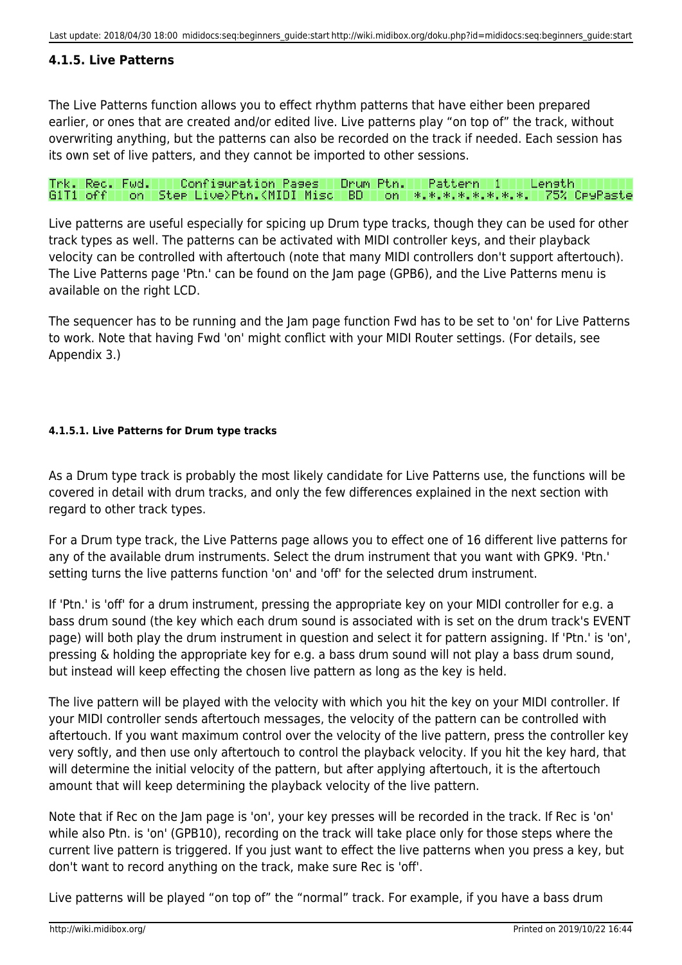# **4.1.5. Live Patterns**

The Live Patterns function allows you to effect rhythm patterns that have either been prepared earlier, or ones that are created and/or edited live. Live patterns play "on top of" the track, without overwriting anything, but the patterns can also be recorded on the track if needed. Each session has its own set of live patters, and they cannot be imported to other sessions.

Configuration Pages | Drum Ptn. | Pattern 1 Length Rec. Fud. I G1T1 off | on | Step Live>Ptn.KMIDI Misc | BD | on | \*.\*.\*.\*.\*.\*.\*.\*. 75% CeyPaste

Live patterns are useful especially for spicing up Drum type tracks, though they can be used for other track types as well. The patterns can be activated with MIDI controller keys, and their playback velocity can be controlled with aftertouch (note that many MIDI controllers don't support aftertouch). The Live Patterns page 'Ptn.' can be found on the Jam page (GPB6), and the Live Patterns menu is available on the right LCD.

The sequencer has to be running and the Jam page function Fwd has to be set to 'on' for Live Patterns to work. Note that having Fwd 'on' might conflict with your MIDI Router settings. (For details, see Appendix 3.)

#### **4.1.5.1. Live Patterns for Drum type tracks**

As a Drum type track is probably the most likely candidate for Live Patterns use, the functions will be covered in detail with drum tracks, and only the few differences explained in the next section with regard to other track types.

For a Drum type track, the Live Patterns page allows you to effect one of 16 different live patterns for any of the available drum instruments. Select the drum instrument that you want with GPK9. 'Ptn.' setting turns the live patterns function 'on' and 'off' for the selected drum instrument.

If 'Ptn.' is 'off' for a drum instrument, pressing the appropriate key on your MIDI controller for e.g. a bass drum sound (the key which each drum sound is associated with is set on the drum track's EVENT page) will both play the drum instrument in question and select it for pattern assigning. If 'Ptn.' is 'on', pressing & holding the appropriate key for e.g. a bass drum sound will not play a bass drum sound, but instead will keep effecting the chosen live pattern as long as the key is held.

The live pattern will be played with the velocity with which you hit the key on your MIDI controller. If your MIDI controller sends aftertouch messages, the velocity of the pattern can be controlled with aftertouch. If you want maximum control over the velocity of the live pattern, press the controller key very softly, and then use only aftertouch to control the playback velocity. If you hit the key hard, that will determine the initial velocity of the pattern, but after applying aftertouch, it is the aftertouch amount that will keep determining the playback velocity of the live pattern.

Note that if Rec on the Jam page is 'on', your key presses will be recorded in the track. If Rec is 'on' while also Ptn. is 'on' (GPB10), recording on the track will take place only for those steps where the current live pattern is triggered. If you just want to effect the live patterns when you press a key, but don't want to record anything on the track, make sure Rec is 'off'.

Live patterns will be played "on top of" the "normal" track. For example, if you have a bass drum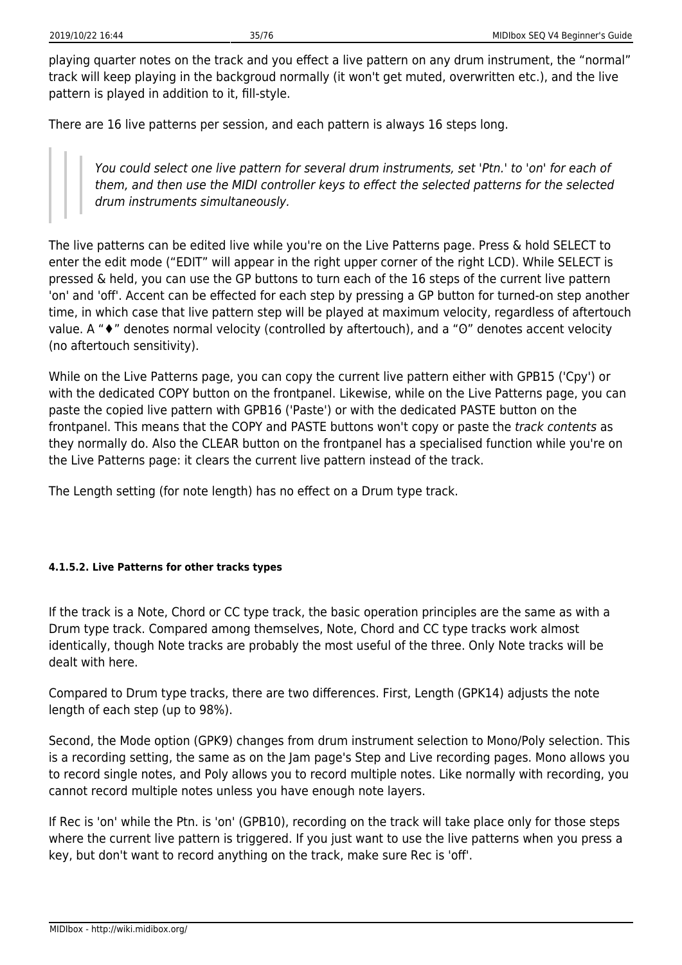playing quarter notes on the track and you effect a live pattern on any drum instrument, the "normal" track will keep playing in the backgroud normally (it won't get muted, overwritten etc.), and the live pattern is played in addition to it, fill-style.

There are 16 live patterns per session, and each pattern is always 16 steps long.

You could select one live pattern for several drum instruments, set 'Ptn.' to 'on' for each of them, and then use the MIDI controller keys to effect the selected patterns for the selected drum instruments simultaneously.

The live patterns can be edited live while you're on the Live Patterns page. Press & hold SELECT to enter the edit mode ("EDIT" will appear in the right upper corner of the right LCD). While SELECT is pressed & held, you can use the GP buttons to turn each of the 16 steps of the current live pattern 'on' and 'off'. Accent can be effected for each step by pressing a GP button for turned-on step another time, in which case that live pattern step will be played at maximum velocity, regardless of aftertouch value. A "♦" denotes normal velocity (controlled by aftertouch), and a "O" denotes accent velocity (no aftertouch sensitivity).

While on the Live Patterns page, you can copy the current live pattern either with GPB15 ('Cpy') or with the dedicated COPY button on the frontpanel. Likewise, while on the Live Patterns page, you can paste the copied live pattern with GPB16 ('Paste') or with the dedicated PASTE button on the frontpanel. This means that the COPY and PASTE buttons won't copy or paste the track contents as they normally do. Also the CLEAR button on the frontpanel has a specialised function while you're on the Live Patterns page: it clears the current live pattern instead of the track.

The Length setting (for note length) has no effect on a Drum type track.

### **4.1.5.2. Live Patterns for other tracks types**

If the track is a Note, Chord or CC type track, the basic operation principles are the same as with a Drum type track. Compared among themselves, Note, Chord and CC type tracks work almost identically, though Note tracks are probably the most useful of the three. Only Note tracks will be dealt with here.

Compared to Drum type tracks, there are two differences. First, Length (GPK14) adjusts the note length of each step (up to 98%).

Second, the Mode option (GPK9) changes from drum instrument selection to Mono/Poly selection. This is a recording setting, the same as on the Jam page's Step and Live recording pages. Mono allows you to record single notes, and Poly allows you to record multiple notes. Like normally with recording, you cannot record multiple notes unless you have enough note layers.

If Rec is 'on' while the Ptn. is 'on' (GPB10), recording on the track will take place only for those steps where the current live pattern is triggered. If you just want to use the live patterns when you press a key, but don't want to record anything on the track, make sure Rec is 'off'.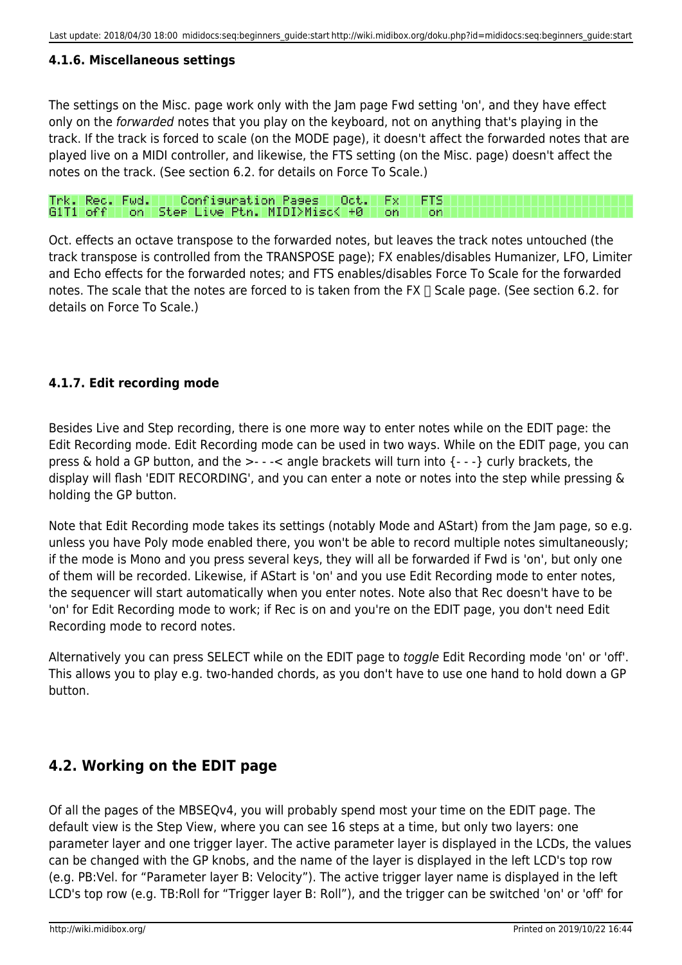## **4.1.6. Miscellaneous settings**

The settings on the Misc. page work only with the Jam page Fwd setting 'on', and they have effect only on the forwarded notes that you play on the keyboard, not on anything that's playing in the track. If the track is forced to scale (on the MODE page), it doesn't affect the forwarded notes that are played live on a MIDI controller, and likewise, the FTS setting (on the Misc. page) doesn't affect the notes on the track. (See section 6.2. for details on Force To Scale.)

#### Trk. Rec. Fwd. | | Configuration Pages | Oct.<br>G1T1 off | on | Step Live Ptn. | MIDI>Misc< +0 Fx. **FTS** on. ∣ on

Oct. effects an octave transpose to the forwarded notes, but leaves the track notes untouched (the track transpose is controlled from the TRANSPOSE page); FX enables/disables Humanizer, LFO, Limiter and Echo effects for the forwarded notes; and FTS enables/disables Force To Scale for the forwarded notes. The scale that the notes are forced to is taken from the FX  $\Box$  Scale page. (See section 6.2. for details on Force To Scale.)

## **4.1.7. Edit recording mode**

Besides Live and Step recording, there is one more way to enter notes while on the EDIT page: the Edit Recording mode. Edit Recording mode can be used in two ways. While on the EDIT page, you can press & hold a GP button, and the >- - -< angle brackets will turn into {- - -} curly brackets, the display will flash 'EDIT RECORDING', and you can enter a note or notes into the step while pressing & holding the GP button.

Note that Edit Recording mode takes its settings (notably Mode and AStart) from the Jam page, so e.g. unless you have Poly mode enabled there, you won't be able to record multiple notes simultaneously; if the mode is Mono and you press several keys, they will all be forwarded if Fwd is 'on', but only one of them will be recorded. Likewise, if AStart is 'on' and you use Edit Recording mode to enter notes, the sequencer will start automatically when you enter notes. Note also that Rec doesn't have to be 'on' for Edit Recording mode to work; if Rec is on and you're on the EDIT page, you don't need Edit Recording mode to record notes.

Alternatively you can press SELECT while on the EDIT page to toggle Edit Recording mode 'on' or 'off'. This allows you to play e.g. two-handed chords, as you don't have to use one hand to hold down a GP button.

## **4.2. Working on the EDIT page**

Of all the pages of the MBSEQv4, you will probably spend most your time on the EDIT page. The default view is the Step View, where you can see 16 steps at a time, but only two layers: one parameter layer and one trigger layer. The active parameter layer is displayed in the LCDs, the values can be changed with the GP knobs, and the name of the layer is displayed in the left LCD's top row (e.g. PB:Vel. for "Parameter layer B: Velocity"). The active trigger layer name is displayed in the left LCD's top row (e.g. TB:Roll for "Trigger layer B: Roll"), and the trigger can be switched 'on' or 'off' for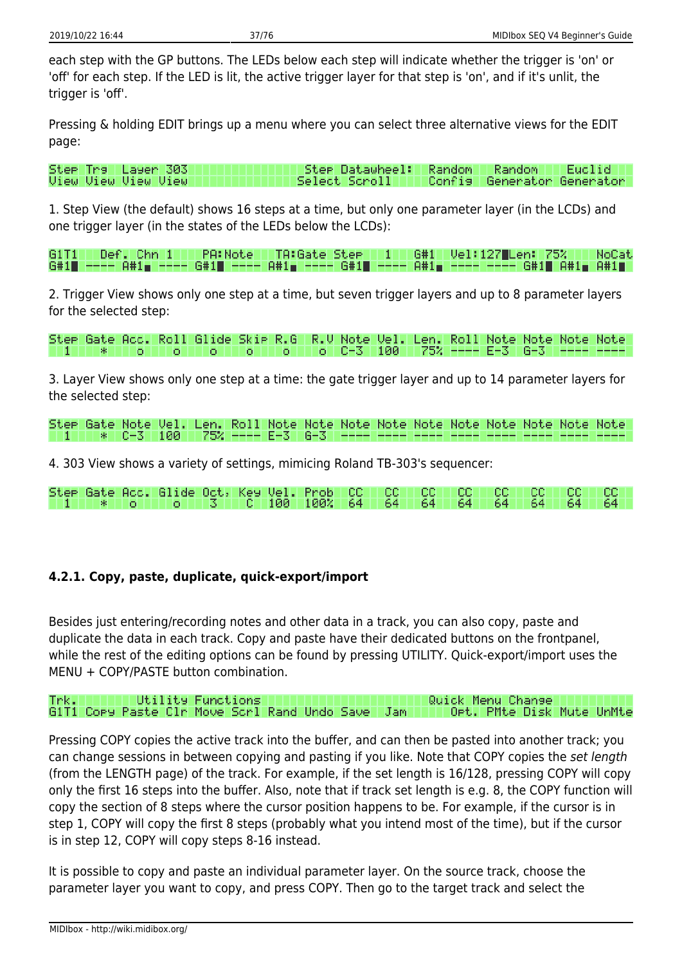each step with the GP buttons. The LEDs below each step will indicate whether the trigger is 'on' or 'off' for each step. If the LED is lit, the active trigger layer for that step is 'on', and if it's unlit, the trigger is 'off'.

Pressing & holding EDIT brings up a menu where you can select three alternative views for the EDIT page:

Step Trall Layer 303 Step Datawheel: Random Random Euclid **Uiew Uiew Uiew Uiew** Select Scroll Confis Generator Generator

1. Step View (the default) shows 16 steps at a time, but only one parameter layer (in the LCDs) and one trigger layer (in the states of the LEDs below the LCDs):

 $Def.$  Chn  $1$   $\top$ **PA:Note** 61 T 1 TA:Gate Stee | 1 | | G#1 T Vel: 127 Len: 75% NoCat 6#1∎ ----8#1m ---G#1∎ ---A#1∎ ---- G#1∎ --- $H#1$ G#1∎ A#1<sub>⊞</sub> A#1∎

2. Trigger View shows only one step at a time, but seven trigger layers and up to 8 parameter layers for the selected step:

Roll Glide Skip R.G R.V Note Vel. Note Stee Gate Acc. Note: Note Note Len. Roll  $6 - 3$  $C - 3$ 100 75% o. lo. -o O. l o l o. E-3

3. Layer View shows only one step at a time: the gate trigger layer and up to 14 parameter layers for the selected step:

4. 303 View shows a variety of settings, mimicing Roland TB-303's sequencer:

|  | 1 1 8 64 64 64 64 64 64 64 64 64 64 64 64 65 |  |  |  |  |  |  |
|--|----------------------------------------------|--|--|--|--|--|--|

### **4.2.1. Copy, paste, duplicate, quick-export/import**

Besides just entering/recording notes and other data in a track, you can also copy, paste and duplicate the data in each track. Copy and paste have their dedicated buttons on the frontpanel, while the rest of the editing options can be found by pressing UTILITY. Quick-export/import uses the MENU + COPY/PASTE button combination.

#### Trkl **Utility Functions** Quick Menu Change G1T1 Copy Paste Clr Move Scrl Rand Undo Save Jan Opt. PMte Disk Mute UnMte

Pressing COPY copies the active track into the buffer, and can then be pasted into another track; you can change sessions in between copying and pasting if you like. Note that COPY copies the set length (from the LENGTH page) of the track. For example, if the set length is 16/128, pressing COPY will copy only the first 16 steps into the buffer. Also, note that if track set length is e.g. 8, the COPY function will copy the section of 8 steps where the cursor position happens to be. For example, if the cursor is in step 1, COPY will copy the first 8 steps (probably what you intend most of the time), but if the cursor is in step 12, COPY will copy steps 8-16 instead.

It is possible to copy and paste an individual parameter layer. On the source track, choose the parameter layer you want to copy, and press COPY. Then go to the target track and select the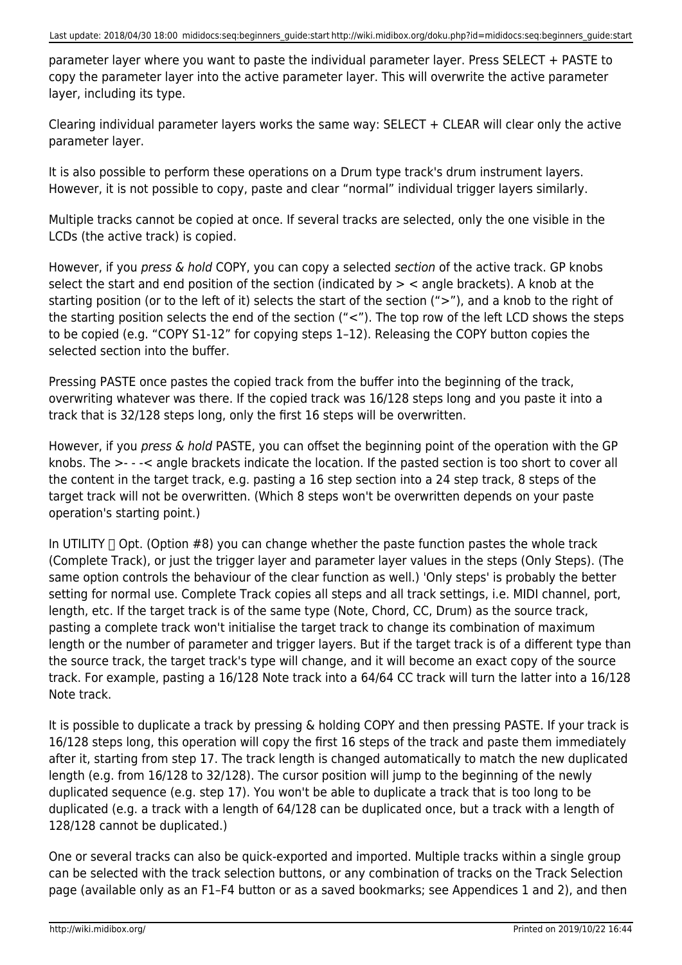parameter layer where you want to paste the individual parameter layer. Press SELECT + PASTE to copy the parameter layer into the active parameter layer. This will overwrite the active parameter layer, including its type.

Clearing individual parameter layers works the same way:  $SELECT + CLEAR$  will clear only the active parameter layer.

It is also possible to perform these operations on a Drum type track's drum instrument layers. However, it is not possible to copy, paste and clear "normal" individual trigger layers similarly.

Multiple tracks cannot be copied at once. If several tracks are selected, only the one visible in the LCDs (the active track) is copied.

However, if you press & hold COPY, you can copy a selected section of the active track. GP knobs select the start and end position of the section (indicated by  $>$  < angle brackets). A knob at the starting position (or to the left of it) selects the start of the section (">"), and a knob to the right of the starting position selects the end of the section ("<"). The top row of the left LCD shows the steps to be copied (e.g. "COPY S1-12" for copying steps 1–12). Releasing the COPY button copies the selected section into the buffer.

Pressing PASTE once pastes the copied track from the buffer into the beginning of the track, overwriting whatever was there. If the copied track was 16/128 steps long and you paste it into a track that is 32/128 steps long, only the first 16 steps will be overwritten.

However, if you *press & hold* PASTE, you can offset the beginning point of the operation with the GP knobs. The >- - -< angle brackets indicate the location. If the pasted section is too short to cover all the content in the target track, e.g. pasting a 16 step section into a 24 step track, 8 steps of the target track will not be overwritten. (Which 8 steps won't be overwritten depends on your paste operation's starting point.)

In UTILITY  $\Box$  Opt. (Option #8) you can change whether the paste function pastes the whole track (Complete Track), or just the trigger layer and parameter layer values in the steps (Only Steps). (The same option controls the behaviour of the clear function as well.) 'Only steps' is probably the better setting for normal use. Complete Track copies all steps and all track settings, i.e. MIDI channel, port, length, etc. If the target track is of the same type (Note, Chord, CC, Drum) as the source track, pasting a complete track won't initialise the target track to change its combination of maximum length or the number of parameter and trigger layers. But if the target track is of a different type than the source track, the target track's type will change, and it will become an exact copy of the source track. For example, pasting a 16/128 Note track into a 64/64 CC track will turn the latter into a 16/128 Note track.

It is possible to duplicate a track by pressing & holding COPY and then pressing PASTE. If your track is 16/128 steps long, this operation will copy the first 16 steps of the track and paste them immediately after it, starting from step 17. The track length is changed automatically to match the new duplicated length (e.g. from 16/128 to 32/128). The cursor position will jump to the beginning of the newly duplicated sequence (e.g. step 17). You won't be able to duplicate a track that is too long to be duplicated (e.g. a track with a length of 64/128 can be duplicated once, but a track with a length of 128/128 cannot be duplicated.)

One or several tracks can also be quick-exported and imported. Multiple tracks within a single group can be selected with the track selection buttons, or any combination of tracks on the Track Selection page (available only as an F1–F4 button or as a saved bookmarks; see Appendices 1 and 2), and then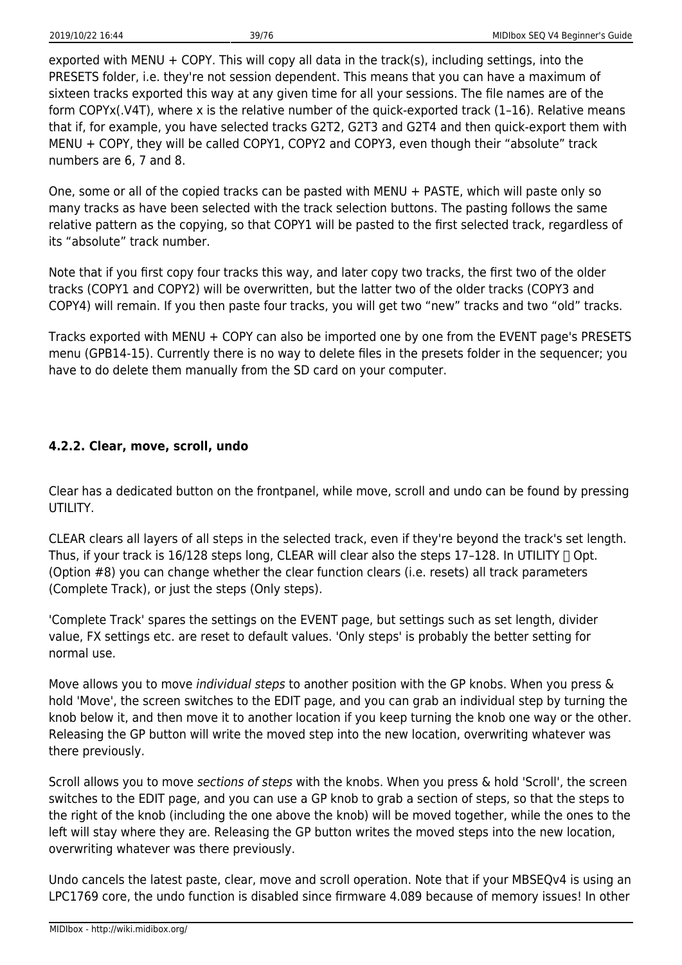exported with MENU + COPY. This will copy all data in the track(s), including settings, into the PRESETS folder, i.e. they're not session dependent. This means that you can have a maximum of sixteen tracks exported this way at any given time for all your sessions. The file names are of the form COPYx(.V4T), where x is the relative number of the quick-exported track (1–16). Relative means that if, for example, you have selected tracks G2T2, G2T3 and G2T4 and then quick-export them with MENU + COPY, they will be called COPY1, COPY2 and COPY3, even though their "absolute" track numbers are 6, 7 and 8.

One, some or all of the copied tracks can be pasted with MENU + PASTE, which will paste only so many tracks as have been selected with the track selection buttons. The pasting follows the same relative pattern as the copying, so that COPY1 will be pasted to the first selected track, regardless of its "absolute" track number.

Note that if you first copy four tracks this way, and later copy two tracks, the first two of the older tracks (COPY1 and COPY2) will be overwritten, but the latter two of the older tracks (COPY3 and COPY4) will remain. If you then paste four tracks, you will get two "new" tracks and two "old" tracks.

Tracks exported with MENU + COPY can also be imported one by one from the EVENT page's PRESETS menu (GPB14-15). Currently there is no way to delete files in the presets folder in the sequencer; you have to do delete them manually from the SD card on your computer.

## **4.2.2. Clear, move, scroll, undo**

Clear has a dedicated button on the frontpanel, while move, scroll and undo can be found by pressing UTILITY.

CLEAR clears all layers of all steps in the selected track, even if they're beyond the track's set length. Thus, if your track is 16/128 steps long, CLEAR will clear also the steps 17-128. In UTILITY  $\Box$  Opt. (Option #8) you can change whether the clear function clears (i.e. resets) all track parameters (Complete Track), or just the steps (Only steps).

'Complete Track' spares the settings on the EVENT page, but settings such as set length, divider value, FX settings etc. are reset to default values. 'Only steps' is probably the better setting for normal use.

Move allows you to move *individual steps* to another position with the GP knobs. When you press & hold 'Move', the screen switches to the EDIT page, and you can grab an individual step by turning the knob below it, and then move it to another location if you keep turning the knob one way or the other. Releasing the GP button will write the moved step into the new location, overwriting whatever was there previously.

Scroll allows you to move sections of steps with the knobs. When you press & hold 'Scroll', the screen switches to the EDIT page, and you can use a GP knob to grab a section of steps, so that the steps to the right of the knob (including the one above the knob) will be moved together, while the ones to the left will stay where they are. Releasing the GP button writes the moved steps into the new location, overwriting whatever was there previously.

Undo cancels the latest paste, clear, move and scroll operation. Note that if your MBSEQv4 is using an LPC1769 core, the undo function is disabled since firmware 4.089 because of memory issues! In other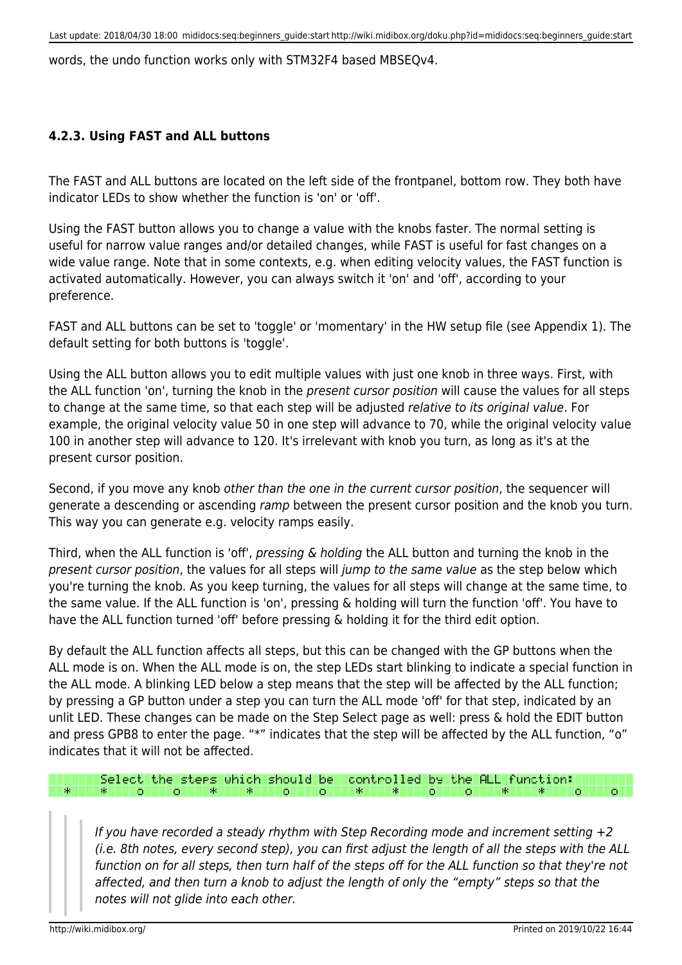words, the undo function works only with STM32F4 based MBSEQv4.

#### **4.2.3. Using FAST and ALL buttons**

The FAST and ALL buttons are located on the left side of the frontpanel, bottom row. They both have indicator LEDs to show whether the function is 'on' or 'off'.

Using the FAST button allows you to change a value with the knobs faster. The normal setting is useful for narrow value ranges and/or detailed changes, while FAST is useful for fast changes on a wide value range. Note that in some contexts, e.g. when editing velocity values, the FAST function is activated automatically. However, you can always switch it 'on' and 'off', according to your preference.

FAST and ALL buttons can be set to 'toggle' or 'momentary' in the HW setup file (see Appendix 1). The default setting for both buttons is 'toggle'.

Using the ALL button allows you to edit multiple values with just one knob in three ways. First, with the ALL function 'on', turning the knob in the present cursor position will cause the values for all steps to change at the same time, so that each step will be adjusted relative to its original value. For example, the original velocity value 50 in one step will advance to 70, while the original velocity value 100 in another step will advance to 120. It's irrelevant with knob you turn, as long as it's at the present cursor position.

Second, if you move any knob other than the one in the current cursor position, the sequencer will generate a descending or ascending ramp between the present cursor position and the knob you turn. This way you can generate e.g. velocity ramps easily.

Third, when the ALL function is 'off', pressing & holding the ALL button and turning the knob in the present cursor position, the values for all steps will jump to the same value as the step below which you're turning the knob. As you keep turning, the values for all steps will change at the same time, to the same value. If the ALL function is 'on', pressing & holding will turn the function 'off'. You have to have the ALL function turned 'off' before pressing & holding it for the third edit option.

By default the ALL function affects all steps, but this can be changed with the GP buttons when the ALL mode is on. When the ALL mode is on, the step LEDs start blinking to indicate a special function in the ALL mode. A blinking LED below a step means that the step will be affected by the ALL function; by pressing a GP button under a step you can turn the ALL mode 'off' for that step, indicated by an unlit LED. These changes can be made on the Step Select page as well: press & hold the EDIT button and press GPB8 to enter the page. "\*" indicates that the step will be affected by the ALL function, "o" indicates that it will not be affected.

#### controlled by the ALL function: Select the stees which should be oll o III **\*** 11 宋 1 o юı 宋 宋

If you have recorded a steady rhythm with Step Recording mode and increment setting  $+2$ (i.e. 8th notes, every second step), you can first adjust the length of all the steps with the ALL function on for all steps, then turn half of the steps off for the ALL function so that they're not affected, and then turn a knob to adjust the length of only the "empty" steps so that the notes will not glide into each other.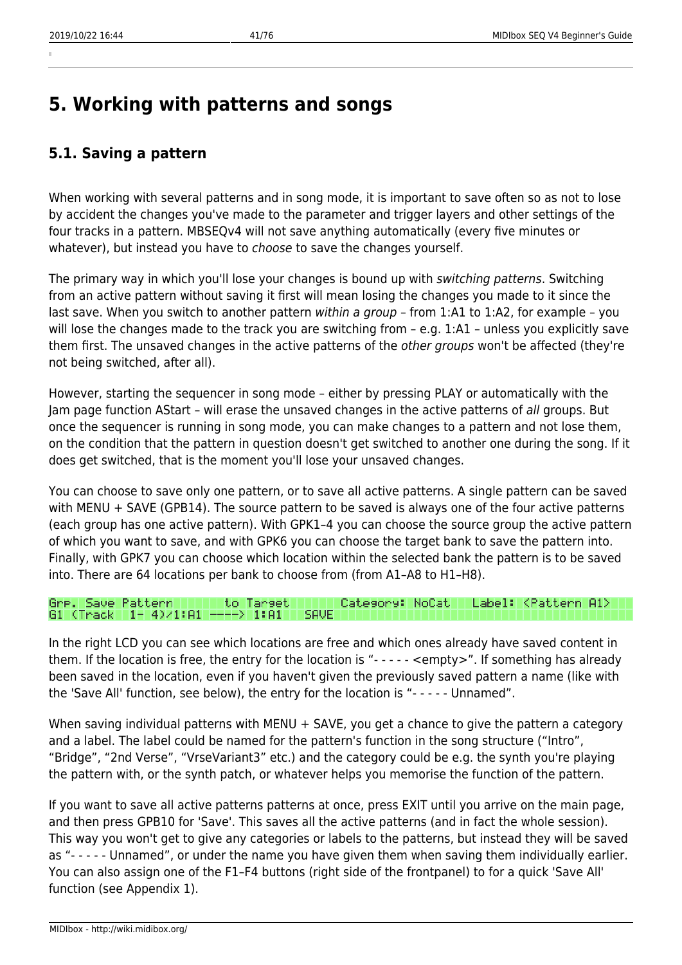# **5. Working with patterns and songs**

## **5.1. Saving a pattern**

When working with several patterns and in song mode, it is important to save often so as not to lose by accident the changes you've made to the parameter and trigger layers and other settings of the four tracks in a pattern. MBSEQv4 will not save anything automatically (every five minutes or whatever), but instead you have to choose to save the changes yourself.

The primary way in which you'll lose your changes is bound up with switching patterns. Switching from an active pattern without saving it first will mean losing the changes you made to it since the last save. When you switch to another pattern within a group - from 1:A1 to 1:A2, for example - you will lose the changes made to the track you are switching from - e.g. 1:A1 - unless you explicitly save them first. The unsaved changes in the active patterns of the *other groups* won't be affected (they're not being switched, after all).

However, starting the sequencer in song mode – either by pressing PLAY or automatically with the Jam page function AStart – will erase the unsaved changes in the active patterns of all groups. But once the sequencer is running in song mode, you can make changes to a pattern and not lose them, on the condition that the pattern in question doesn't get switched to another one during the song. If it does get switched, that is the moment you'll lose your unsaved changes.

You can choose to save only one pattern, or to save all active patterns. A single pattern can be saved with MENU + SAVE (GPB14). The source pattern to be saved is always one of the four active patterns (each group has one active pattern). With GPK1–4 you can choose the source group the active pattern of which you want to save, and with GPK6 you can choose the target bank to save the pattern into. Finally, with GPK7 you can choose which location within the selected bank the pattern is to be saved into. There are 64 locations per bank to choose from (from A1–A8 to H1–H8).

#### to Tarset Gre. Save Pattern Category: NoCatl Label: <Pattern A1> G1 (Track 1- 4)/1:A1 ----> 1:A1

In the right LCD you can see which locations are free and which ones already have saved content in them. If the location is free, the entry for the location is "- - - - - <empty>". If something has already been saved in the location, even if you haven't given the previously saved pattern a name (like with the 'Save All' function, see below), the entry for the location is "- - - - - Unnamed".

When saving individual patterns with MENU + SAVE, you get a chance to give the pattern a category and a label. The label could be named for the pattern's function in the song structure ("Intro", "Bridge", "2nd Verse", "VrseVariant3" etc.) and the category could be e.g. the synth you're playing the pattern with, or the synth patch, or whatever helps you memorise the function of the pattern.

If you want to save all active patterns patterns at once, press EXIT until you arrive on the main page, and then press GPB10 for 'Save'. This saves all the active patterns (and in fact the whole session). This way you won't get to give any categories or labels to the patterns, but instead they will be saved as "- - - - - Unnamed", or under the name you have given them when saving them individually earlier. You can also assign one of the F1–F4 buttons (right side of the frontpanel) to for a quick 'Save All' function (see Appendix 1).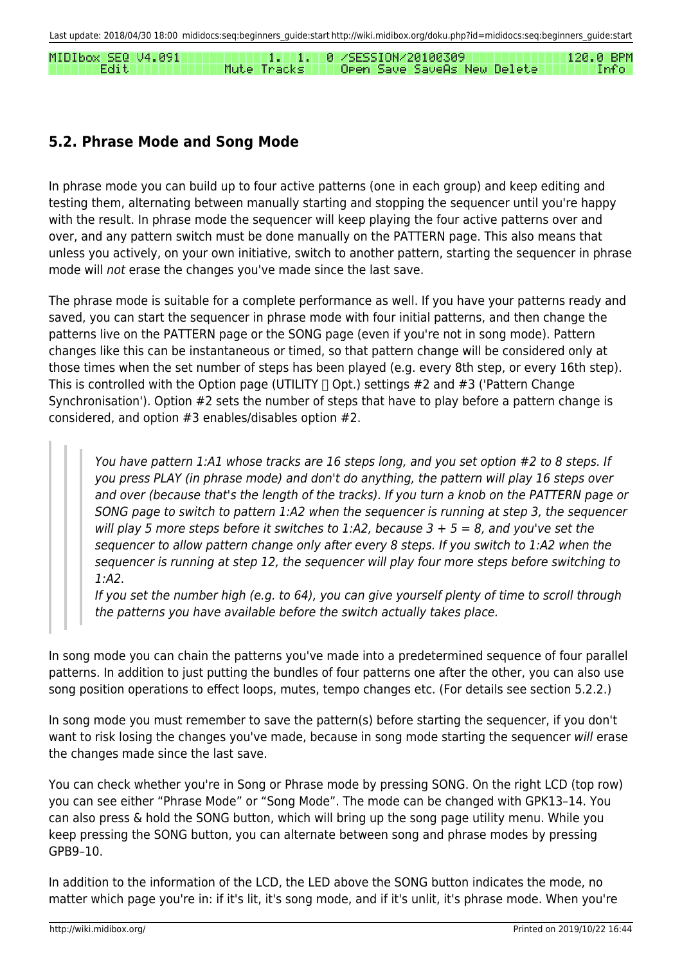MIDIbox SEQ 04.091  $\Box$   $\Box$   $\Box$ 0 /SESSION/20100309 120.0 BPM Edit Mute Tracks Open Save SaveAs New Delete Info

## **5.2. Phrase Mode and Song Mode**

In phrase mode you can build up to four active patterns (one in each group) and keep editing and testing them, alternating between manually starting and stopping the sequencer until you're happy with the result. In phrase mode the sequencer will keep playing the four active patterns over and over, and any pattern switch must be done manually on the PATTERN page. This also means that unless you actively, on your own initiative, switch to another pattern, starting the sequencer in phrase mode will not erase the changes you've made since the last save.

The phrase mode is suitable for a complete performance as well. If you have your patterns ready and saved, you can start the sequencer in phrase mode with four initial patterns, and then change the patterns live on the PATTERN page or the SONG page (even if you're not in song mode). Pattern changes like this can be instantaneous or timed, so that pattern change will be considered only at those times when the set number of steps has been played (e.g. every 8th step, or every 16th step). This is controlled with the Option page (UTILITY  $\Box$  Opt.) settings #2 and #3 ('Pattern Change Synchronisation'). Option #2 sets the number of steps that have to play before a pattern change is considered, and option #3 enables/disables option #2.

You have pattern 1:A1 whose tracks are 16 steps long, and you set option #2 to 8 steps. If you press PLAY (in phrase mode) and don't do anything, the pattern will play 16 steps over and over (because that's the length of the tracks). If you turn a knob on the PATTERN page or SONG page to switch to pattern 1:A2 when the sequencer is running at step 3, the sequencer will play 5 more steps before it switches to 1:A2, because  $3 + 5 = 8$ , and you've set the sequencer to allow pattern change only after every 8 steps. If you switch to 1:A2 when the sequencer is running at step 12, the sequencer will play four more steps before switching to 1:A2.

If you set the number high (e.g. to 64), you can give yourself plenty of time to scroll through the patterns you have available before the switch actually takes place.

In song mode you can chain the patterns you've made into a predetermined sequence of four parallel patterns. In addition to just putting the bundles of four patterns one after the other, you can also use song position operations to effect loops, mutes, tempo changes etc. (For details see section 5.2.2.)

In song mode you must remember to save the pattern(s) before starting the sequencer, if you don't want to risk losing the changes you've made, because in song mode starting the sequencer will erase the changes made since the last save.

You can check whether you're in Song or Phrase mode by pressing SONG. On the right LCD (top row) you can see either "Phrase Mode" or "Song Mode". The mode can be changed with GPK13–14. You can also press & hold the SONG button, which will bring up the song page utility menu. While you keep pressing the SONG button, you can alternate between song and phrase modes by pressing GPB9–10.

In addition to the information of the LCD, the LED above the SONG button indicates the mode, no matter which page you're in: if it's lit, it's song mode, and if it's unlit, it's phrase mode. When you're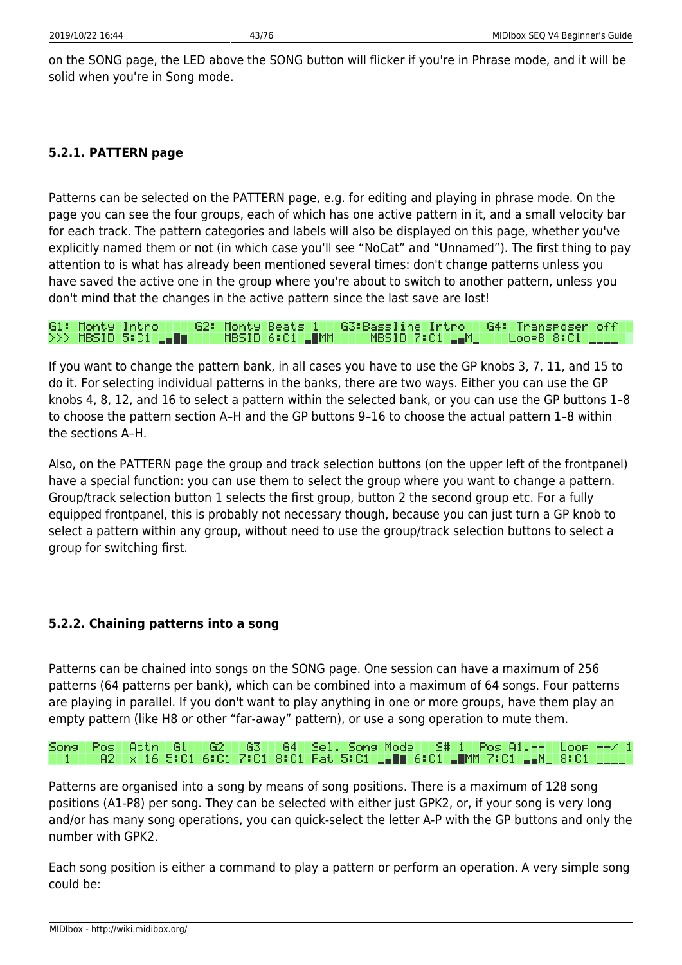on the SONG page, the LED above the SONG button will flicker if you're in Phrase mode, and it will be solid when you're in Song mode.

#### **5.2.1. PATTERN page**

Patterns can be selected on the PATTERN page, e.g. for editing and playing in phrase mode. On the page you can see the four groups, each of which has one active pattern in it, and a small velocity bar for each track. The pattern categories and labels will also be displayed on this page, whether you've explicitly named them or not (in which case you'll see "NoCat" and "Unnamed"). The first thing to pay attention to is what has already been mentioned several times: don't change patterns unless you have saved the active one in the group where you're about to switch to another pattern, unless you don't mind that the changes in the active pattern since the last save are lost!

| G1: Monty Intro     |  |                 |                  | 62: Monty Beats 1 - 63:Bassline Intro - 64: Transposer off |  |
|---------------------|--|-----------------|------------------|------------------------------------------------------------|--|
| >>> MBSID 5:C1 LLUL |  | MBSID 6:C1 LUMM | MBSID 7:C1 LLM H | REGORB 8:C1 HILL                                           |  |

If you want to change the pattern bank, in all cases you have to use the GP knobs 3, 7, 11, and 15 to do it. For selecting individual patterns in the banks, there are two ways. Either you can use the GP knobs 4, 8, 12, and 16 to select a pattern within the selected bank, or you can use the GP buttons 1–8 to choose the pattern section A–H and the GP buttons 9–16 to choose the actual pattern 1–8 within the sections A–H.

Also, on the PATTERN page the group and track selection buttons (on the upper left of the frontpanel) have a special function: you can use them to select the group where you want to change a pattern. Group/track selection button 1 selects the first group, button 2 the second group etc. For a fully equipped frontpanel, this is probably not necessary though, because you can just turn a GP knob to select a pattern within any group, without need to use the group/track selection buttons to select a group for switching first.

### **5.2.2. Chaining patterns into a song**

Patterns can be chained into songs on the SONG page. One session can have a maximum of 256 patterns (64 patterns per bank), which can be combined into a maximum of 64 songs. Four patterns are playing in parallel. If you don't want to play anything in one or more groups, have them play an empty pattern (like H8 or other "far-away" pattern), or use a song operation to mute them.

#### Sel. Sons Mode | S# 1 | Pos A1.--Song i Pos Actn - 61. -621 -63 - G4 T Loop L x 16 5:01 6:01 7:01 8:01 Pat 5:01 LLE 6:01 LUMM 7:01 LLM A2

Patterns are organised into a song by means of song positions. There is a maximum of 128 song positions (A1-P8) per song. They can be selected with either just GPK2, or, if your song is very long and/or has many song operations, you can quick-select the letter A-P with the GP buttons and only the number with GPK2.

Each song position is either a command to play a pattern or perform an operation. A very simple song could be: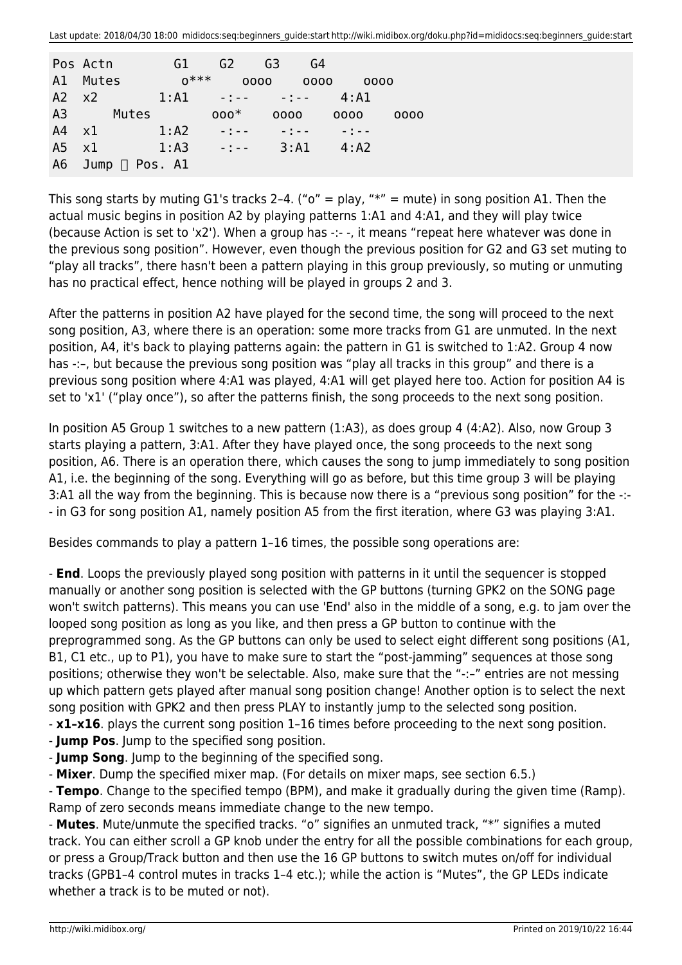|               | Pos Actn              | G <sub>1</sub> | G <sub>2</sub>                      | G <sub>3</sub> | G4                                                  |      |
|---------------|-----------------------|----------------|-------------------------------------|----------------|-----------------------------------------------------|------|
|               | A1 Mutes              | $0***$         | 0000                                |                | 0000                                                | 0000 |
| $A2 \times 2$ |                       | $1:$ Al        | المستوجب المستوجب                   |                | 4:A1                                                |      |
| A3            | Mutes                 |                | $000*$                              | 0000           | 0000                                                | 0000 |
| $A4 \times 1$ |                       | 1: A2          | $\alpha = \frac{1}{2}$ , $\alpha =$ | $-1 - 1 - 1$   | $\alpha$ , $\alpha$ , $\beta$ , $\alpha$ , $\alpha$ |      |
| A5            | $\mathsf{x}1$         | 1:AA           | $\alpha$ and $\alpha$ and $\alpha$  | 3:11           | $4:$ A2                                             |      |
| A6            | Jump $\sqcap$ Pos. Al |                |                                     |                |                                                     |      |

This song starts by muting G1's tracks 2-4. (" $o$ " = play, " $*$ " = mute) in song position A1. Then the actual music begins in position A2 by playing patterns 1:A1 and 4:A1, and they will play twice (because Action is set to 'x2'). When a group has -:- -, it means "repeat here whatever was done in the previous song position". However, even though the previous position for G2 and G3 set muting to "play all tracks", there hasn't been a pattern playing in this group previously, so muting or unmuting has no practical effect, hence nothing will be played in groups 2 and 3.

After the patterns in position A2 have played for the second time, the song will proceed to the next song position, A3, where there is an operation: some more tracks from G1 are unmuted. In the next position, A4, it's back to playing patterns again: the pattern in G1 is switched to 1:A2. Group 4 now has -:-, but because the previous song position was "play all tracks in this group" and there is a previous song position where 4:A1 was played, 4:A1 will get played here too. Action for position A4 is set to 'x1' ("play once"), so after the patterns finish, the song proceeds to the next song position.

In position A5 Group 1 switches to a new pattern (1:A3), as does group 4 (4:A2). Also, now Group 3 starts playing a pattern, 3:A1. After they have played once, the song proceeds to the next song position, A6. There is an operation there, which causes the song to jump immediately to song position A1, i.e. the beginning of the song. Everything will go as before, but this time group 3 will be playing 3:A1 all the way from the beginning. This is because now there is a "previous song position" for the -:- - in G3 for song position A1, namely position A5 from the first iteration, where G3 was playing 3:A1.

Besides commands to play a pattern 1–16 times, the possible song operations are:

- **End**. Loops the previously played song position with patterns in it until the sequencer is stopped manually or another song position is selected with the GP buttons (turning GPK2 on the SONG page won't switch patterns). This means you can use 'End' also in the middle of a song, e.g. to jam over the looped song position as long as you like, and then press a GP button to continue with the preprogrammed song. As the GP buttons can only be used to select eight different song positions (A1, B1, C1 etc., up to P1), you have to make sure to start the "post-jamming" sequences at those song positions; otherwise they won't be selectable. Also, make sure that the "-:–" entries are not messing up which pattern gets played after manual song position change! Another option is to select the next song position with GPK2 and then press PLAY to instantly jump to the selected song position.

- **x1–x16**. plays the current song position 1–16 times before proceeding to the next song position.

- **Jump Pos**. Jump to the specified song position.

- **Jump Song**. Jump to the beginning of the specified song.

- **Mixer**. Dump the specified mixer map. (For details on mixer maps, see section 6.5.)

- **Tempo**. Change to the specified tempo (BPM), and make it gradually during the given time (Ramp). Ramp of zero seconds means immediate change to the new tempo.

- **Mutes**. Mute/unmute the specified tracks. "o" signifies an unmuted track, "\*" signifies a muted track. You can either scroll a GP knob under the entry for all the possible combinations for each group, or press a Group/Track button and then use the 16 GP buttons to switch mutes on/off for individual tracks (GPB1–4 control mutes in tracks 1–4 etc.); while the action is "Mutes", the GP LEDs indicate whether a track is to be muted or not).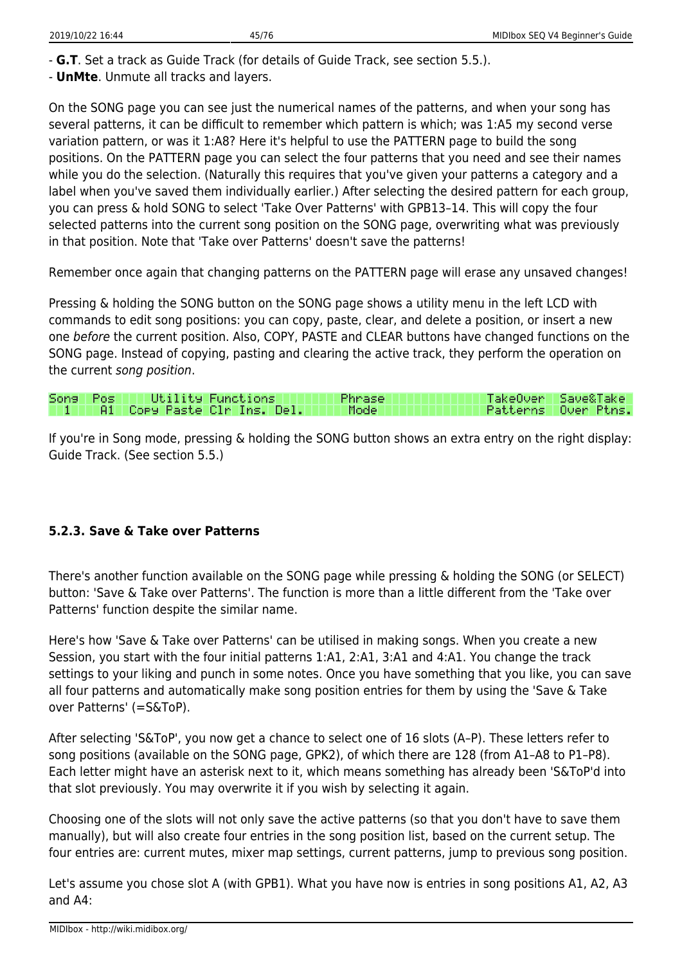- **G.T**. Set a track as Guide Track (for details of Guide Track, see section 5.5.).

- **UnMte**. Unmute all tracks and layers.

On the SONG page you can see just the numerical names of the patterns, and when your song has several patterns, it can be difficult to remember which pattern is which; was 1:A5 my second verse variation pattern, or was it 1:A8? Here it's helpful to use the PATTERN page to build the song positions. On the PATTERN page you can select the four patterns that you need and see their names while you do the selection. (Naturally this requires that you've given your patterns a category and a label when you've saved them individually earlier.) After selecting the desired pattern for each group, you can press & hold SONG to select 'Take Over Patterns' with GPB13–14. This will copy the four selected patterns into the current song position on the SONG page, overwriting what was previously in that position. Note that 'Take over Patterns' doesn't save the patterns!

Remember once again that changing patterns on the PATTERN page will erase any unsaved changes!

Pressing & holding the SONG button on the SONG page shows a utility menu in the left LCD with commands to edit song positions: you can copy, paste, clear, and delete a position, or insert a new one before the current position. Also, COPY, PASTE and CLEAR buttons have changed functions on the SONG page. Instead of copying, pasting and clearing the active track, they perform the operation on the current song position.

|  | Sons Pos III Utility Functions I    | Phrase I | <b>NTakeOver Save&amp;TakeN</b> |
|--|-------------------------------------|----------|---------------------------------|
|  | TIM THAM FORM Paste Clr Ins. Del. P | II Model | Patterns Over Ptns.             |

If you're in Song mode, pressing & holding the SONG button shows an extra entry on the right display: Guide Track. (See section 5.5.)

### **5.2.3. Save & Take over Patterns**

There's another function available on the SONG page while pressing & holding the SONG (or SELECT) button: 'Save & Take over Patterns'. The function is more than a little different from the 'Take over Patterns' function despite the similar name.

Here's how 'Save & Take over Patterns' can be utilised in making songs. When you create a new Session, you start with the four initial patterns 1:A1, 2:A1, 3:A1 and 4:A1. You change the track settings to your liking and punch in some notes. Once you have something that you like, you can save all four patterns and automatically make song position entries for them by using the 'Save & Take over Patterns' (=S&ToP).

After selecting 'S&ToP', you now get a chance to select one of 16 slots (A–P). These letters refer to song positions (available on the SONG page, GPK2), of which there are 128 (from A1–A8 to P1–P8). Each letter might have an asterisk next to it, which means something has already been 'S&ToP'd into that slot previously. You may overwrite it if you wish by selecting it again.

Choosing one of the slots will not only save the active patterns (so that you don't have to save them manually), but will also create four entries in the song position list, based on the current setup. The four entries are: current mutes, mixer map settings, current patterns, jump to previous song position.

Let's assume you chose slot A (with GPB1). What you have now is entries in song positions A1, A2, A3 and A4: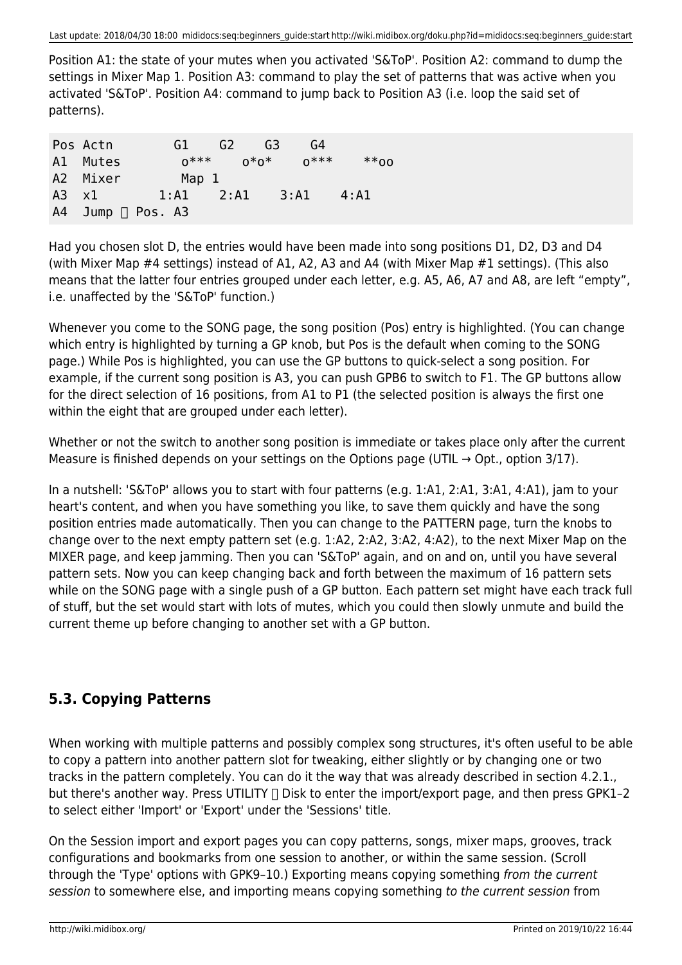Position A1: the state of your mutes when you activated 'S&ToP'. Position A2: command to dump the settings in Mixer Map 1. Position A3: command to play the set of patterns that was active when you activated 'S&ToP'. Position A4: command to jump back to Position A3 (i.e. loop the said set of patterns).

| Pos Actn      | G1                       | G <sub>2</sub> | 63   | G4     |      |
|---------------|--------------------------|----------------|------|--------|------|
| A1 Mutes      | $n***$                   |                | ∩*ი* | $n***$ | ^^*^ |
| A2 Mixer      | Map 1                    |                |      |        |      |
| $A3 \times 1$ | $1:$ Al                  | 2:A1           |      | 3:A1   | 4:A1 |
|               | $AA$ Jump $\Box$ Pos. A3 |                |      |        |      |

Had you chosen slot D, the entries would have been made into song positions D1, D2, D3 and D4 (with Mixer Map #4 settings) instead of A1, A2, A3 and A4 (with Mixer Map #1 settings). (This also means that the latter four entries grouped under each letter, e.g. A5, A6, A7 and A8, are left "empty", i.e. unaffected by the 'S&ToP' function.)

Whenever you come to the SONG page, the song position (Pos) entry is highlighted. (You can change which entry is highlighted by turning a GP knob, but Pos is the default when coming to the SONG page.) While Pos is highlighted, you can use the GP buttons to quick-select a song position. For example, if the current song position is A3, you can push GPB6 to switch to F1. The GP buttons allow for the direct selection of 16 positions, from A1 to P1 (the selected position is always the first one within the eight that are grouped under each letter).

Whether or not the switch to another song position is immediate or takes place only after the current Measure is finished depends on your settings on the Options page (UTIL  $\rightarrow$  Opt., option 3/17).

In a nutshell: 'S&ToP' allows you to start with four patterns (e.g. 1:A1, 2:A1, 3:A1, 4:A1), jam to your heart's content, and when you have something you like, to save them quickly and have the song position entries made automatically. Then you can change to the PATTERN page, turn the knobs to change over to the next empty pattern set (e.g. 1:A2, 2:A2, 3:A2, 4:A2), to the next Mixer Map on the MIXER page, and keep jamming. Then you can 'S&ToP' again, and on and on, until you have several pattern sets. Now you can keep changing back and forth between the maximum of 16 pattern sets while on the SONG page with a single push of a GP button. Each pattern set might have each track full of stuff, but the set would start with lots of mutes, which you could then slowly unmute and build the current theme up before changing to another set with a GP button.

## **5.3. Copying Patterns**

When working with multiple patterns and possibly complex song structures, it's often useful to be able to copy a pattern into another pattern slot for tweaking, either slightly or by changing one or two tracks in the pattern completely. You can do it the way that was already described in section 4.2.1., but there's another way. Press UTILITY  $\Box$  Disk to enter the import/export page, and then press GPK1-2 to select either 'Import' or 'Export' under the 'Sessions' title.

On the Session import and export pages you can copy patterns, songs, mixer maps, grooves, track configurations and bookmarks from one session to another, or within the same session. (Scroll through the 'Type' options with GPK9–10.) Exporting means copying something from the current session to somewhere else, and importing means copying something to the current session from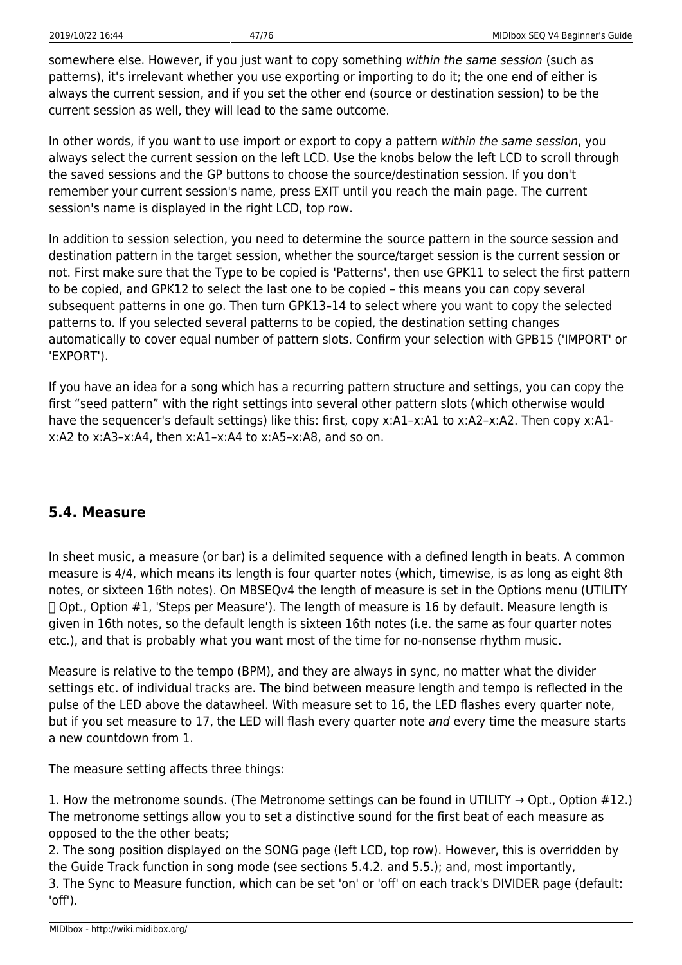somewhere else. However, if you just want to copy something within the same session (such as patterns), it's irrelevant whether you use exporting or importing to do it; the one end of either is always the current session, and if you set the other end (source or destination session) to be the current session as well, they will lead to the same outcome.

In other words, if you want to use import or export to copy a pattern within the same session, you always select the current session on the left LCD. Use the knobs below the left LCD to scroll through the saved sessions and the GP buttons to choose the source/destination session. If you don't remember your current session's name, press EXIT until you reach the main page. The current session's name is displayed in the right LCD, top row.

In addition to session selection, you need to determine the source pattern in the source session and destination pattern in the target session, whether the source/target session is the current session or not. First make sure that the Type to be copied is 'Patterns', then use GPK11 to select the first pattern to be copied, and GPK12 to select the last one to be copied – this means you can copy several subsequent patterns in one go. Then turn GPK13–14 to select where you want to copy the selected patterns to. If you selected several patterns to be copied, the destination setting changes automatically to cover equal number of pattern slots. Confirm your selection with GPB15 ('IMPORT' or 'EXPORT').

If you have an idea for a song which has a recurring pattern structure and settings, you can copy the first "seed pattern" with the right settings into several other pattern slots (which otherwise would have the sequencer's default settings) like this: first, copy x:A1-x:A1 to x:A2-x:A2. Then copy x:A1x:A2 to x:A3–x:A4, then x:A1–x:A4 to x:A5–x:A8, and so on.

## **5.4. Measure**

In sheet music, a measure (or bar) is a delimited sequence with a defined length in beats. A common measure is 4/4, which means its length is four quarter notes (which, timewise, is as long as eight 8th notes, or sixteen 16th notes). On MBSEQv4 the length of measure is set in the Options menu (UTILITY  $\Box$  Opt., Option #1, 'Steps per Measure'). The length of measure is 16 by default. Measure length is given in 16th notes, so the default length is sixteen 16th notes (i.e. the same as four quarter notes etc.), and that is probably what you want most of the time for no-nonsense rhythm music.

Measure is relative to the tempo (BPM), and they are always in sync, no matter what the divider settings etc. of individual tracks are. The bind between measure length and tempo is reflected in the pulse of the LED above the datawheel. With measure set to 16, the LED flashes every quarter note, but if you set measure to 17, the LED will flash every quarter note and every time the measure starts a new countdown from 1.

The measure setting affects three things:

1. How the metronome sounds. (The Metronome settings can be found in UTILITY  $\rightarrow$  Opt., Option #12.) The metronome settings allow you to set a distinctive sound for the first beat of each measure as opposed to the the other beats;

2. The song position displayed on the SONG page (left LCD, top row). However, this is overridden by the Guide Track function in song mode (see sections 5.4.2. and 5.5.); and, most importantly, 3. The Sync to Measure function, which can be set 'on' or 'off' on each track's DIVIDER page (default: 'off').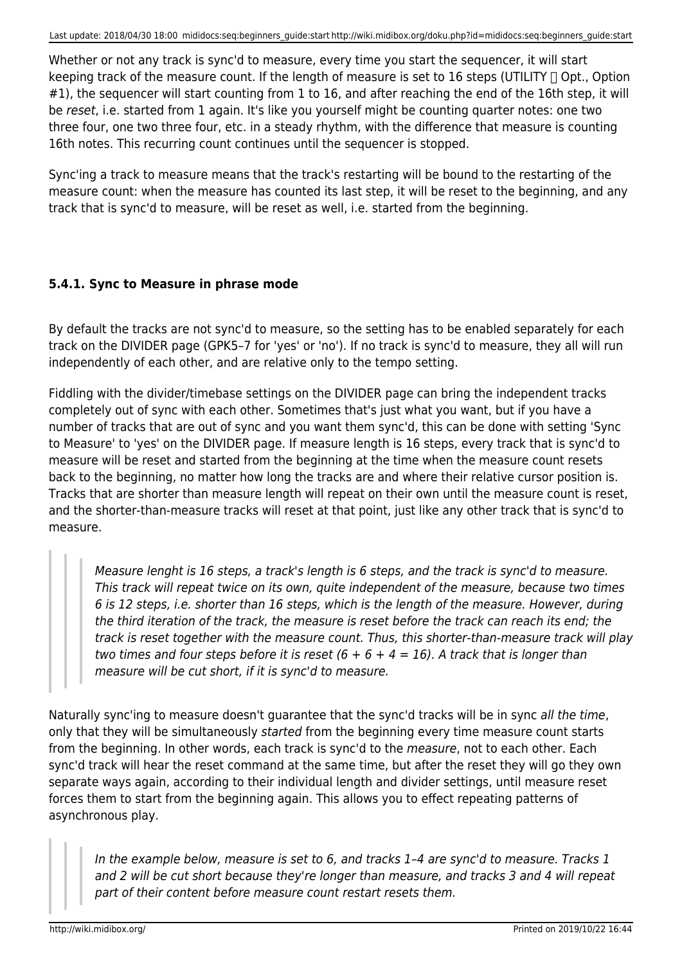Whether or not any track is sync'd to measure, every time you start the sequencer, it will start keeping track of the measure count. If the length of measure is set to 16 steps (UTILITY  $\Box$  Opt., Option #1), the sequencer will start counting from 1 to 16, and after reaching the end of the 16th step, it will be reset, i.e. started from 1 again. It's like you yourself might be counting quarter notes: one two three four, one two three four, etc. in a steady rhythm, with the difference that measure is counting 16th notes. This recurring count continues until the sequencer is stopped.

Sync'ing a track to measure means that the track's restarting will be bound to the restarting of the measure count: when the measure has counted its last step, it will be reset to the beginning, and any track that is sync'd to measure, will be reset as well, i.e. started from the beginning.

## **5.4.1. Sync to Measure in phrase mode**

By default the tracks are not sync'd to measure, so the setting has to be enabled separately for each track on the DIVIDER page (GPK5–7 for 'yes' or 'no'). If no track is sync'd to measure, they all will run independently of each other, and are relative only to the tempo setting.

Fiddling with the divider/timebase settings on the DIVIDER page can bring the independent tracks completely out of sync with each other. Sometimes that's just what you want, but if you have a number of tracks that are out of sync and you want them sync'd, this can be done with setting 'Sync to Measure' to 'yes' on the DIVIDER page. If measure length is 16 steps, every track that is sync'd to measure will be reset and started from the beginning at the time when the measure count resets back to the beginning, no matter how long the tracks are and where their relative cursor position is. Tracks that are shorter than measure length will repeat on their own until the measure count is reset, and the shorter-than-measure tracks will reset at that point, just like any other track that is sync'd to measure.

Measure lenght is 16 steps, a track's length is 6 steps, and the track is sync'd to measure. This track will repeat twice on its own, quite independent of the measure, because two times 6 is 12 steps, i.e. shorter than 16 steps, which is the length of the measure. However, during the third iteration of the track, the measure is reset before the track can reach its end; the track is reset together with the measure count. Thus, this shorter-than-measure track will play two times and four steps before it is reset  $(6 + 6 + 4 = 16)$ . A track that is longer than measure will be cut short, if it is sync'd to measure.

Naturally sync'ing to measure doesn't guarantee that the sync'd tracks will be in sync all the time, only that they will be simultaneously started from the beginning every time measure count starts from the beginning. In other words, each track is sync'd to the measure, not to each other. Each sync'd track will hear the reset command at the same time, but after the reset they will go they own separate ways again, according to their individual length and divider settings, until measure reset forces them to start from the beginning again. This allows you to effect repeating patterns of asynchronous play.

In the example below, measure is set to 6, and tracks 1–4 are sync'd to measure. Tracks 1 and 2 will be cut short because they're longer than measure, and tracks 3 and 4 will repeat part of their content before measure count restart resets them.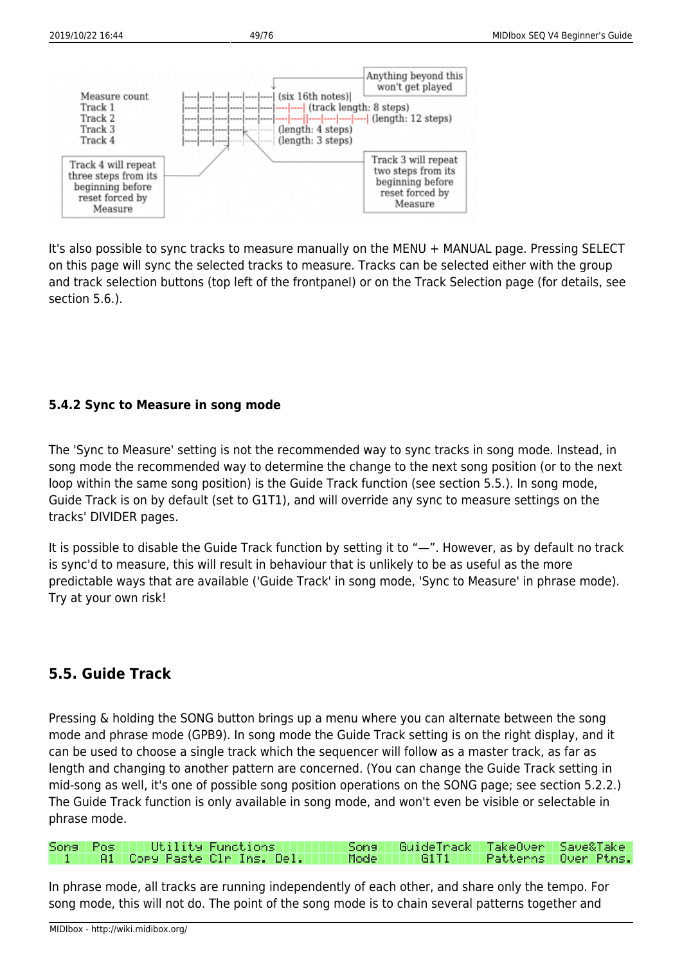

It's also possible to sync tracks to measure manually on the MENU + MANUAL page. Pressing SELECT on this page will sync the selected tracks to measure. Tracks can be selected either with the group and track selection buttons (top left of the frontpanel) or on the Track Selection page (for details, see section 5.6.).

### **5.4.2 Sync to Measure in song mode**

The 'Sync to Measure' setting is not the recommended way to sync tracks in song mode. Instead, in song mode the recommended way to determine the change to the next song position (or to the next loop within the same song position) is the Guide Track function (see section 5.5.). In song mode, Guide Track is on by default (set to G1T1), and will override any sync to measure settings on the tracks' DIVIDER pages.

It is possible to disable the Guide Track function by setting it to "—". However, as by default no track is sync'd to measure, this will result in behaviour that is unlikely to be as useful as the more predictable ways that are available ('Guide Track' in song mode, 'Sync to Measure' in phrase mode). Try at your own risk!

## **5.5. Guide Track**

Pressing & holding the SONG button brings up a menu where you can alternate between the song mode and phrase mode (GPB9). In song mode the Guide Track setting is on the right display, and it can be used to choose a single track which the sequencer will follow as a master track, as far as length and changing to another pattern are concerned. (You can change the Guide Track setting in mid-song as well, it's one of possible song position operations on the SONG page; see section 5.2.2.) The Guide Track function is only available in song mode, and won't even be visible or selectable in phrase mode.

|  | Sons Pos   Utility Functions              | Song   GuideTrack TakeOver Save&Take |  |
|--|-------------------------------------------|--------------------------------------|--|
|  | <b>TITT A1 Cory Paste Clr Ins. Dellin</b> |                                      |  |

In phrase mode, all tracks are running independently of each other, and share only the tempo. For song mode, this will not do. The point of the song mode is to chain several patterns together and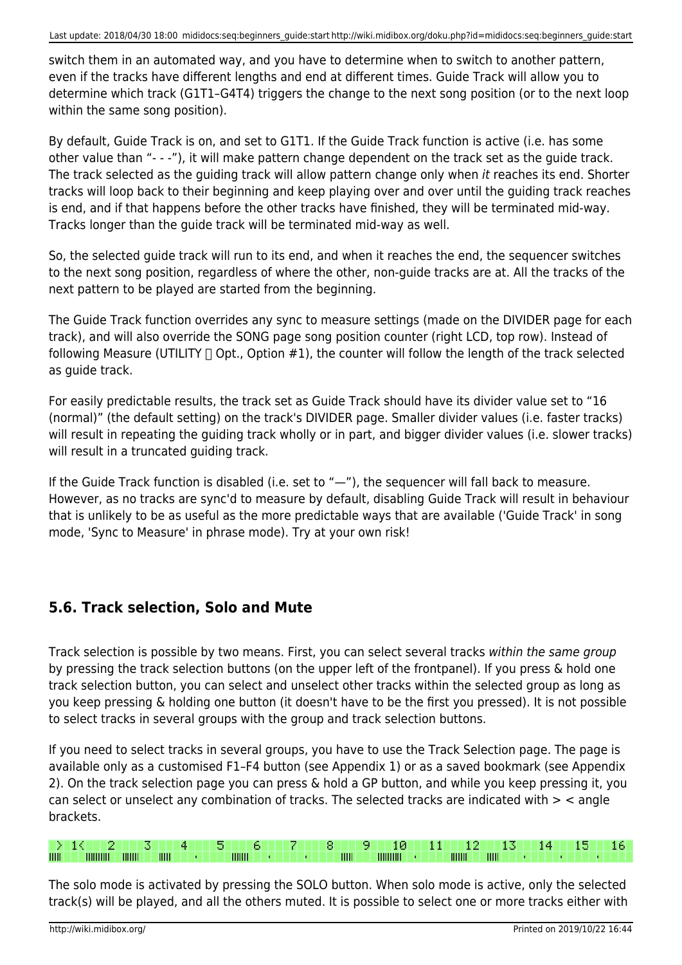switch them in an automated way, and you have to determine when to switch to another pattern, even if the tracks have different lengths and end at different times. Guide Track will allow you to determine which track (G1T1–G4T4) triggers the change to the next song position (or to the next loop within the same song position).

By default, Guide Track is on, and set to G1T1. If the Guide Track function is active (i.e. has some other value than "- - -"), it will make pattern change dependent on the track set as the guide track. The track selected as the guiding track will allow pattern change only when it reaches its end. Shorter tracks will loop back to their beginning and keep playing over and over until the guiding track reaches is end, and if that happens before the other tracks have finished, they will be terminated mid-way. Tracks longer than the guide track will be terminated mid-way as well.

So, the selected guide track will run to its end, and when it reaches the end, the sequencer switches to the next song position, regardless of where the other, non-guide tracks are at. All the tracks of the next pattern to be played are started from the beginning.

The Guide Track function overrides any sync to measure settings (made on the DIVIDER page for each track), and will also override the SONG page song position counter (right LCD, top row). Instead of following Measure (UTILITY  $\Box$  Opt., Option #1), the counter will follow the length of the track selected as guide track.

For easily predictable results, the track set as Guide Track should have its divider value set to "16 (normal)" (the default setting) on the track's DIVIDER page. Smaller divider values (i.e. faster tracks) will result in repeating the guiding track wholly or in part, and bigger divider values (i.e. slower tracks) will result in a truncated guiding track.

If the Guide Track function is disabled (i.e. set to "—"), the sequencer will fall back to measure. However, as no tracks are sync'd to measure by default, disabling Guide Track will result in behaviour that is unlikely to be as useful as the more predictable ways that are available ('Guide Track' in song mode, 'Sync to Measure' in phrase mode). Try at your own risk!

## **5.6. Track selection, Solo and Mute**

Track selection is possible by two means. First, you can select several tracks within the same group by pressing the track selection buttons (on the upper left of the frontpanel). If you press & hold one track selection button, you can select and unselect other tracks within the selected group as long as you keep pressing & holding one button (it doesn't have to be the first you pressed). It is not possible to select tracks in several groups with the group and track selection buttons.

If you need to select tracks in several groups, you have to use the Track Selection page. The page is available only as a customised F1–F4 button (see Appendix 1) or as a saved bookmark (see Appendix 2). On the track selection page you can press & hold a GP button, and while you keep pressing it, you can select or unselect any combination of tracks. The selected tracks are indicated with  $>$   $<$  angle brackets.

#### $>1$ K T 2 3 5 6 7. 8 9 10 11 12 13 14 15 16  $\overline{\mathbf{m}}$ **THOMAS DINNER THEFT**  $\overline{\mathbf{m}}$  $IIIII$ **MINIMULT**  $\overline{\mathbf{m}}$  $\overline{\mathbf{m}}$

The solo mode is activated by pressing the SOLO button. When solo mode is active, only the selected track(s) will be played, and all the others muted. It is possible to select one or more tracks either with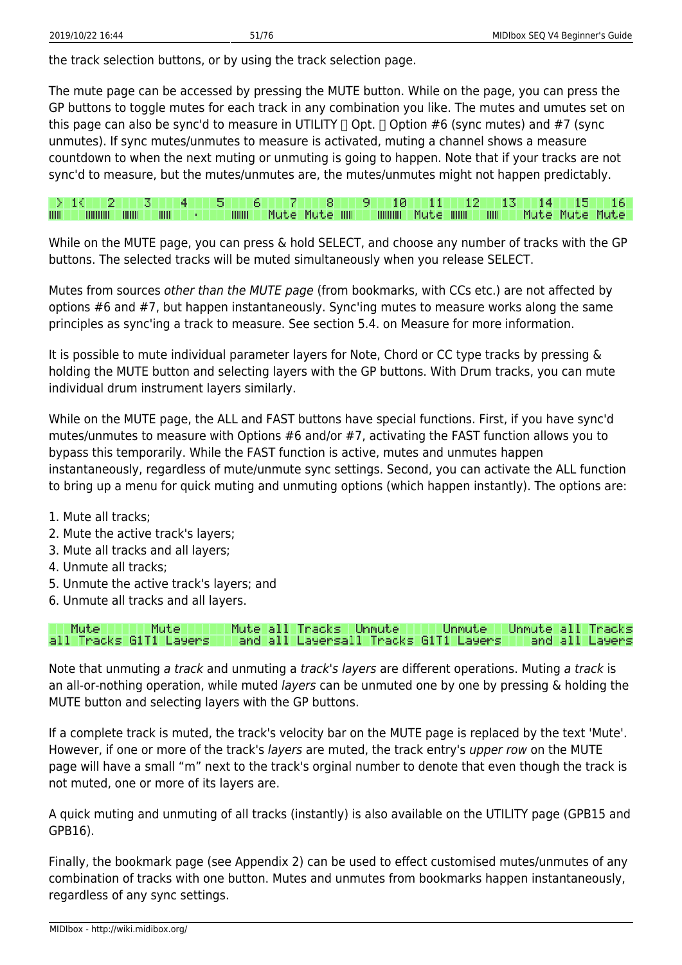the track selection buttons, or by using the track selection page.

The mute page can be accessed by pressing the MUTE button. While on the page, you can press the GP buttons to toggle mutes for each track in any combination you like. The mutes and umutes set on this page can also be sync'd to measure in UTILITY  $\Box$  Opt.  $\Box$  Option #6 (sync mutes) and #7 (sync unmutes). If sync mutes/unmutes to measure is activated, muting a channel shows a measure countdown to when the next muting or unmuting is going to happen. Note that if your tracks are not sync'd to measure, but the mutes/unmutes are, the mutes/unmutes might not happen predictably.

|        |                 |              |                                     |  |  |  |  |  |  | 1 2 3 3 4 5 6 7 8 9 10 11 12 13 14 15 16               |
|--------|-----------------|--------------|-------------------------------------|--|--|--|--|--|--|--------------------------------------------------------|
| HIII I | <b>THURSDAY</b> | <b>THILL</b> | $\blacksquare$ where $\blacksquare$ |  |  |  |  |  |  | \mm   Mute Mute mm   mmm Mute mm   mm   Mute Mute Mute |

While on the MUTE page, you can press & hold SELECT, and choose any number of tracks with the GP buttons. The selected tracks will be muted simultaneously when you release SELECT.

Mutes from sources other than the MUTE page (from bookmarks, with CCs etc.) are not affected by options #6 and #7, but happen instantaneously. Sync'ing mutes to measure works along the same principles as sync'ing a track to measure. See section 5.4. on Measure for more information.

It is possible to mute individual parameter layers for Note, Chord or CC type tracks by pressing & holding the MUTE button and selecting layers with the GP buttons. With Drum tracks, you can mute individual drum instrument layers similarly.

While on the MUTE page, the ALL and FAST buttons have special functions. First, if you have sync'd mutes/unmutes to measure with Options #6 and/or #7, activating the FAST function allows you to bypass this temporarily. While the FAST function is active, mutes and unmutes happen instantaneously, regardless of mute/unmute sync settings. Second, you can activate the ALL function to bring up a menu for quick muting and unmuting options (which happen instantly). The options are:

- 1. Mute all tracks;
- 2. Mute the active track's layers;
- 3. Mute all tracks and all layers;
- 4. Unmute all tracks;
- 5. Unmute the active track's layers; and
- 6. Unmute all tracks and all layers.

Mute all Tracks | Unmute Unmute all Mute: Mute Unmute: Tracks all Tracks G1T1 Layers and all Layersall Tracks G1T1 Layers and all

Note that unmuting a track and unmuting a track's layers are different operations. Muting a track is an all-or-nothing operation, while muted *layers* can be unmuted one by one by pressing  $\&$  holding the MUTE button and selecting layers with the GP buttons.

If a complete track is muted, the track's velocity bar on the MUTE page is replaced by the text 'Mute'. However, if one or more of the track's layers are muted, the track entry's upper row on the MUTE page will have a small "m" next to the track's orginal number to denote that even though the track is not muted, one or more of its layers are.

A quick muting and unmuting of all tracks (instantly) is also available on the UTILITY page (GPB15 and GPB16).

Finally, the bookmark page (see Appendix 2) can be used to effect customised mutes/unmutes of any combination of tracks with one button. Mutes and unmutes from bookmarks happen instantaneously, regardless of any sync settings.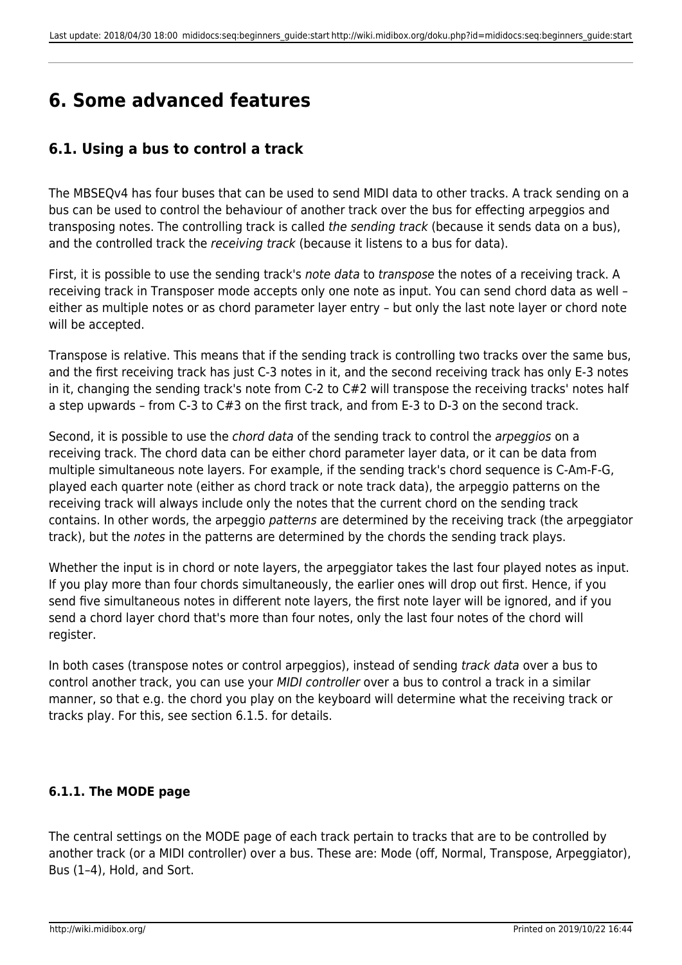# **6. Some advanced features**

## **6.1. Using a bus to control a track**

The MBSEQv4 has four buses that can be used to send MIDI data to other tracks. A track sending on a bus can be used to control the behaviour of another track over the bus for effecting arpeggios and transposing notes. The controlling track is called the sending track (because it sends data on a bus), and the controlled track the receiving track (because it listens to a bus for data).

First, it is possible to use the sending track's note data to transpose the notes of a receiving track. A receiving track in Transposer mode accepts only one note as input. You can send chord data as well – either as multiple notes or as chord parameter layer entry – but only the last note layer or chord note will be accepted.

Transpose is relative. This means that if the sending track is controlling two tracks over the same bus, and the first receiving track has just C-3 notes in it, and the second receiving track has only E-3 notes in it, changing the sending track's note from C-2 to C#2 will transpose the receiving tracks' notes half a step upwards – from C-3 to C#3 on the first track, and from E-3 to D-3 on the second track.

Second, it is possible to use the *chord data* of the sending track to control the *arpeggios* on a receiving track. The chord data can be either chord parameter layer data, or it can be data from multiple simultaneous note layers. For example, if the sending track's chord sequence is C-Am-F-G, played each quarter note (either as chord track or note track data), the arpeggio patterns on the receiving track will always include only the notes that the current chord on the sending track contains. In other words, the arpeggio patterns are determined by the receiving track (the arpeggiator track), but the notes in the patterns are determined by the chords the sending track plays.

Whether the input is in chord or note layers, the arpeggiator takes the last four played notes as input. If you play more than four chords simultaneously, the earlier ones will drop out first. Hence, if you send five simultaneous notes in different note layers, the first note layer will be ignored, and if you send a chord layer chord that's more than four notes, only the last four notes of the chord will register.

In both cases (transpose notes or control arpeggios), instead of sending *track data* over a bus to control another track, you can use your MIDI controller over a bus to control a track in a similar manner, so that e.g. the chord you play on the keyboard will determine what the receiving track or tracks play. For this, see section 6.1.5. for details.

## **6.1.1. The MODE page**

The central settings on the MODE page of each track pertain to tracks that are to be controlled by another track (or a MIDI controller) over a bus. These are: Mode (off, Normal, Transpose, Arpeggiator), Bus (1–4), Hold, and Sort.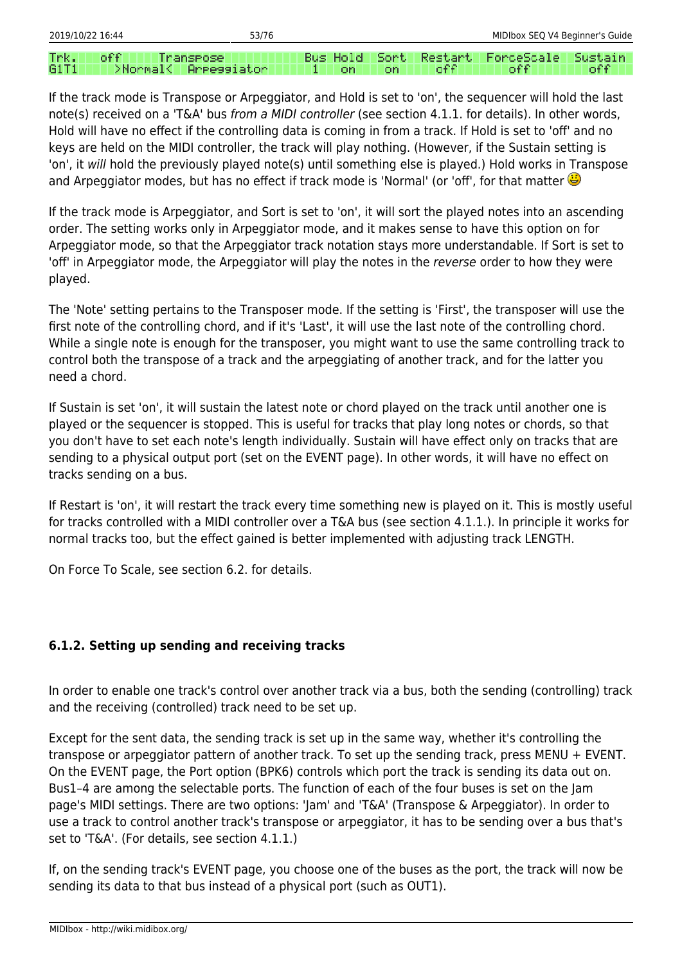off TT Transpose **Bus Hold** Sort Restart ForceScale Trk. Sustain G1T1 >Normal< **Arressiator** off off o€€ 1 lon lon.

If the track mode is Transpose or Arpeggiator, and Hold is set to 'on', the sequencer will hold the last note(s) received on a 'T&A' bus from a MIDI controller (see section 4.1.1. for details). In other words, Hold will have no effect if the controlling data is coming in from a track. If Hold is set to 'off' and no keys are held on the MIDI controller, the track will play nothing. (However, if the Sustain setting is 'on', it will hold the previously played note(s) until something else is played.) Hold works in Transpose and Arpeggiator modes, but has no effect if track mode is 'Normal' (or 'off', for that matter

If the track mode is Arpeggiator, and Sort is set to 'on', it will sort the played notes into an ascending order. The setting works only in Arpeggiator mode, and it makes sense to have this option on for Arpeggiator mode, so that the Arpeggiator track notation stays more understandable. If Sort is set to 'off' in Arpeggiator mode, the Arpeggiator will play the notes in the reverse order to how they were played.

The 'Note' setting pertains to the Transposer mode. If the setting is 'First', the transposer will use the first note of the controlling chord, and if it's 'Last', it will use the last note of the controlling chord. While a single note is enough for the transposer, you might want to use the same controlling track to control both the transpose of a track and the arpeggiating of another track, and for the latter you need a chord.

If Sustain is set 'on', it will sustain the latest note or chord played on the track until another one is played or the sequencer is stopped. This is useful for tracks that play long notes or chords, so that you don't have to set each note's length individually. Sustain will have effect only on tracks that are sending to a physical output port (set on the EVENT page). In other words, it will have no effect on tracks sending on a bus.

If Restart is 'on', it will restart the track every time something new is played on it. This is mostly useful for tracks controlled with a MIDI controller over a T&A bus (see section 4.1.1.). In principle it works for normal tracks too, but the effect gained is better implemented with adjusting track LENGTH.

On Force To Scale, see section 6.2. for details.

### **6.1.2. Setting up sending and receiving tracks**

In order to enable one track's control over another track via a bus, both the sending (controlling) track and the receiving (controlled) track need to be set up.

Except for the sent data, the sending track is set up in the same way, whether it's controlling the transpose or arpeggiator pattern of another track. To set up the sending track, press MENU + EVENT. On the EVENT page, the Port option (BPK6) controls which port the track is sending its data out on. Bus1–4 are among the selectable ports. The function of each of the four buses is set on the Jam page's MIDI settings. There are two options: 'Jam' and 'T&A' (Transpose & Arpeggiator). In order to use a track to control another track's transpose or arpeggiator, it has to be sending over a bus that's set to 'T&A'. (For details, see section 4.1.1.)

If, on the sending track's EVENT page, you choose one of the buses as the port, the track will now be sending its data to that bus instead of a physical port (such as OUT1).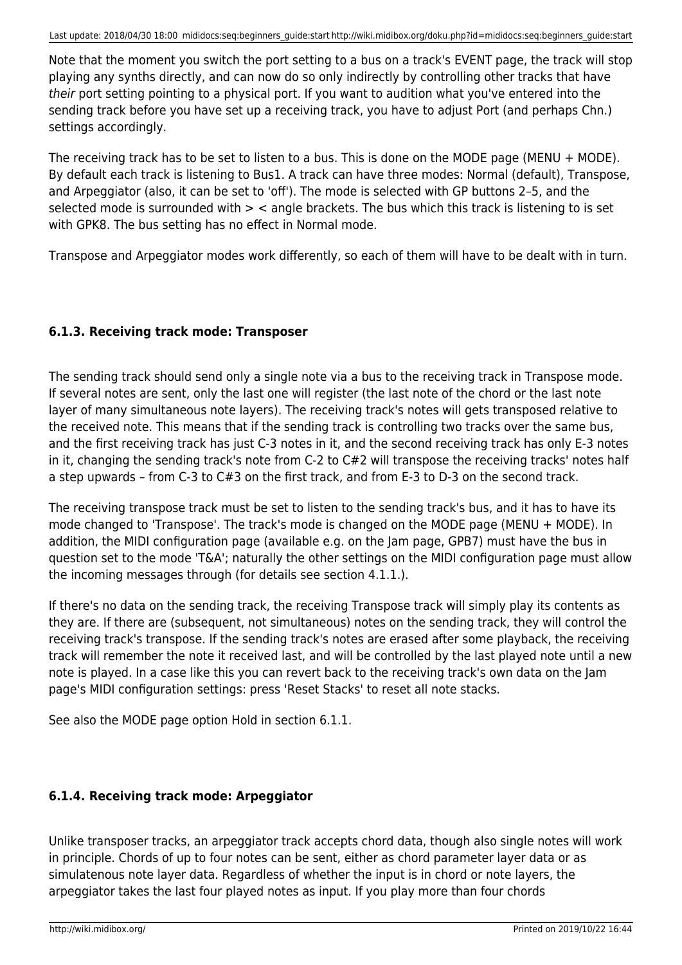Note that the moment you switch the port setting to a bus on a track's EVENT page, the track will stop playing any synths directly, and can now do so only indirectly by controlling other tracks that have their port setting pointing to a physical port. If you want to audition what you've entered into the sending track before you have set up a receiving track, you have to adjust Port (and perhaps Chn.) settings accordingly.

The receiving track has to be set to listen to a bus. This is done on the MODE page (MENU + MODE). By default each track is listening to Bus1. A track can have three modes: Normal (default), Transpose, and Arpeggiator (also, it can be set to 'off'). The mode is selected with GP buttons 2–5, and the selected mode is surrounded with  $>$  < angle brackets. The bus which this track is listening to is set with GPK8. The bus setting has no effect in Normal mode.

Transpose and Arpeggiator modes work differently, so each of them will have to be dealt with in turn.

### **6.1.3. Receiving track mode: Transposer**

The sending track should send only a single note via a bus to the receiving track in Transpose mode. If several notes are sent, only the last one will register (the last note of the chord or the last note layer of many simultaneous note layers). The receiving track's notes will gets transposed relative to the received note. This means that if the sending track is controlling two tracks over the same bus, and the first receiving track has just C-3 notes in it, and the second receiving track has only E-3 notes in it, changing the sending track's note from C-2 to C#2 will transpose the receiving tracks' notes half a step upwards – from C-3 to C#3 on the first track, and from E-3 to D-3 on the second track.

The receiving transpose track must be set to listen to the sending track's bus, and it has to have its mode changed to 'Transpose'. The track's mode is changed on the MODE page (MENU + MODE). In addition, the MIDI configuration page (available e.g. on the Jam page, GPB7) must have the bus in question set to the mode 'T&A'; naturally the other settings on the MIDI configuration page must allow the incoming messages through (for details see section 4.1.1.).

If there's no data on the sending track, the receiving Transpose track will simply play its contents as they are. If there are (subsequent, not simultaneous) notes on the sending track, they will control the receiving track's transpose. If the sending track's notes are erased after some playback, the receiving track will remember the note it received last, and will be controlled by the last played note until a new note is played. In a case like this you can revert back to the receiving track's own data on the Jam page's MIDI configuration settings: press 'Reset Stacks' to reset all note stacks.

See also the MODE page option Hold in section 6.1.1.

### **6.1.4. Receiving track mode: Arpeggiator**

Unlike transposer tracks, an arpeggiator track accepts chord data, though also single notes will work in principle. Chords of up to four notes can be sent, either as chord parameter layer data or as simulatenous note layer data. Regardless of whether the input is in chord or note layers, the arpeggiator takes the last four played notes as input. If you play more than four chords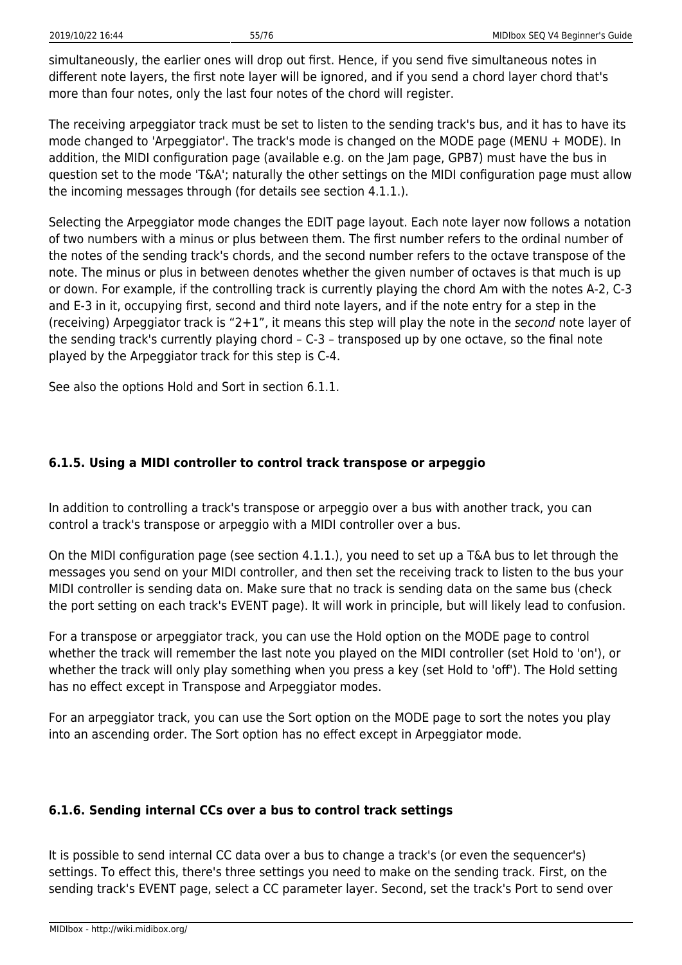simultaneously, the earlier ones will drop out first. Hence, if you send five simultaneous notes in different note layers, the first note layer will be ignored, and if you send a chord layer chord that's more than four notes, only the last four notes of the chord will register.

The receiving arpeggiator track must be set to listen to the sending track's bus, and it has to have its mode changed to 'Arpeggiator'. The track's mode is changed on the MODE page (MENU + MODE). In addition, the MIDI configuration page (available e.g. on the Jam page, GPB7) must have the bus in question set to the mode 'T&A'; naturally the other settings on the MIDI configuration page must allow the incoming messages through (for details see section 4.1.1.).

Selecting the Arpeggiator mode changes the EDIT page layout. Each note layer now follows a notation of two numbers with a minus or plus between them. The first number refers to the ordinal number of the notes of the sending track's chords, and the second number refers to the octave transpose of the note. The minus or plus in between denotes whether the given number of octaves is that much is up or down. For example, if the controlling track is currently playing the chord Am with the notes A-2, C-3 and E-3 in it, occupying first, second and third note layers, and if the note entry for a step in the (receiving) Arpeggiator track is "2+1", it means this step will play the note in the second note layer of the sending track's currently playing chord – C-3 – transposed up by one octave, so the final note played by the Arpeggiator track for this step is C-4.

See also the options Hold and Sort in section 6.1.1.

### **6.1.5. Using a MIDI controller to control track transpose or arpeggio**

In addition to controlling a track's transpose or arpeggio over a bus with another track, you can control a track's transpose or arpeggio with a MIDI controller over a bus.

On the MIDI configuration page (see section 4.1.1.), you need to set up a T&A bus to let through the messages you send on your MIDI controller, and then set the receiving track to listen to the bus your MIDI controller is sending data on. Make sure that no track is sending data on the same bus (check the port setting on each track's EVENT page). It will work in principle, but will likely lead to confusion.

For a transpose or arpeggiator track, you can use the Hold option on the MODE page to control whether the track will remember the last note you played on the MIDI controller (set Hold to 'on'), or whether the track will only play something when you press a key (set Hold to 'off'). The Hold setting has no effect except in Transpose and Arpeggiator modes.

For an arpeggiator track, you can use the Sort option on the MODE page to sort the notes you play into an ascending order. The Sort option has no effect except in Arpeggiator mode.

#### **6.1.6. Sending internal CCs over a bus to control track settings**

It is possible to send internal CC data over a bus to change a track's (or even the sequencer's) settings. To effect this, there's three settings you need to make on the sending track. First, on the sending track's EVENT page, select a CC parameter layer. Second, set the track's Port to send over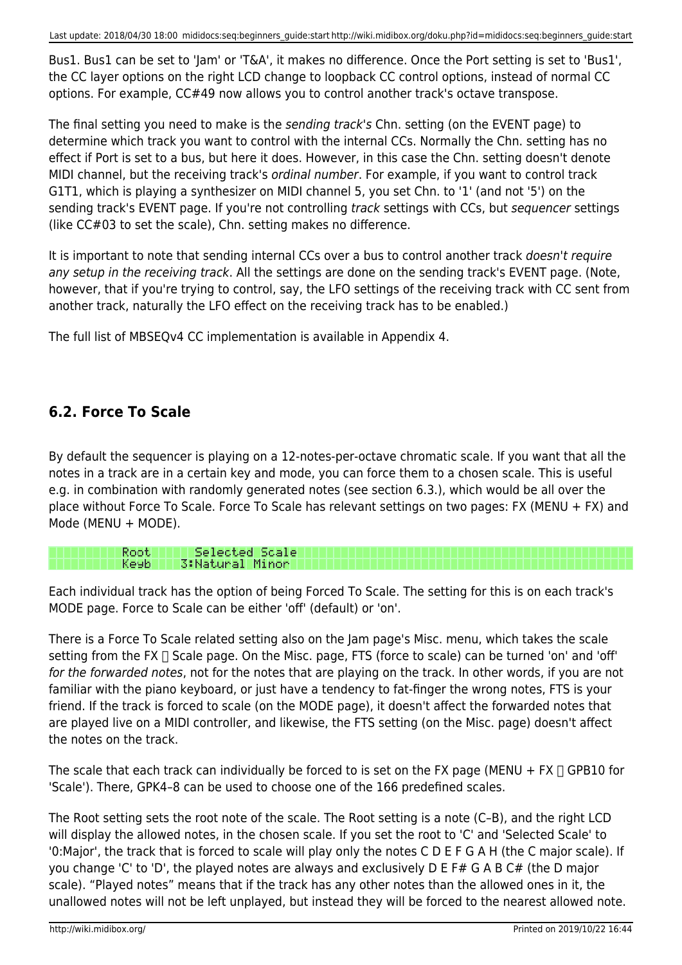Bus1. Bus1 can be set to 'Jam' or 'T&A', it makes no difference. Once the Port setting is set to 'Bus1', the CC layer options on the right LCD change to loopback CC control options, instead of normal CC options. For example, CC#49 now allows you to control another track's octave transpose.

The final setting you need to make is the sending track's Chn. setting (on the EVENT page) to determine which track you want to control with the internal CCs. Normally the Chn. setting has no effect if Port is set to a bus, but here it does. However, in this case the Chn. setting doesn't denote MIDI channel, but the receiving track's ordinal number. For example, if you want to control track G1T1, which is playing a synthesizer on MIDI channel 5, you set Chn. to '1' (and not '5') on the sending track's EVENT page. If you're not controlling track settings with CCs, but sequencer settings (like CC#03 to set the scale), Chn. setting makes no difference.

It is important to note that sending internal CCs over a bus to control another track doesn't require any setup in the receiving track. All the settings are done on the sending track's EVENT page. (Note, however, that if you're trying to control, say, the LFO settings of the receiving track with CC sent from another track, naturally the LFO effect on the receiving track has to be enabled.)

The full list of MBSEQv4 CC implementation is available in Appendix 4.

## **6.2. Force To Scale**

Root.

By default the sequencer is playing on a 12-notes-per-octave chromatic scale. If you want that all the notes in a track are in a certain key and mode, you can force them to a chosen scale. This is useful e.g. in combination with randomly generated notes (see section 6.3.), which would be all over the place without Force To Scale. Force To Scale has relevant settings on two pages: FX (MENU + FX) and Mode (MENU + MODE).

Ke9b. 3:Natural Minor

Selected Scale

Each individual track has the option of being Forced To Scale. The setting for this is on each track's MODE page. Force to Scale can be either 'off' (default) or 'on'.

There is a Force To Scale related setting also on the Jam page's Misc. menu, which takes the scale setting from the FX  $\Box$  Scale page. On the Misc. page, FTS (force to scale) can be turned 'on' and 'off' for the forwarded notes, not for the notes that are playing on the track. In other words, if you are not familiar with the piano keyboard, or just have a tendency to fat-finger the wrong notes, FTS is your friend. If the track is forced to scale (on the MODE page), it doesn't affect the forwarded notes that are played live on a MIDI controller, and likewise, the FTS setting (on the Misc. page) doesn't affect the notes on the track.

The scale that each track can individually be forced to is set on the FX page (MENU + FX  $\Box$  GPB10 for 'Scale'). There, GPK4–8 can be used to choose one of the 166 predefined scales.

The Root setting sets the root note of the scale. The Root setting is a note (C–B), and the right LCD will display the allowed notes, in the chosen scale. If you set the root to 'C' and 'Selected Scale' to '0:Major', the track that is forced to scale will play only the notes C D E F G A H (the C major scale). If you change 'C' to 'D', the played notes are always and exclusively D E F# G A B C# (the D major scale). "Played notes" means that if the track has any other notes than the allowed ones in it, the unallowed notes will not be left unplayed, but instead they will be forced to the nearest allowed note.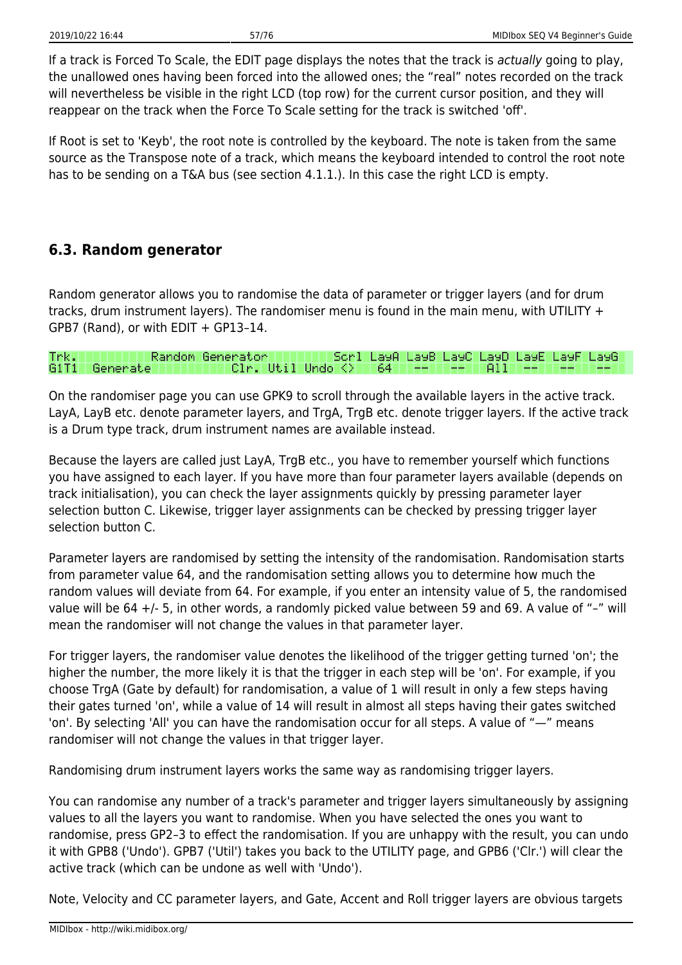If a track is Forced To Scale, the EDIT page displays the notes that the track is actually going to play, the unallowed ones having been forced into the allowed ones; the "real" notes recorded on the track will nevertheless be visible in the right LCD (top row) for the current cursor position, and they will reappear on the track when the Force To Scale setting for the track is switched 'off'.

If Root is set to 'Keyb', the root note is controlled by the keyboard. The note is taken from the same source as the Transpose note of a track, which means the keyboard intended to control the root note has to be sending on a T&A bus (see section 4.1.1.). In this case the right LCD is empty.

## **6.3. Random generator**

Random generator allows you to randomise the data of parameter or trigger layers (and for drum tracks, drum instrument layers). The randomiser menu is found in the main menu, with UTILITY + GPB7 (Rand), or with EDIT  $+$  GP13-14.

#### Random Generator Scri LayA LayB LayC LayD LayE LayF Trk. LayG G1T1 Generate Clr. Util Undo K> 64 A11

On the randomiser page you can use GPK9 to scroll through the available layers in the active track. LayA, LayB etc. denote parameter layers, and TrgA, TrgB etc. denote trigger layers. If the active track is a Drum type track, drum instrument names are available instead.

Because the layers are called just LayA, TrgB etc., you have to remember yourself which functions you have assigned to each layer. If you have more than four parameter layers available (depends on track initialisation), you can check the layer assignments quickly by pressing parameter layer selection button C. Likewise, trigger layer assignments can be checked by pressing trigger layer selection button C.

Parameter layers are randomised by setting the intensity of the randomisation. Randomisation starts from parameter value 64, and the randomisation setting allows you to determine how much the random values will deviate from 64. For example, if you enter an intensity value of 5, the randomised value will be 64 +/- 5, in other words, a randomly picked value between 59 and 69. A value of "–" will mean the randomiser will not change the values in that parameter layer.

For trigger layers, the randomiser value denotes the likelihood of the trigger getting turned 'on'; the higher the number, the more likely it is that the trigger in each step will be 'on'. For example, if you choose TrgA (Gate by default) for randomisation, a value of 1 will result in only a few steps having their gates turned 'on', while a value of 14 will result in almost all steps having their gates switched 'on'. By selecting 'All' you can have the randomisation occur for all steps. A value of "—" means randomiser will not change the values in that trigger layer.

Randomising drum instrument layers works the same way as randomising trigger layers.

You can randomise any number of a track's parameter and trigger layers simultaneously by assigning values to all the layers you want to randomise. When you have selected the ones you want to randomise, press GP2–3 to effect the randomisation. If you are unhappy with the result, you can undo it with GPB8 ('Undo'). GPB7 ('Util') takes you back to the UTILITY page, and GPB6 ('Clr.') will clear the active track (which can be undone as well with 'Undo').

Note, Velocity and CC parameter layers, and Gate, Accent and Roll trigger layers are obvious targets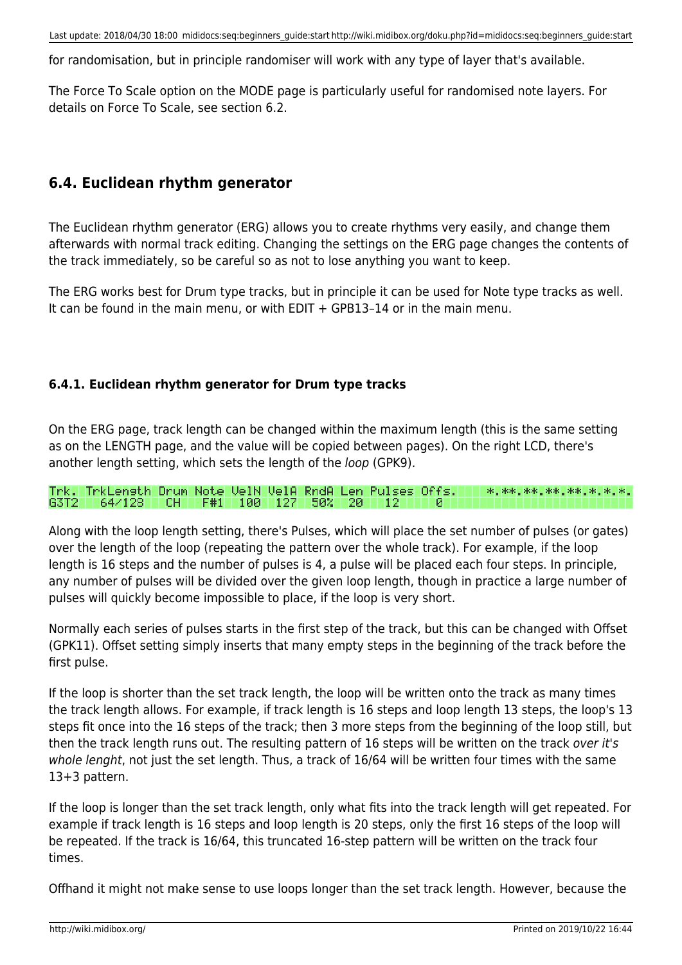for randomisation, but in principle randomiser will work with any type of layer that's available.

The Force To Scale option on the MODE page is particularly useful for randomised note layers. For details on Force To Scale, see section 6.2.

## **6.4. Euclidean rhythm generator**

The Euclidean rhythm generator (ERG) allows you to create rhythms very easily, and change them afterwards with normal track editing. Changing the settings on the ERG page changes the contents of the track immediately, so be careful so as not to lose anything you want to keep.

The ERG works best for Drum type tracks, but in principle it can be used for Note type tracks as well. It can be found in the main menu, or with EDIT + GPB13–14 or in the main menu.

### **6.4.1. Euclidean rhythm generator for Drum type tracks**

On the ERG page, track length can be changed within the maximum length (this is the same setting as on the LENGTH page, and the value will be copied between pages). On the right LCD, there's another length setting, which sets the length of the loop (GPK9).

Trk. TrkLensth Drum Note VelN VelA RndA Len Pulses Offs. 冰。冰冰。冰冰。冰冰。冰水。冰。冰。冰。 G3T2 64/128 CH F#1 100 127 50% 120 T -12 и

Along with the loop length setting, there's Pulses, which will place the set number of pulses (or gates) over the length of the loop (repeating the pattern over the whole track). For example, if the loop length is 16 steps and the number of pulses is 4, a pulse will be placed each four steps. In principle, any number of pulses will be divided over the given loop length, though in practice a large number of pulses will quickly become impossible to place, if the loop is very short.

Normally each series of pulses starts in the first step of the track, but this can be changed with Offset (GPK11). Offset setting simply inserts that many empty steps in the beginning of the track before the first pulse.

If the loop is shorter than the set track length, the loop will be written onto the track as many times the track length allows. For example, if track length is 16 steps and loop length 13 steps, the loop's 13 steps fit once into the 16 steps of the track; then 3 more steps from the beginning of the loop still, but then the track length runs out. The resulting pattern of 16 steps will be written on the track over it's whole lenght, not just the set length. Thus, a track of 16/64 will be written four times with the same 13+3 pattern.

If the loop is longer than the set track length, only what fits into the track length will get repeated. For example if track length is 16 steps and loop length is 20 steps, only the first 16 steps of the loop will be repeated. If the track is 16/64, this truncated 16-step pattern will be written on the track four times.

Offhand it might not make sense to use loops longer than the set track length. However, because the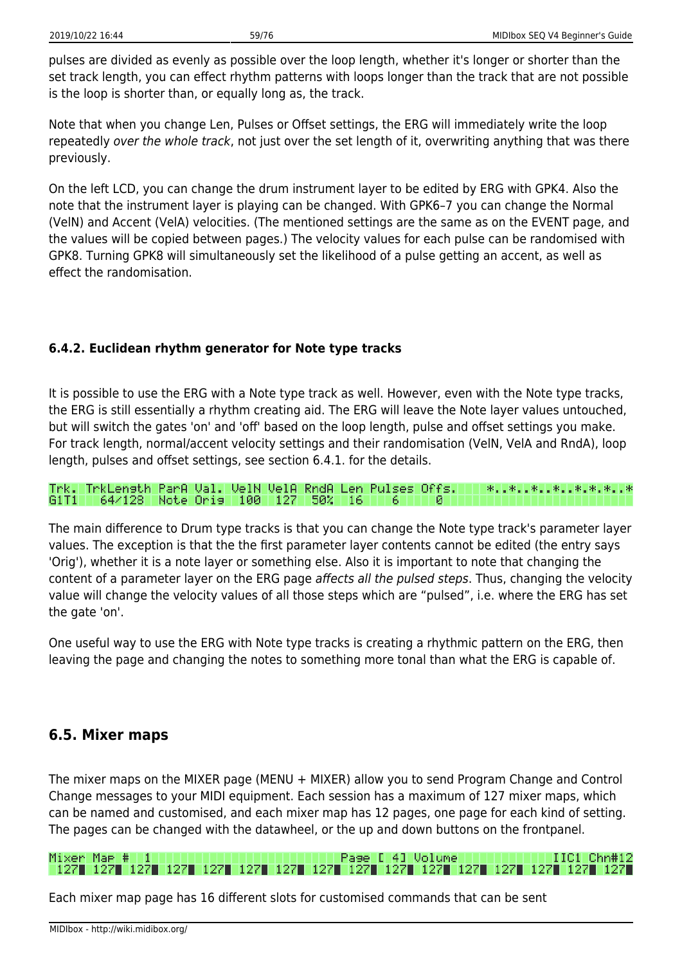pulses are divided as evenly as possible over the loop length, whether it's longer or shorter than the set track length, you can effect rhythm patterns with loops longer than the track that are not possible is the loop is shorter than, or equally long as, the track.

Note that when you change Len, Pulses or Offset settings, the ERG will immediately write the loop repeatedly over the whole track, not just over the set length of it, overwriting anything that was there previously.

On the left LCD, you can change the drum instrument layer to be edited by ERG with GPK4. Also the note that the instrument layer is playing can be changed. With GPK6–7 you can change the Normal (VelN) and Accent (VelA) velocities. (The mentioned settings are the same as on the EVENT page, and the values will be copied between pages.) The velocity values for each pulse can be randomised with GPK8. Turning GPK8 will simultaneously set the likelihood of a pulse getting an accent, as well as effect the randomisation.

### **6.4.2. Euclidean rhythm generator for Note type tracks**

It is possible to use the ERG with a Note type track as well. However, even with the Note type tracks, the ERG is still essentially a rhythm creating aid. The ERG will leave the Note layer values untouched, but will switch the gates 'on' and 'off' based on the loop length, pulse and offset settings you make. For track length, normal/accent velocity settings and their randomisation (VelN, VelA and RndA), loop length, pulses and offset settings, see section 6.4.1. for the details.

Trk. TrkLensth ParA Val. VelN VelA RndA Len Pulses Offs. 米、日米、日米、日米、日米、米、米、日米 64/128 Note Oris 100 127 50% й G1T1 I I -16 6

The main difference to Drum type tracks is that you can change the Note type track's parameter layer values. The exception is that the the first parameter layer contents cannot be edited (the entry says 'Orig'), whether it is a note layer or something else. Also it is important to note that changing the content of a parameter layer on the ERG page affects all the pulsed steps. Thus, changing the velocity value will change the velocity values of all those steps which are "pulsed", i.e. where the ERG has set the gate 'on'.

One useful way to use the ERG with Note type tracks is creating a rhythmic pattern on the ERG, then leaving the page and changing the notes to something more tonal than what the ERG is capable of.

## **6.5. Mixer maps**

The mixer maps on the MIXER page (MENU + MIXER) allow you to send Program Change and Control Change messages to your MIDI equipment. Each session has a maximum of 127 mixer maps, which can be named and customised, and each mixer map has 12 pages, one page for each kind of setting. The pages can be changed with the datawheel, or the up and down buttons on the frontpanel.

#### Mixer Mae # 1 Pase [ 4] Volume IIC1 Chn#12

Each mixer map page has 16 different slots for customised commands that can be sent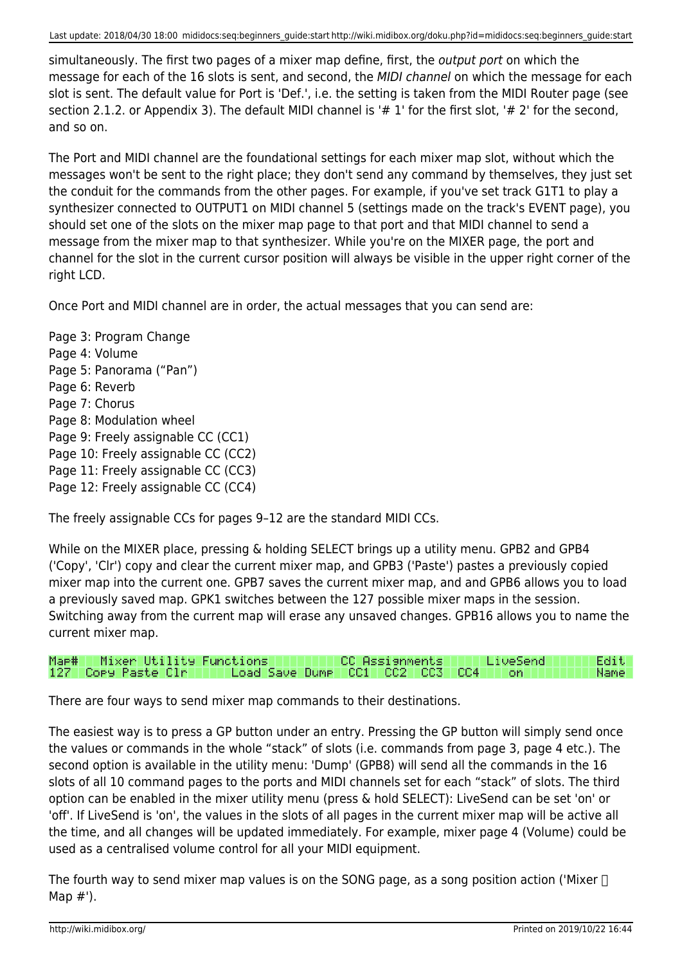simultaneously. The first two pages of a mixer map define, first, the *output port* on which the message for each of the 16 slots is sent, and second, the MIDI channel on which the message for each slot is sent. The default value for Port is 'Def.', i.e. the setting is taken from the MIDI Router page (see section 2.1.2. or Appendix 3). The default MIDI channel is '# 1' for the first slot, '# 2' for the second, and so on.

The Port and MIDI channel are the foundational settings for each mixer map slot, without which the messages won't be sent to the right place; they don't send any command by themselves, they just set the conduit for the commands from the other pages. For example, if you've set track G1T1 to play a synthesizer connected to OUTPUT1 on MIDI channel 5 (settings made on the track's EVENT page), you should set one of the slots on the mixer map page to that port and that MIDI channel to send a message from the mixer map to that synthesizer. While you're on the MIXER page, the port and channel for the slot in the current cursor position will always be visible in the upper right corner of the right LCD.

Once Port and MIDI channel are in order, the actual messages that you can send are:

Page 3: Program Change Page 4: Volume Page 5: Panorama ("Pan") Page 6: Reverb Page 7: Chorus Page 8: Modulation wheel Page 9: Freely assignable CC (CC1) Page 10: Freely assignable CC (CC2) Page 11: Freely assignable CC (CC3) Page 12: Freely assignable CC (CC4)

The freely assignable CCs for pages 9–12 are the standard MIDI CCs.

While on the MIXER place, pressing & holding SELECT brings up a utility menu. GPB2 and GPB4 ('Copy', 'Clr') copy and clear the current mixer map, and GPB3 ('Paste') pastes a previously copied mixer map into the current one. GPB7 saves the current mixer map, and and GPB6 allows you to load a previously saved map. GPK1 switches between the 127 possible mixer maps in the session. Switching away from the current map will erase any unsaved changes. GPB16 allows you to name the current mixer map.

| Mae#   Mixer Utility Functions |                                                   | CC Assignments L |  | l LiveSend l | Edit I |
|--------------------------------|---------------------------------------------------|------------------|--|--------------|--------|
| 127   Copy Paste Clr           | Load Save Dump   CC1   CC2   CC3   CC4       on / |                  |  |              | Name I |

There are four ways to send mixer map commands to their destinations.

The easiest way is to press a GP button under an entry. Pressing the GP button will simply send once the values or commands in the whole "stack" of slots (i.e. commands from page 3, page 4 etc.). The second option is available in the utility menu: 'Dump' (GPB8) will send all the commands in the 16 slots of all 10 command pages to the ports and MIDI channels set for each "stack" of slots. The third option can be enabled in the mixer utility menu (press & hold SELECT): LiveSend can be set 'on' or 'off'. If LiveSend is 'on', the values in the slots of all pages in the current mixer map will be active all the time, and all changes will be updated immediately. For example, mixer page 4 (Volume) could be used as a centralised volume control for all your MIDI equipment.

The fourth way to send mixer map values is on the SONG page, as a song position action ('Mixer  $\Box$ ) Map #').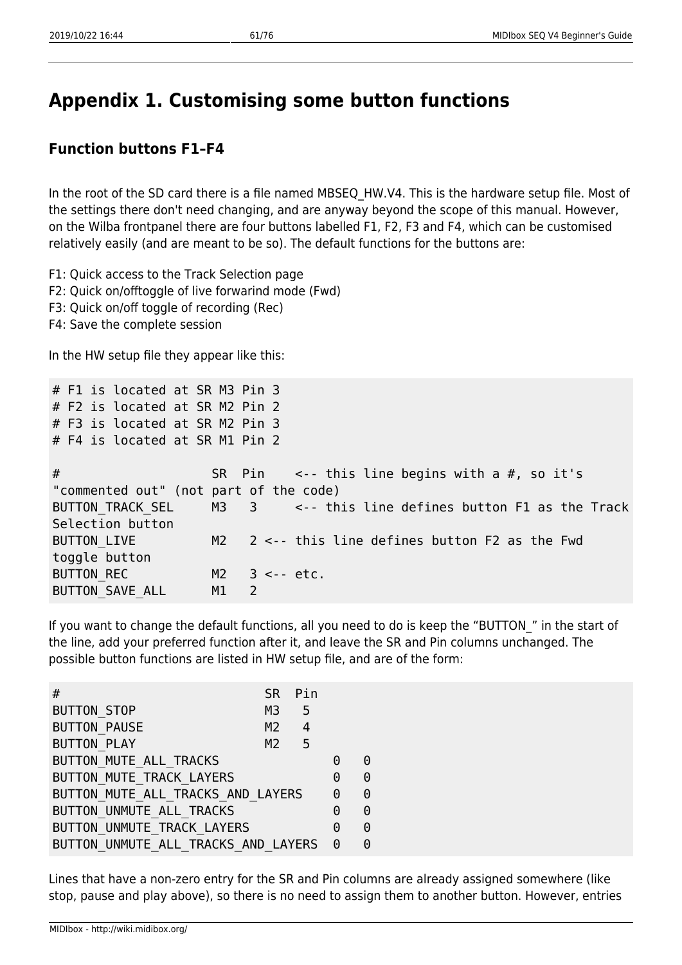# **Appendix 1. Customising some button functions**

## **Function buttons F1–F4**

In the root of the SD card there is a file named MBSEQ HW.V4. This is the hardware setup file. Most of the settings there don't need changing, and are anyway beyond the scope of this manual. However, on the Wilba frontpanel there are four buttons labelled F1, F2, F3 and F4, which can be customised relatively easily (and are meant to be so). The default functions for the buttons are:

F1: Quick access to the Track Selection page

- F2: Quick on/offtoggle of live forwarind mode (Fwd)
- F3: Quick on/off toggle of recording (Rec)
- F4: Save the complete session

In the HW setup file they appear like this:

| # F1 is located at SR M3 Pin 3         |                      |                                                                    |
|----------------------------------------|----------------------|--------------------------------------------------------------------|
| # F2 is located at SR M2 Pin 2         |                      |                                                                    |
| # F3 is located at SR M2 Pin 3         |                      |                                                                    |
| # F4 is located at SR M1 Pin 2         |                      |                                                                    |
|                                        |                      |                                                                    |
| #                                      |                      | SR Pin $\leq$ -- this line begins with a #, so it's                |
| "commented out" (not part of the code) |                      |                                                                    |
|                                        |                      | BUTTON TRACK SEL M3 3 <-- this line defines button F1 as the Track |
| Selection button                       |                      |                                                                    |
| BUTTON LIVE                            |                      | $M2$ 2 <-- this line defines button F2 as the Fwd                  |
| toggle button                          |                      |                                                                    |
| BUTTON REC                             | $M2$ 3 <-- etc.      |                                                                    |
| <b>BUTTON SAVE ALL</b>                 | M1<br>$\overline{2}$ |                                                                    |

If you want to change the default functions, all you need to do is keep the "BUTTON " in the start of the line, add your preferred function after it, and leave the SR and Pin columns unchanged. The possible button functions are listed in HW setup file, and are of the form:

| <b>SR</b><br>#                        | Pin            |   |   |
|---------------------------------------|----------------|---|---|
| <b>BUTTON_STOP</b><br>M3              | 5              |   |   |
| <b>BUTTON PAUSE</b><br>M <sub>2</sub> | $\overline{4}$ |   |   |
| <b>BUTTON PLAY</b><br>M <sub>2</sub>  | $-5$           |   |   |
| BUTTON MUTE ALL TRACKS                |                | 0 | 0 |
| BUTTON MUTE TRACK LAYERS              |                | 0 | 0 |
| BUTTON MUTE ALL TRACKS AND LAYERS     |                | 0 | 0 |
| BUTTON UNMUTE ALL TRACKS              |                | 0 | 0 |
| BUTTON UNMUTE TRACK LAYERS            |                | 0 | 0 |
| BUTTON UNMUTE ALL TRACKS AND LAYERS   |                | 0 | 0 |

Lines that have a non-zero entry for the SR and Pin columns are already assigned somewhere (like stop, pause and play above), so there is no need to assign them to another button. However, entries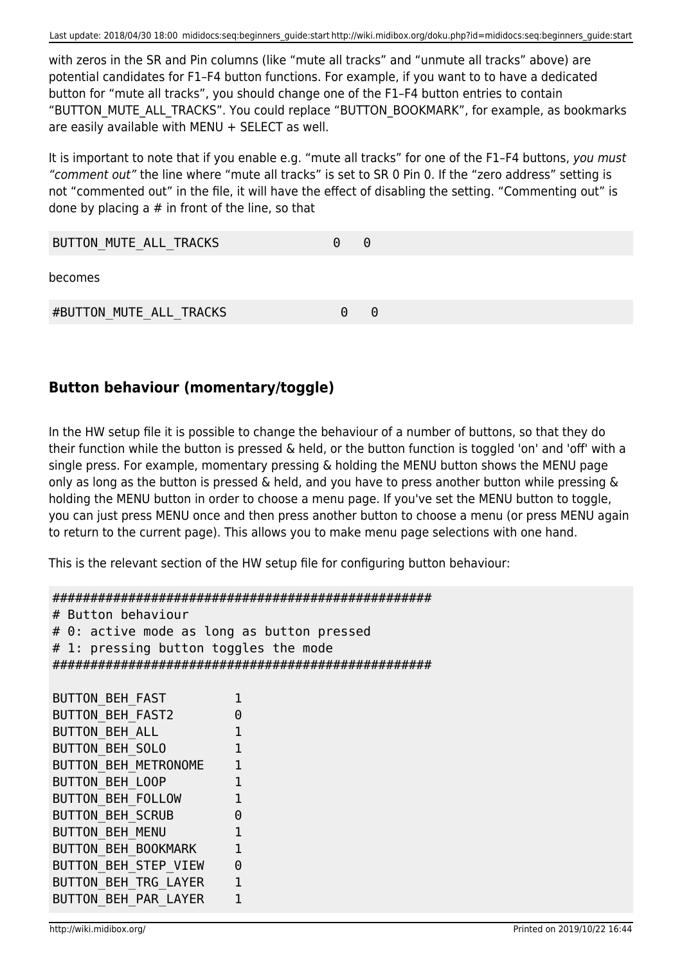with zeros in the SR and Pin columns (like "mute all tracks" and "unmute all tracks" above) are potential candidates for F1–F4 button functions. For example, if you want to to have a dedicated button for "mute all tracks", you should change one of the F1–F4 button entries to contain "BUTTON\_MUTE\_ALL\_TRACKS". You could replace "BUTTON\_BOOKMARK", for example, as bookmarks are easily available with MENU + SELECT as well.

It is important to note that if you enable e.g. "mute all tracks" for one of the F1-F4 buttons, you must "comment out" the line where "mute all tracks" is set to SR 0 Pin 0. If the "zero address" setting is not "commented out" in the file, it will have the effect of disabling the setting. "Commenting out" is done by placing a  $#$  in front of the line, so that

| BUTTON MUTE ALL TRACKS  | 0        | $\Theta$ |
|-------------------------|----------|----------|
| becomes                 |          |          |
| #BUTTON MUTE ALL TRACKS | $\Theta$ | $\Theta$ |

## **Button behaviour (momentary/toggle)**

In the HW setup file it is possible to change the behaviour of a number of buttons, so that they do their function while the button is pressed & held, or the button function is toggled 'on' and 'off' with a single press. For example, momentary pressing & holding the MENU button shows the MENU page only as long as the button is pressed & held, and you have to press another button while pressing & holding the MENU button in order to choose a menu page. If you've set the MENU button to toggle, you can just press MENU once and then press another button to choose a menu (or press MENU again to return to the current page). This allows you to make menu page selections with one hand.

This is the relevant section of the HW setup file for configuring button behaviour:

```
##################################################
# Button behaviour
# 0: active mode as long as button pressed
# 1: pressing button toggles the mode
##################################################
BUTTON BEH FAST 1
BUTTON BEH FAST2 0
BUTTON BEH ALL 1
BUTTON BEH_SOLO 1
BUTTON BEH METRONOME 1
BUTTON BEH LOOP 1
BUTTON BEH FOLLOW 1
BUTTON BEH SCRUB 0
BUTTON BEH MENU 1
BUTTON BEH BOOKMARK 1
BUTTON BEH STEP VIEW 0
BUTTON BEH TRG LAYER 1
BUTTON BEH PAR LAYER 1
```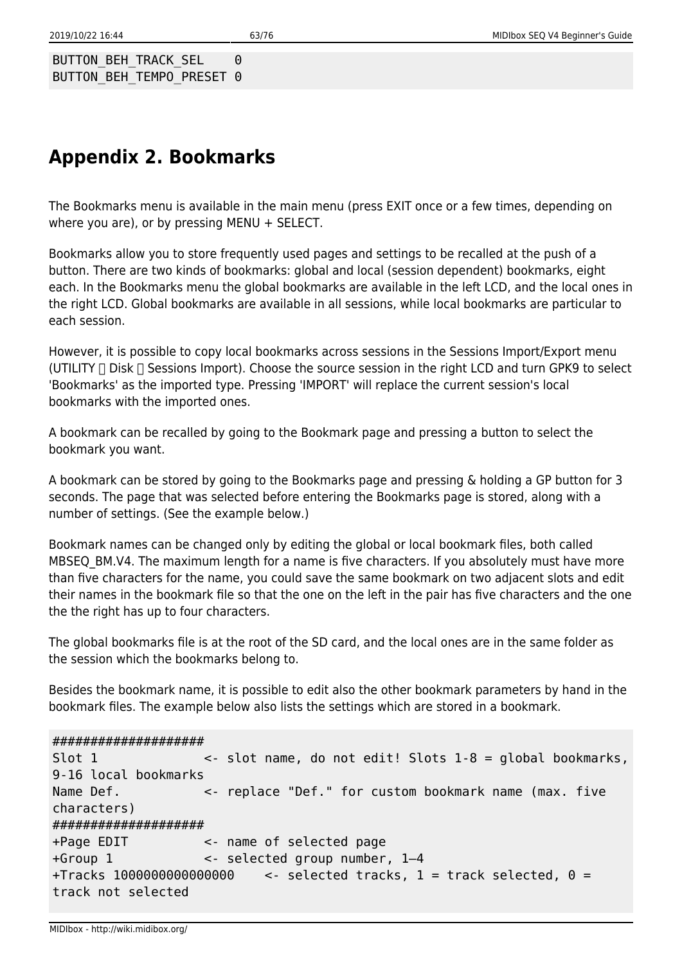BUTTON BEH TRACK SEL 0 BUTTON BEH TEMPO PRESET 0

# **Appendix 2. Bookmarks**

The Bookmarks menu is available in the main menu (press EXIT once or a few times, depending on where you are), or by pressing MENU + SELECT.

Bookmarks allow you to store frequently used pages and settings to be recalled at the push of a button. There are two kinds of bookmarks: global and local (session dependent) bookmarks, eight each. In the Bookmarks menu the global bookmarks are available in the left LCD, and the local ones in the right LCD. Global bookmarks are available in all sessions, while local bookmarks are particular to each session.

However, it is possible to copy local bookmarks across sessions in the Sessions Import/Export menu (UTILITY  $\Box$  Disk  $\Box$  Sessions Import). Choose the source session in the right LCD and turn GPK9 to select 'Bookmarks' as the imported type. Pressing 'IMPORT' will replace the current session's local bookmarks with the imported ones.

A bookmark can be recalled by going to the Bookmark page and pressing a button to select the bookmark you want.

A bookmark can be stored by going to the Bookmarks page and pressing & holding a GP button for 3 seconds. The page that was selected before entering the Bookmarks page is stored, along with a number of settings. (See the example below.)

Bookmark names can be changed only by editing the global or local bookmark files, both called MBSEQ BM.V4. The maximum length for a name is five characters. If you absolutely must have more than five characters for the name, you could save the same bookmark on two adjacent slots and edit their names in the bookmark file so that the one on the left in the pair has five characters and the one the the right has up to four characters.

The global bookmarks file is at the root of the SD card, and the local ones are in the same folder as the session which the bookmarks belong to.

Besides the bookmark name, it is possible to edit also the other bookmark parameters by hand in the bookmark files. The example below also lists the settings which are stored in a bookmark.

####################

```
Slot 1 <- slot name, do not edit! Slots 1-8 = global bookmarks,
9-16 local bookmarks
Name Def. \leq replace "Def." for custom bookmark name (max. five
characters)
####################
+Page EDIT <- name of selected page
+Group 1 <- selected group number, 1–4
+Tracks 1000000000000000 <- selected tracks, 1 = track selected, 0 =
track not selected
```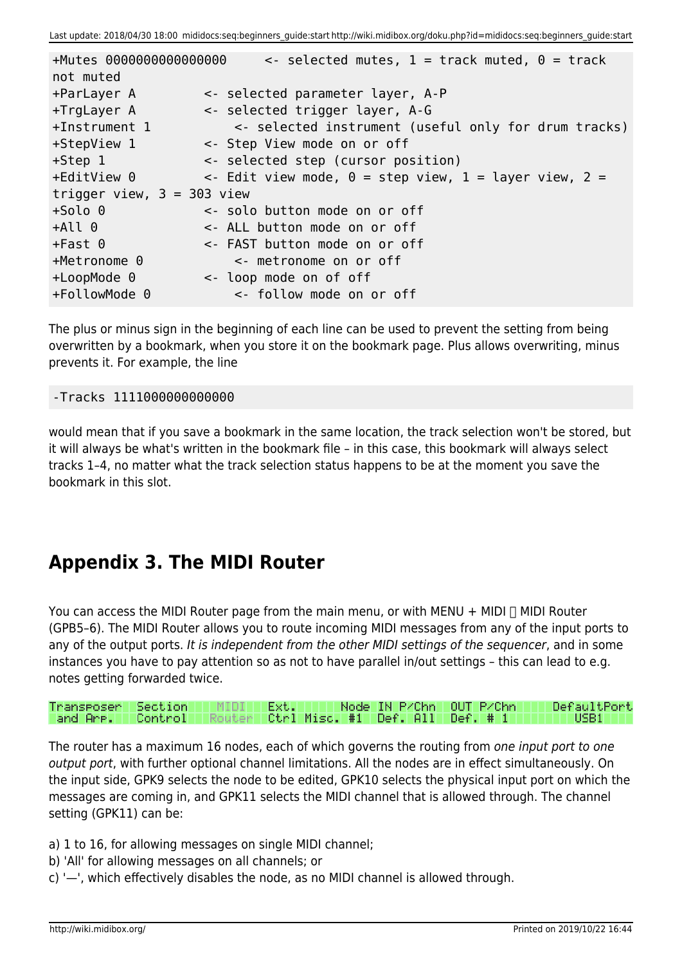| +Mutes 0000000000000000<br>not muted | $\le$ selected mutes, 1 = track muted, 0 = track                |
|--------------------------------------|-----------------------------------------------------------------|
|                                      |                                                                 |
| +ParLayer A                          | <- selected parameter layer, A-P                                |
| +TrgLayer A                          | <- selected trigger layer, A-G                                  |
| $+Instrument$ 1                      | <- selected instrument (useful only for drum tracks)            |
| +StepView 1                          | <- Step View mode on or off                                     |
| $+Step 1$                            | <- selected step (cursor position)                              |
| +EditView 0                          | $\le$ Edit view mode, $\theta$ = step view, 1 = layer view, 2 = |
| trigger view, $3 = 303$ view         |                                                                 |
| $+$ Solo $0$                         | <- solo button mode on or off                                   |
| +All 0                               | <- ALL button mode on or off                                    |
| $+Fast$ $\theta$                     | <- FAST button mode on or off                                   |
| $+$ Metronome $0$                    | <- metronome on or off                                          |
| $+$ LoopMode $\theta$                | <- loop mode on of off                                          |
| +FollowMode 0                        | <- follow mode on or off                                        |

The plus or minus sign in the beginning of each line can be used to prevent the setting from being overwritten by a bookmark, when you store it on the bookmark page. Plus allows overwriting, minus prevents it. For example, the line

#### -Tracks 1111000000000000

would mean that if you save a bookmark in the same location, the track selection won't be stored, but it will always be what's written in the bookmark file – in this case, this bookmark will always select tracks 1–4, no matter what the track selection status happens to be at the moment you save the bookmark in this slot.

# **Appendix 3. The MIDI Router**

You can access the MIDI Router page from the main menu, or with MENU + MIDI  $\Box$  MIDI Router (GPB5–6). The MIDI Router allows you to route incoming MIDI messages from any of the input ports to any of the output ports. It is independent from the other MIDI settings of the sequencer, and in some instances you have to pay attention so as not to have parallel in/out settings – this can lead to e.g. notes getting forwarded twice.

| Transposer Section   MIDI                                            |  | Ext. III | Node IN P/Chn LOUT P/Chn | DefaultPort |  |
|----------------------------------------------------------------------|--|----------|--------------------------|-------------|--|
| -and Are. - Control - Router - Ctrl Misc. #1 - Def. All - Def. # 1 - |  |          |                          | NUSB1 IN    |  |

The router has a maximum 16 nodes, each of which governs the routing from one input port to one output port, with further optional channel limitations. All the nodes are in effect simultaneously. On the input side, GPK9 selects the node to be edited, GPK10 selects the physical input port on which the messages are coming in, and GPK11 selects the MIDI channel that is allowed through. The channel setting (GPK11) can be:

- a) 1 to 16, for allowing messages on single MIDI channel;
- b) 'All' for allowing messages on all channels; or
- c) '—', which effectively disables the node, as no MIDI channel is allowed through.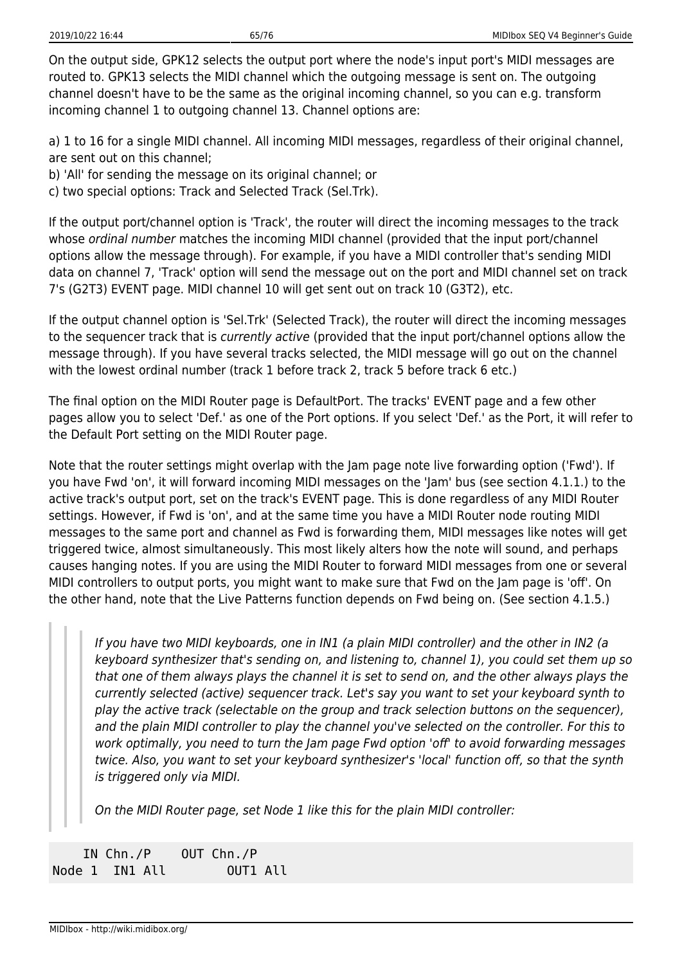On the output side, GPK12 selects the output port where the node's input port's MIDI messages are routed to. GPK13 selects the MIDI channel which the outgoing message is sent on. The outgoing channel doesn't have to be the same as the original incoming channel, so you can e.g. transform incoming channel 1 to outgoing channel 13. Channel options are:

a) 1 to 16 for a single MIDI channel. All incoming MIDI messages, regardless of their original channel, are sent out on this channel;

b) 'All' for sending the message on its original channel; or

c) two special options: Track and Selected Track (Sel.Trk).

If the output port/channel option is 'Track', the router will direct the incoming messages to the track whose ordinal number matches the incoming MIDI channel (provided that the input port/channel options allow the message through). For example, if you have a MIDI controller that's sending MIDI data on channel 7, 'Track' option will send the message out on the port and MIDI channel set on track 7's (G2T3) EVENT page. MIDI channel 10 will get sent out on track 10 (G3T2), etc.

If the output channel option is 'Sel.Trk' (Selected Track), the router will direct the incoming messages to the sequencer track that is currently active (provided that the input port/channel options allow the message through). If you have several tracks selected, the MIDI message will go out on the channel with the lowest ordinal number (track 1 before track 2, track 5 before track 6 etc.)

The final option on the MIDI Router page is DefaultPort. The tracks' EVENT page and a few other pages allow you to select 'Def.' as one of the Port options. If you select 'Def.' as the Port, it will refer to the Default Port setting on the MIDI Router page.

Note that the router settings might overlap with the Jam page note live forwarding option ('Fwd'). If you have Fwd 'on', it will forward incoming MIDI messages on the 'Jam' bus (see section 4.1.1.) to the active track's output port, set on the track's EVENT page. This is done regardless of any MIDI Router settings. However, if Fwd is 'on', and at the same time you have a MIDI Router node routing MIDI messages to the same port and channel as Fwd is forwarding them, MIDI messages like notes will get triggered twice, almost simultaneously. This most likely alters how the note will sound, and perhaps causes hanging notes. If you are using the MIDI Router to forward MIDI messages from one or several MIDI controllers to output ports, you might want to make sure that Fwd on the Jam page is 'off'. On the other hand, note that the Live Patterns function depends on Fwd being on. (See section 4.1.5.)

If you have two MIDI keyboards, one in IN1 (a plain MIDI controller) and the other in IN2 (a keyboard synthesizer that's sending on, and listening to, channel 1), you could set them up so that one of them always plays the channel it is set to send on, and the other always plays the currently selected (active) sequencer track. Let's say you want to set your keyboard synth to play the active track (selectable on the group and track selection buttons on the sequencer), and the plain MIDI controller to play the channel you've selected on the controller. For this to work optimally, you need to turn the Jam page Fwd option 'off' to avoid forwarding messages twice. Also, you want to set your keyboard synthesizer's 'local' function off, so that the synth is triggered only via MIDI.

On the MIDI Router page, set Node 1 like this for the plain MIDI controller:

| IN $Chn./P$    | OUT Chn./P |
|----------------|------------|
| Node 1 IN1 All | OUT1 All   |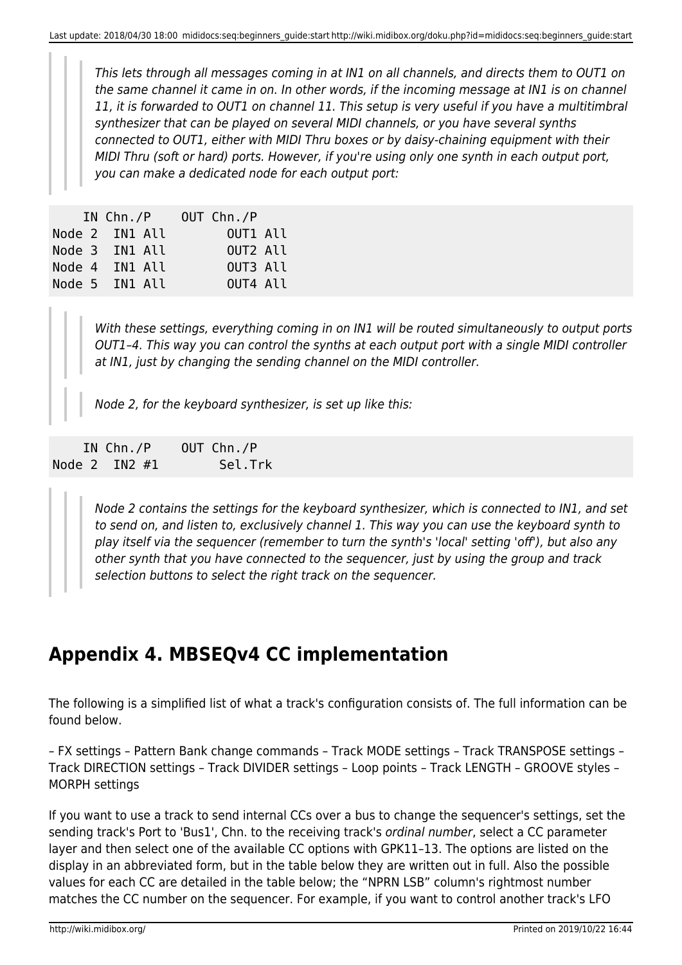This lets through all messages coming in at IN1 on all channels, and directs them to OUT1 on the same channel it came in on. In other words, if the incoming message at IN1 is on channel 11, it is forwarded to OUT1 on channel 11. This setup is very useful if you have a multitimbral synthesizer that can be played on several MIDI channels, or you have several synths connected to OUT1, either with MIDI Thru boxes or by daisy-chaining equipment with their MIDI Thru (soft or hard) ports. However, if you're using only one synth in each output port, you can make a dedicated node for each output port:

|  | IN $Chn./P$    |  | OUT Chn./P |  |
|--|----------------|--|------------|--|
|  | Node 2 IN1 All |  | OUT1 All   |  |
|  | Node 3 IN1 All |  | OUT2 All   |  |
|  | Node 4 IN1 All |  | OUT3 All   |  |
|  | Node 5 IN1 All |  | OUT4 All   |  |

With these settings, everything coming in on IN1 will be routed simultaneously to output ports OUT1–4. This way you can control the synths at each output port with a single MIDI controller at IN1, just by changing the sending channel on the MIDI controller.

Node 2, for the keyboard synthesizer, is set up like this:

| IN $Chn./P$       | OUT Chn./P |
|-------------------|------------|
| Node $2$ IN2 $#1$ | Sel.Trk    |

Node 2 contains the settings for the keyboard synthesizer, which is connected to IN1, and set to send on, and listen to, exclusively channel 1. This way you can use the keyboard synth to play itself via the sequencer (remember to turn the synth's 'local' setting 'off'), but also any other synth that you have connected to the sequencer, just by using the group and track selection buttons to select the right track on the sequencer.

# **Appendix 4. MBSEQv4 CC implementation**

The following is a simplified list of what a track's configuration consists of. The full information can be found below.

– FX settings – Pattern Bank change commands – Track MODE settings – Track TRANSPOSE settings – Track DIRECTION settings – Track DIVIDER settings – Loop points – Track LENGTH – GROOVE styles – MORPH settings

If you want to use a track to send internal CCs over a bus to change the sequencer's settings, set the sending track's Port to 'Bus1', Chn. to the receiving track's ordinal number, select a CC parameter layer and then select one of the available CC options with GPK11–13. The options are listed on the display in an abbreviated form, but in the table below they are written out in full. Also the possible values for each CC are detailed in the table below; the "NPRN LSB" column's rightmost number matches the CC number on the sequencer. For example, if you want to control another track's LFO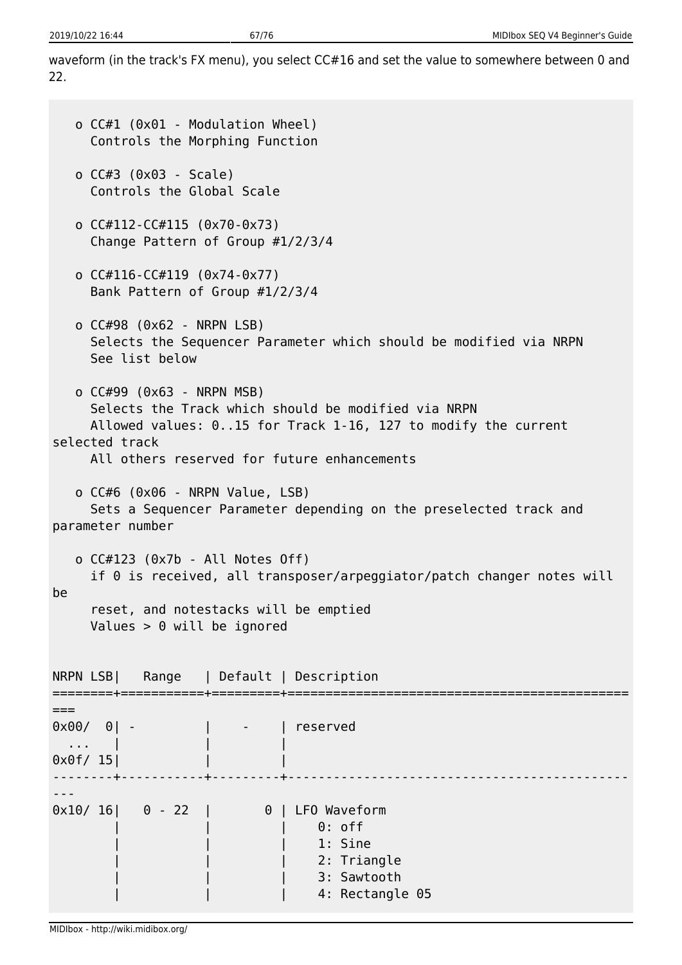waveform (in the track's FX menu), you select CC#16 and set the value to somewhere between 0 and 22.

```
 o CC#1 (0x01 - Modulation Wheel)
      Controls the Morphing Function
    o CC#3 (0x03 - Scale)
      Controls the Global Scale
    o CC#112-CC#115 (0x70-0x73)
      Change Pattern of Group #1/2/3/4
    o CC#116-CC#119 (0x74-0x77)
      Bank Pattern of Group #1/2/3/4
    o CC#98 (0x62 - NRPN LSB)
      Selects the Sequencer Parameter which should be modified via NRPN
      See list below
    o CC#99 (0x63 - NRPN MSB)
      Selects the Track which should be modified via NRPN
      Allowed values: 0..15 for Track 1-16, 127 to modify the current
selected track
      All others reserved for future enhancements
    o CC#6 (0x06 - NRPN Value, LSB)
      Sets a Sequencer Parameter depending on the preselected track and
parameter number
    o CC#123 (0x7b - All Notes Off)
      if 0 is received, all transposer/arpeggiator/patch changer notes will
be
      reset, and notestacks will be emptied
      Values > 0 will be ignored
NRPN LSB| Range | Default | Description
========+===========+=========+=============================================
===
0x00/ 0| - | - | reserved
  \mathbf{r} , \mathbf{r} , \mathbf{r}0 \times 0 f/ 15| | | | |
--------+-----------+---------+---------------------------------------------
---
0x10/ 16| 0 - 22 | 0 | LFO Waveform
                                 | | | 0: off
                                     1: Sine
                                     2: Triangle
                                     3: Sawtooth
                                     4: Rectangle 05
```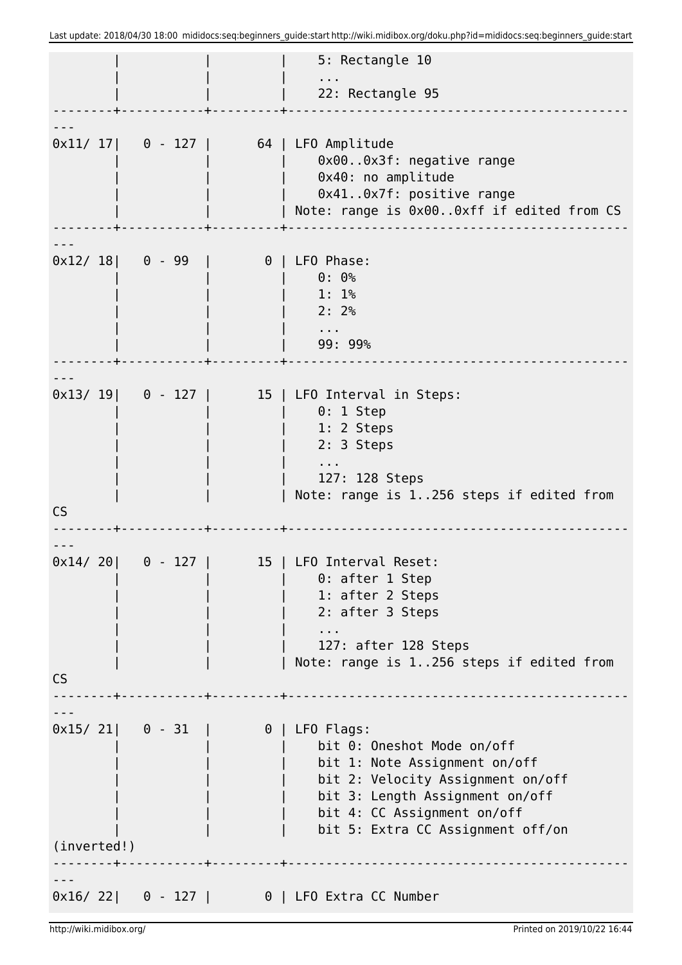|                  |                            |          | 5: Rectangle 10                                                                                                                                                                                                             |
|------------------|----------------------------|----------|-----------------------------------------------------------------------------------------------------------------------------------------------------------------------------------------------------------------------------|
|                  |                            |          | 22: Rectangle 95                                                                                                                                                                                                            |
|                  |                            |          |                                                                                                                                                                                                                             |
|                  |                            |          | $0x11/ 17$ 0 - 127   64   LFO Amplitude<br>0x000x3f: negative range<br>0x40: no amplitude<br>0x410x7f: positive range<br>Note: range is 0x000xff if edited from CS                                                          |
| $0x12/18$ 0 - 99 |                            | $\theta$ | LFO Phase:<br>$0: 0$ %<br>1:1%<br>2:2%<br>$\sim 100$<br>99: 99%                                                                                                                                                             |
|                  |                            |          | 0x13/ 19  0 - 127   15   LFO Interval in Steps:<br>$0: 1$ Step<br>1: 2 Steps<br>2: 3 Steps<br>127: 128 Steps<br>Note: range is 1256 steps if edited from                                                                    |
| <b>CS</b>        |                            |          |                                                                                                                                                                                                                             |
| 0x14/20<br>CS    |                            |          | 15   LFO Interval Reset:<br>0: after 1 Step<br>1: after 2 Steps<br>2: after 3 Steps<br>127: after 128 Steps<br>Note: range is 1256 steps if edited from                                                                     |
|                  |                            |          |                                                                                                                                                                                                                             |
| (inverted!)      | $0x15/21$ 0 - 31           |          | $0$   LFO Flags:<br>bit 0: Oneshot Mode on/off<br>bit 1: Note Assignment on/off<br>bit 2: Velocity Assignment on/off<br>bit 3: Length Assignment on/off<br>bit 4: CC Assignment on/off<br>bit 5: Extra CC Assignment off/on |
|                  |                            |          |                                                                                                                                                                                                                             |
|                  | $0 \times 16 / 22$ 0 - 127 |          | 0   LFO Extra CC Number                                                                                                                                                                                                     |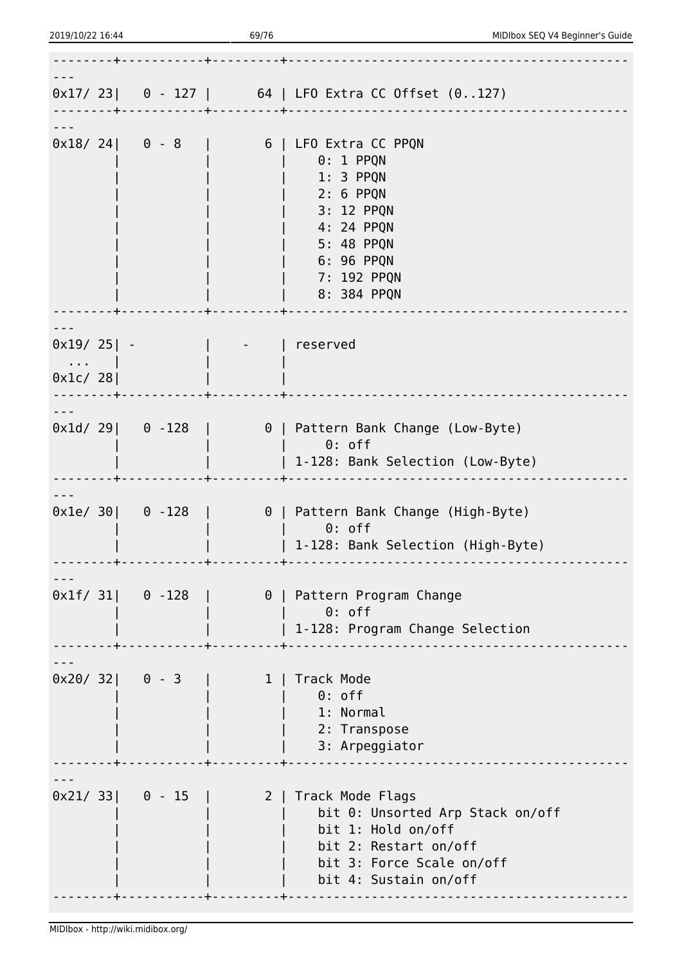|                                    |  |                           | $0 \times 17/$ 23   0 - 127   64   LFO Extra CC Offset $(0127)$                                                                                                                    |
|------------------------------------|--|---------------------------|------------------------------------------------------------------------------------------------------------------------------------------------------------------------------------|
|                                    |  |                           | $0 \times 18/24$   $0 - 8$   $6$   LFO Extra CC PPQN<br>$0:1$ PPQN<br>1: 3 PPQN<br>2: 6 PPQN<br>3: 12 PPQN<br>4: 24 PPQN<br>5: 48 PPQN<br>6: 96 PPQN<br>7: 192 PPQN<br>8: 384 PPQN |
|                                    |  |                           |                                                                                                                                                                                    |
| $0x19/25$   -<br><b>Contractor</b> |  |                           | reserved                                                                                                                                                                           |
| 0x1c/28                            |  |                           |                                                                                                                                                                                    |
|                                    |  |                           | $0 \times 10/29$ 0 -128   0   Pattern Bank Change (Low-Byte)<br>$\qquad \qquad \, \circ \, \ldots$<br>  1-128: Bank Selection (Low-Byte)                                           |
|                                    |  | $0 \times 1e/ 30$ 0 - 128 | 0   Pattern Bank Change (High-Byte)<br>$0:$ off<br>  1-128: Bank Selection (High-Byte)                                                                                             |
| $0x1f/31$ 0 - 128                  |  |                           | 0   Pattern Program Change<br>$0:$ off<br>  1-128: Program Change Selection                                                                                                        |
| $0x20/32$ 0 - 3                    |  |                           | 1   Track Mode<br>$0:$ off<br>1: Normal<br>2: Transpose<br>3: Arpeggiator                                                                                                          |
| $0 \times 21 / 33$ 0 - 15          |  |                           | 2   Track Mode Flags<br>bit 0: Unsorted Arp Stack on/off<br>bit 1: Hold on/off<br>bit 2: Restart on/off<br>bit 3: Force Scale on/off<br>bit 4: Sustain on/off                      |
|                                    |  |                           |                                                                                                                                                                                    |

2019/10/22 16:44 69/76 MIDIbox SEQ V4 Beginner's Guide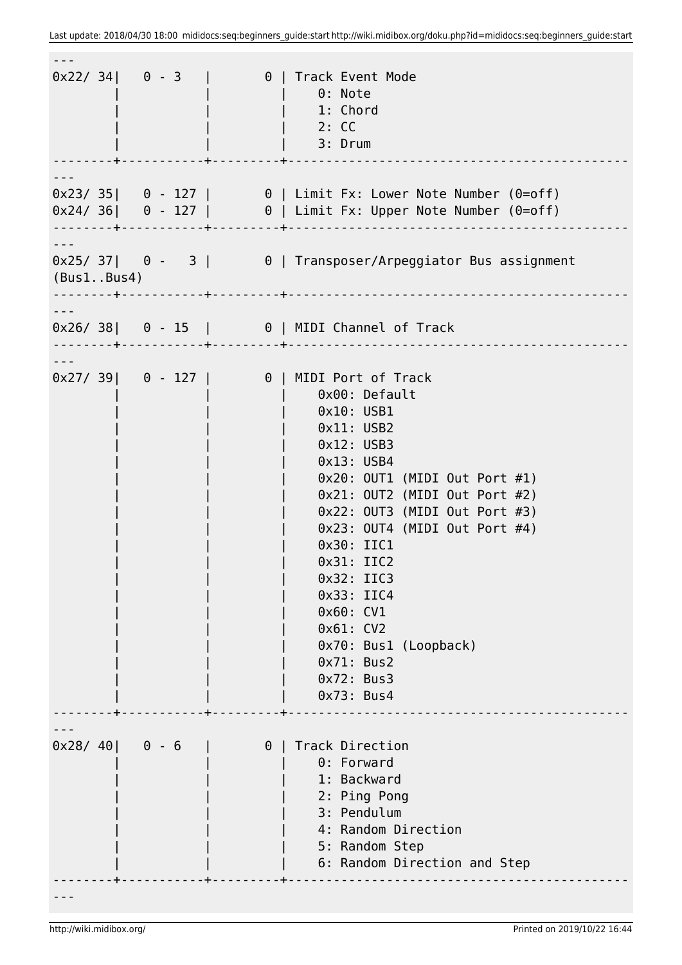|            |         |          | 0x22/34  0 - 3  0  0  Track Event Mode<br>$\vert$ 0: Note<br>  1: Chord<br>$\vert$ 2: CC<br>$ $ 3: Drum                                      |
|------------|---------|----------|----------------------------------------------------------------------------------------------------------------------------------------------|
|            |         |          |                                                                                                                                              |
|            |         |          |                                                                                                                                              |
|            |         |          | $0 \times 23/35$   0 - 127   0   Limit Fx: Lower Note Number (0=off)<br>$0 \times 24/36$   0 - 127   0   Limit Fx: Upper Note Number (0=off) |
|            |         |          | $0 \times 25/37$   $0 - 3$   $0$   Transposer/Arpeggiator Bus assignment                                                                     |
| (Bus1Bus4) |         |          |                                                                                                                                              |
|            |         |          |                                                                                                                                              |
|            |         |          | $0 \times 26 / 38$   0 - 15   0   MIDI Channel of Track                                                                                      |
|            |         |          |                                                                                                                                              |
|            |         |          | 0x27/39  0 - 127   0   0   1MIDI Port of Track                                                                                               |
|            |         |          | 0x00: Default                                                                                                                                |
|            |         |          | $0x10:$ USB1                                                                                                                                 |
|            |         |          | $0x11:$ USB2                                                                                                                                 |
|            |         |          | $0x12:$ USB3                                                                                                                                 |
|            |         |          | $0x13:$ USB4                                                                                                                                 |
|            |         |          | $0x20$ : OUT1 (MIDI Out Port #1)                                                                                                             |
|            |         |          | $0x21: 0UT2$ (MIDI Out Port #2)                                                                                                              |
|            |         |          | $0x22: 0UT3$ (MIDI Out Port #3)                                                                                                              |
|            |         |          | $0x23: 0UT4$ (MIDI Out Port #4)                                                                                                              |
|            |         |          | 0x30: IIC1                                                                                                                                   |
|            |         |          | 0x31: IIC2                                                                                                                                   |
|            |         |          | 0x32: IIC3                                                                                                                                   |
|            |         |          | 0x33: IIC4<br>$0x60:$ CV1                                                                                                                    |
|            |         |          | 0x61:CV2                                                                                                                                     |
|            |         |          | 0x70: Bus1 (Loopback)                                                                                                                        |
|            |         |          | 0x71: Bus2                                                                                                                                   |
|            |         |          | 0x72: Bus3                                                                                                                                   |
|            |         |          | 0x73: Bus4                                                                                                                                   |
|            |         |          |                                                                                                                                              |
| 0x28/40    | $0 - 6$ | $\theta$ | Track Direction                                                                                                                              |
|            |         |          | 0: Forward<br>1: Backward                                                                                                                    |
|            |         |          | 2: Ping Pong                                                                                                                                 |
|            |         |          | 3: Pendulum                                                                                                                                  |
|            |         |          | 4: Random Direction                                                                                                                          |
|            |         |          | 5: Random Step                                                                                                                               |
|            |         |          | 6: Random Direction and Step                                                                                                                 |
|            |         |          |                                                                                                                                              |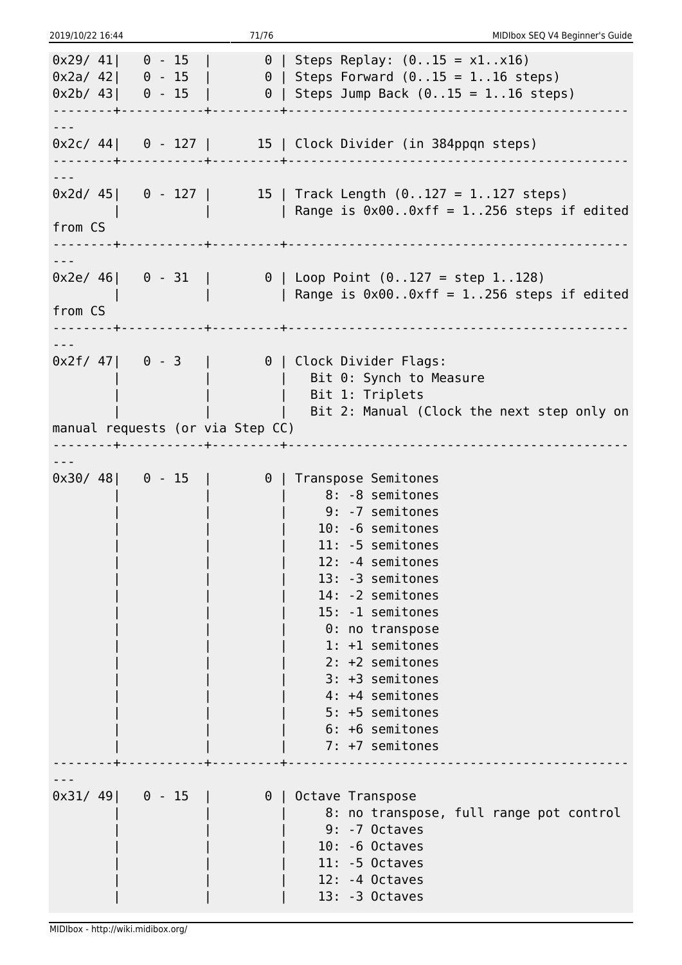| 2019/10/22 16:44         |                                  | 71/76    | MIDIbox SEQ V4 Beginner's Guide                                                                                                                                                                                                                                                                                                                     |
|--------------------------|----------------------------------|----------|-----------------------------------------------------------------------------------------------------------------------------------------------------------------------------------------------------------------------------------------------------------------------------------------------------------------------------------------------------|
|                          |                                  |          | $0 \times 29/41$ 0 - 15   0   Steps Replay: $(015 = x1x16)$<br>$0 \times 2a / 42$   0 - 15   0   Steps Forward $(015 = 116$ steps)<br>$0 \times 2b / 43$   0 - 15   0   Steps Jump Back $(015 = 116$ steps)                                                                                                                                         |
|                          |                                  |          | $0x2c/44$   0 - 127   15   Clock Divider (in 384ppqn steps)                                                                                                                                                                                                                                                                                         |
| $\frac{1}{2}$<br>from CS |                                  |          | $0 \times 2d / 45$   0 - 127   15   Track Length (0127 = 1127 steps)<br>  Range is $0 \times 00$ 0xff = 1256 steps if edited                                                                                                                                                                                                                        |
| from CS                  |                                  |          | $0 \times 2e/ 46$   $0 - 31$   $0$   Loop Point $(0127) = step 1128$ )<br>  Range is $0 \times 00$ 0xff = 1256 steps if edited                                                                                                                                                                                                                      |
|                          |                                  |          | $0 \times 2f / 47$   0 - 3   0   Clock Divider Flags:<br>Bit 0: Synch to Measure<br>Bit 1: Triplets                                                                                                                                                                                                                                                 |
|                          | manual requests (or via Step CC) |          | Bit 2: Manual (Clock the next step only on                                                                                                                                                                                                                                                                                                          |
|                          |                                  |          |                                                                                                                                                                                                                                                                                                                                                     |
|                          | $0 \times 30/48$ 0 - 15          |          | 0   Transpose Semitones<br>  8: -8 semitones<br>9: -7 semitones<br>10: -6 semitones<br>11: -5 semitones<br>12: -4 semitones<br>13: -3 semitones<br>14: -2 semitones<br>15: -1 semitones<br>0: no transpose<br>1: +1 semitones<br>$2: +2$ semitones<br>3: +3 semitones<br>4: +4 semitones<br>5: +5 semitones<br>$6: +6$ semitones<br>7: +7 semitones |
|                          | $0x31/49$ 0 - 15                 | $\theta$ | Octave Transpose<br>8: no transpose, full range pot control<br>$9: -7$ Octaves<br>$10: -6$ Octaves<br>$11: -5$ Octaves<br>$12: -4$ Octaves<br>$13: -3$ Octaves                                                                                                                                                                                      |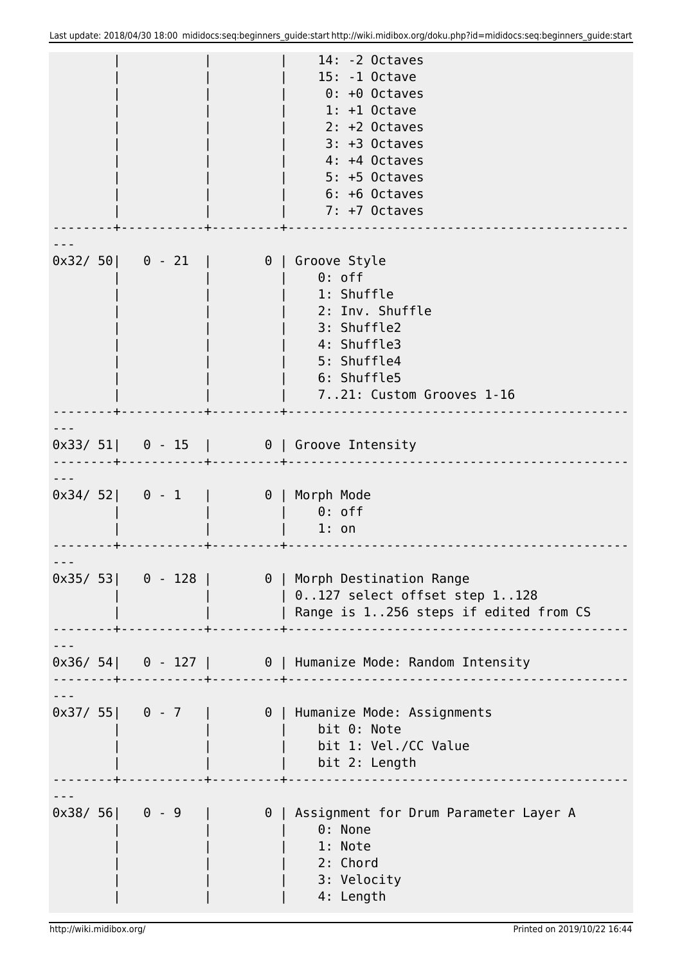|  |                 |                                                      | $14: -2$ Octaves<br>15: -1 Octave<br>$0: +0$ Octaves<br>$1: +1$ Octave<br>$2: +2$ Octaves<br>$3: +3$ Octaves<br>4: +4 Octaves<br>$5: +5$ Octaves<br>6: +6 Octaves<br>7: +7 Octaves  |
|--|-----------------|------------------------------------------------------|-------------------------------------------------------------------------------------------------------------------------------------------------------------------------------------|
|  |                 |                                                      | $0 \times 32 / 50$   0 - 21   0   Groove Style<br>$0:$ off<br>1: Shuffle<br>2: Inv. Shuffle<br>3: Shuffle2<br>4: Shuffle3<br>5: Shuffle4<br>6: Shuffle5<br>721: Custom Grooves 1-16 |
|  |                 | --------- <del> </del> -------------+----------+---- | $0 \times 33/ 51$ 0 - 15   0   Groove Intensity                                                                                                                                     |
|  |                 |                                                      | 0x34/52  0 - 1   0   Morph Mode<br>$\theta$ : off<br>$1:$ on                                                                                                                        |
|  |                 |                                                      | $0 \times 35/53$   0 - 128   0   Morph Destination Range<br>  0127 select offset step 1128<br>  Range is 1256 steps if edited from CS                                               |
|  |                 |                                                      | $0 \times 36 / 54$ 0 - 127   0   Humanize Mode: Random Intensity                                                                                                                    |
|  |                 |                                                      | $0 \times 37/55$   0 - 7   0   Humanize Mode: Assignments<br>bit 0: Note<br>bit 1: Vel./CC Value<br>bit 2: Length                                                                   |
|  | $0x38/56$ 0 - 9 |                                                      | 0   Assignment for Drum Parameter Layer A<br>0: None<br>1: Note<br>2: Chord<br>3: Velocity<br>4: Length                                                                             |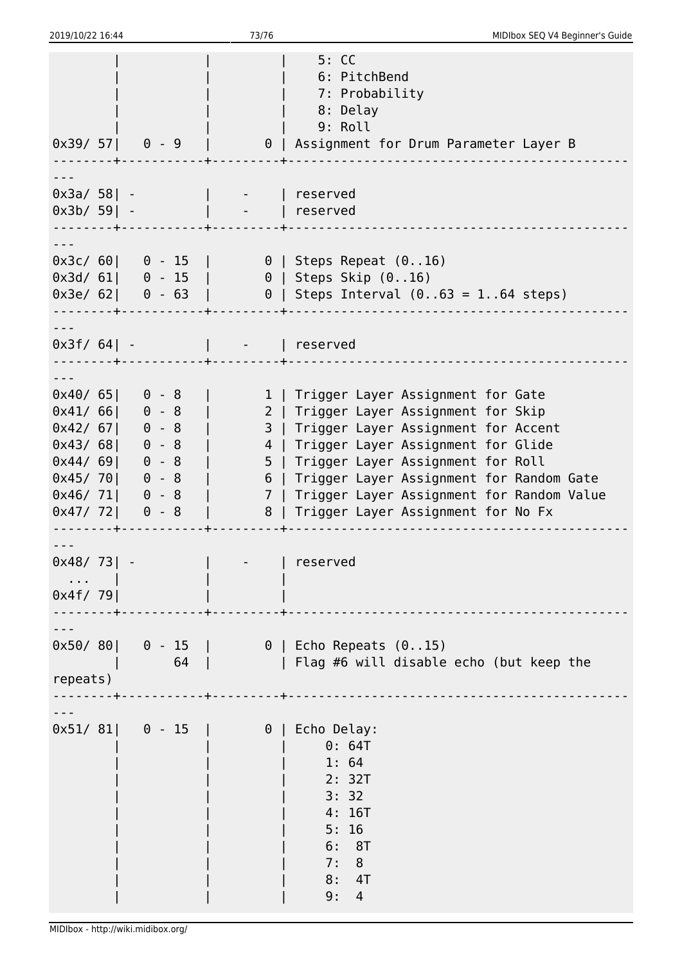| 2019/10/22 16:44                                                                                                                                                                                               | 73/76        | MIDIbox SEQ V4 Beginner's Guide                                                                                                                                                                                                                                                                                                                         |
|----------------------------------------------------------------------------------------------------------------------------------------------------------------------------------------------------------------|--------------|---------------------------------------------------------------------------------------------------------------------------------------------------------------------------------------------------------------------------------------------------------------------------------------------------------------------------------------------------------|
| $0x39/57$ 0 - 9                                                                                                                                                                                                |              | 5:CC<br>6: PitchBend<br>7: Probability<br>8: Delay<br>9: Roll<br>  0   Assignment for Drum Parameter Layer B                                                                                                                                                                                                                                            |
| $0x3a/58$ - $ $ -   reserved<br>$0x3b/59$ -                                                                                                                                                                    | -   reserved |                                                                                                                                                                                                                                                                                                                                                         |
|                                                                                                                                                                                                                |              | $0 \times 3c / 60$   0 - 15   0   Steps Repeat (016)<br>0x3d/ 61  0 - 15   0   Steps Skip (016)<br>$0 \times 3e/ 62$   0 - 63   0   Steps Interval (063 = 164 steps)                                                                                                                                                                                    |
| $0x3f/64$ -   -   reserved                                                                                                                                                                                     |              |                                                                                                                                                                                                                                                                                                                                                         |
| $0 \times 40 / 65$   0 - 8<br>$0x41/66$ 0 - 8<br>$0x42/67$ 0 - 8<br>$0x43/68$ 0 - 8<br>$0x44/69$ 0 - 8<br>$0x45/70$ 0 - 8<br>$0 \times 46 / 71$ 0 - 8<br>$0x47/72$ 0 - 8<br>- - - - - - - <del>- +</del> - - - |              | 1   Trigger Layer Assignment for Gate<br>2   Trigger Layer Assignment for Skip<br>3   Trigger Layer Assignment for Accent<br>4   Trigger Layer Assignment for Glide<br>5   Trigger Layer Assignment for Roll<br>6   Trigger Layer Assignment for Random Gate<br>7   Trigger Layer Assignment for Random Value<br>8   Trigger Layer Assignment for No Fx |
| $0x48/73$ -<br>. 1<br>0x4f/79                                                                                                                                                                                  |              | reserved                                                                                                                                                                                                                                                                                                                                                |
| repeats)                                                                                                                                                                                                       |              | $0 \times 50 / 80$   0 - 15   0   Echo Repeats (015)<br>64     Flag #6 will disable echo (but keep the                                                                                                                                                                                                                                                  |
| $0 \times 51/81$ 0 - 15   0                                                                                                                                                                                    |              | Echo Delay:<br>0: 64T<br>1:64<br>2: 32T<br>3:32<br>4:16T<br>5:16<br>6: 8T<br>7:8<br>8: 4T<br>9:<br>4                                                                                                                                                                                                                                                    |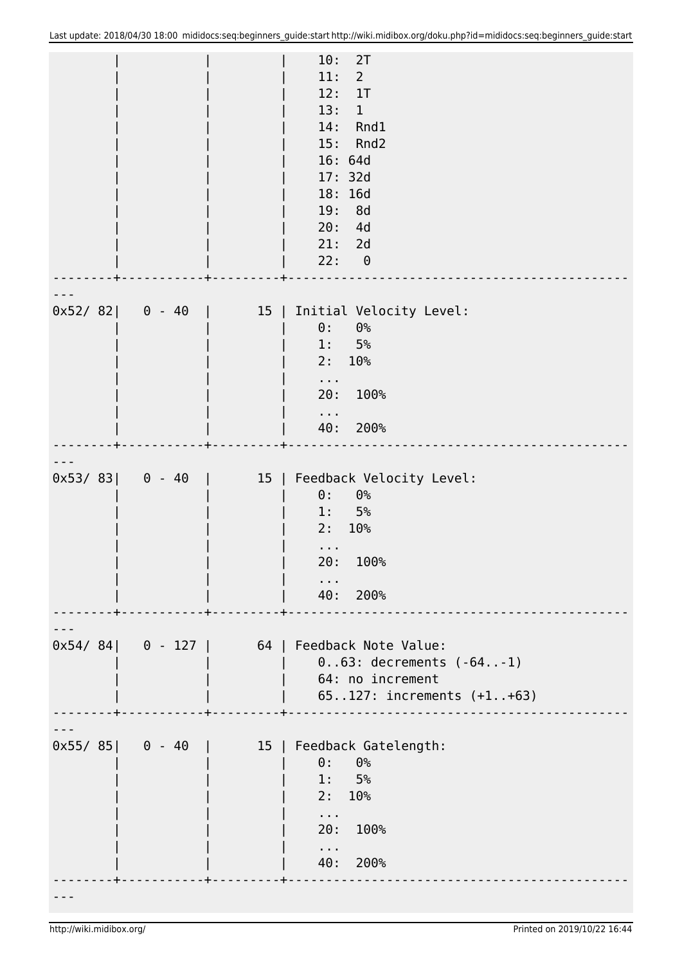|         |                  |           | 10:<br>2T<br>11:<br>$2^{\circ}$<br>12:<br>1T<br>13:<br>$\mathbf{1}$<br>14: Rnd1<br>15: Rnd2<br>16: 64d<br>17: 32d<br>18: 16d<br>19: 8d<br>20: 4d<br>21: 2d<br>22: 0 |
|---------|------------------|-----------|---------------------------------------------------------------------------------------------------------------------------------------------------------------------|
| 0x52/82 | $0 - 40$         | 15        | Initial Velocity Level:<br>0:<br>$0\%$<br>$5\%$<br>1:<br>10 <sup>°</sup><br>2:<br>$\sim 100$<br>20: 100%<br>$\sim$ 10 $\pm$<br>40: 200%                             |
|         | $0x53/83$ 0 - 40 | 15        | Feedback Velocity Level:<br>$0\%$<br>$\theta$ :<br>5%<br>$1$ .<br>2:<br>10%<br>100%<br>20:<br>40: 200%                                                              |
|         |                  |           | 0x54/84  0 - 127   64   Feedback Note Value:<br>$0.03:$ decrements $(-641)$<br>64: no increment<br>65127: increments (+1+63)                                        |
|         | $0x55/85$ 0 - 40 | $15 \mid$ | Feedback Gatelength:<br>$\theta$ :<br>0 <sup>°</sup><br>1: 5%<br>2:10%<br>$\sim 100$<br>20: 100%<br>$\sim 100$<br>40: 200%                                          |
|         |                  |           |                                                                                                                                                                     |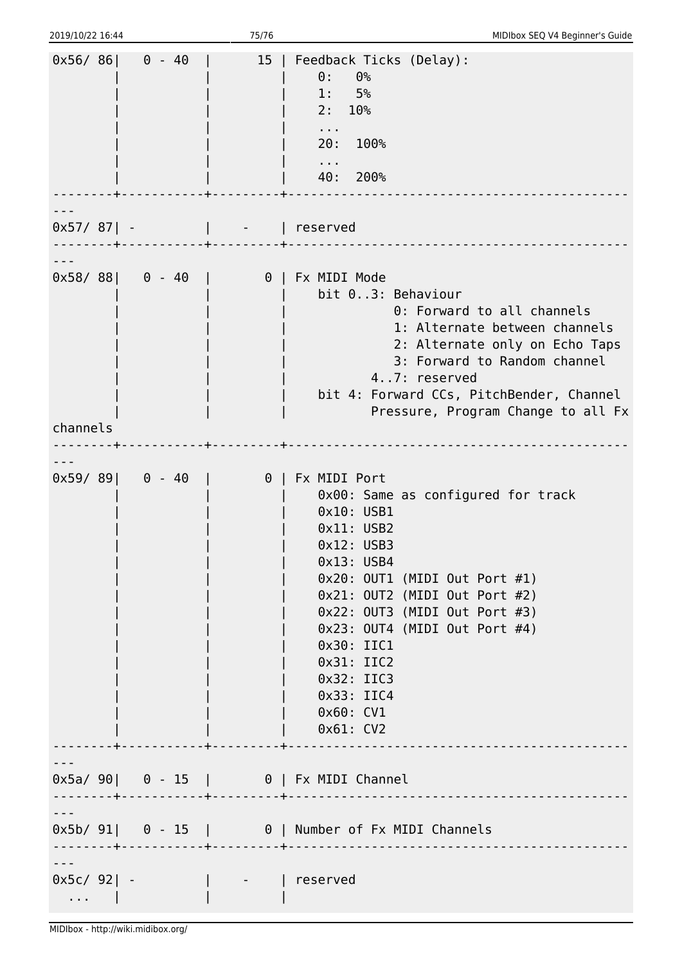| 2019/10/22 16:44                            |                             | 75/76                                                  | MIDIbox SEQ V4 Beginner's Guide                                                                                                                                                                                                                                                                                                                  |
|---------------------------------------------|-----------------------------|--------------------------------------------------------|--------------------------------------------------------------------------------------------------------------------------------------------------------------------------------------------------------------------------------------------------------------------------------------------------------------------------------------------------|
|                                             | $0x56/86$ 0 - 40            | $15 \mid$                                              | Feedback Ticks (Delay):<br>$\theta$ :<br>0 <sup>°</sup><br>1: 5%<br>2:10%<br>$\sim 100$ km s $^{-1}$<br>20:<br>100%<br>$\alpha$ , $\alpha$ , $\alpha$<br>40: 200%                                                                                                                                                                                |
|                                             | $0x57/87$ -   -   reserved  |                                                        |                                                                                                                                                                                                                                                                                                                                                  |
|                                             | $0x58/88$ 0 - 40            |                                                        | 0   Fx MIDI Mode<br>bit 03: Behaviour<br>0: Forward to all channels<br>1: Alternate between channels<br>2: Alternate only on Echo Taps<br>3: Forward to Random channel<br>47: reserved<br>bit 4: Forward CCs, PitchBender, Channel<br>Pressure, Program Change to all Fx                                                                         |
| channels                                    |                             |                                                        |                                                                                                                                                                                                                                                                                                                                                  |
|                                             | $0x59/89$ 0 - 40<br>. + + + |                                                        | 0   Fx MIDI Port<br>0x00: Same as configured for track<br>0x10: USB1<br>$0x11:$ USB2<br>$0x12:$ USB3<br>$0x13:$ USB4<br>$0x20$ : OUT1 (MIDI Out Port #1)<br>0x21: OUT2 (MIDI Out Port #2)<br>0x22: 0UT3 (MIDI Out Port #3)<br>$0x23$ : OUT4 (MIDI Out Port #4)<br>0x30: IIC1<br>0x31: IIC2<br>0x32: IIC3<br>0x33: IIC4<br>0x60: CV1<br>0x61: CV2 |
|                                             |                             |                                                        | 0x5a/ 90  0 - 15   0   Fx MIDI Channel                                                                                                                                                                                                                                                                                                           |
|                                             |                             |                                                        | $0 \times 5b / 91$ 0 - 15   0   Number of Fx MIDI Channels                                                                                                                                                                                                                                                                                       |
| $0x5c/92$   -<br>$\sim$ 100 $\pm$ 100 $\pm$ |                             | $\begin{bmatrix} 1 & 1 & 1 \\ 1 & 1 & 1 \end{bmatrix}$ | reserved                                                                                                                                                                                                                                                                                                                                         |